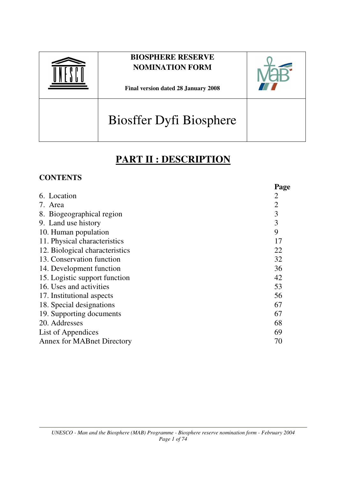| <b>BIOSPHERE RESERVE</b><br><b>NOMINATION FORM</b><br><b>Final version dated 28 January 2008</b> |  |
|--------------------------------------------------------------------------------------------------|--|
| <b>Biosffer Dyfi Biosphere</b>                                                                   |  |

# **PART II : DESCRIPTION**

# **CONTENTS**

|                                   | Page           |  |
|-----------------------------------|----------------|--|
| 6. Location                       | 2              |  |
| 7. Area                           | $\overline{2}$ |  |
| 8. Biogeographical region         | 3              |  |
| 9. Land use history               | 3              |  |
| 10. Human population              | 9              |  |
| 11. Physical characteristics      | 17             |  |
| 12. Biological characteristics    | 22             |  |
| 13. Conservation function         | 32             |  |
| 14. Development function          | 36             |  |
| 15. Logistic support function     | 42             |  |
| 16. Uses and activities           | 53             |  |
| 17. Institutional aspects         | 56             |  |
| 18. Special designations          | 67             |  |
| 19. Supporting documents          | 67             |  |
| 20. Addresses                     | 68             |  |
| List of Appendices                | 69             |  |
| <b>Annex for MABnet Directory</b> |                |  |
|                                   |                |  |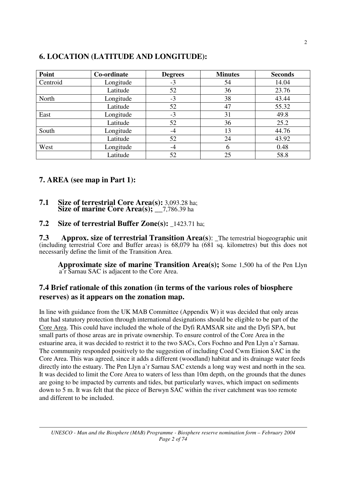# **6. LOCATION (LATITUDE AND LONGITUDE):**

| Point    | Co-ordinate | <b>Degrees</b> | <b>Minutes</b> | <b>Seconds</b> |
|----------|-------------|----------------|----------------|----------------|
| Centroid | Longitude   | $-3$           | 54             | 14.04          |
|          | Latitude    | 52             | 36             | 23.76          |
| North    | Longitude   | $-3$           | 38             | 43.44          |
|          | Latitude    | 52             | 47             | 55.32          |
| East     | Longitude   | $-3$           | 31             | 49.8           |
|          | Latitude    | 52             | 36             | 25.2           |
| South    | Longitude   | -4             | 13             | 44.76          |
|          | Latitude    | 52             | 24             | 43.92          |
| West     | Longitude   | -4             | 6              | 0.48           |
|          | Latitude    | 52             | 25             | 58.8           |

# **7. AREA (see map in Part 1):**

### **7.1 Size of terrestrial Core Area(s):** 3,093.28 ha; **Size of marine Core Area(s);** 7,786.39 has

# **7.2 Size of terrestrial Buffer Zone(s):** \_1423.71 ha;

**7.3 Approx. size of terrestrial Transition Area(s**): \_The terrestrial biogeographic unit (including terrestrial Core and Buffer areas) is 68,079 ha (681 sq. kilometres) but this does not necessarily define the limit of the Transition Area.

**Approximate size of marine Transition Area(s);** Some 1,500 ha of the Pen Llyn a'r Sarnau SAC is adjacent to the Core Area.

## **7.4 Brief rationale of this zonation (in terms of the various roles of biosphere reserves) as it appears on the zonation map.**

In line with guidance from the UK MAB Committee (Appendix W) it was decided that only areas that had statutory protection through international designations should be eligible to be part of the Core Area. This could have included the whole of the Dyfi RAMSAR site and the Dyfi SPA, but small parts of those areas are in private ownership. To ensure control of the Core Area in the estuarine area, it was decided to restrict it to the two SACs, Cors Fochno and Pen Llyn a'r Sarnau. The community responded positively to the suggestion of including Coed Cwm Einion SAC in the Core Area. This was agreed, since it adds a different (woodland) habitat and its drainage water feeds directly into the estuary. The Pen Llyn a'r Sarnau SAC extends a long way west and north in the sea. It was decided to limit the Core Area to waters of less than 10m depth, on the grounds that the dunes are going to be impacted by currents and tides, but particularly waves, which impact on sediments down to 5 m. It was felt that the piece of Berwyn SAC within the river catchment was too remote and different to be included.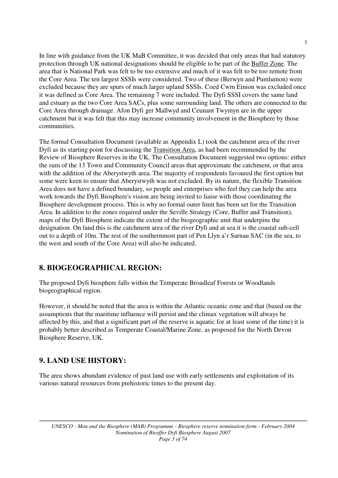In line with guidance from the UK MaB Committee, it was decided that only areas that had statutory protection through UK national designations should be eligible to be part of the Buffer Zone. The area that is National Park was felt to be too extensive and much of it was felt to be too remote from the Core Area. The ten largest SSSIs were considered. Two of these (Berwyn and Pumlumon) were excluded because they are spurs of much larger upland SSSIs. Coed Cwm Einion was excluded once it was defined as Core Area. The remaining 7 were included. The Dyfi SSSI covers the same land and estuary as the two Core Area SACs, plus some surrounding land. The others are connected to the Core Area through drainage. Afon Dyfi ger Mallwyd and Ceunant Twymyn are in the upper catchment but it was felt that this may increase community involvement in the Biosphere by those communities.

The formal Consultation Document (available as Appendix L) took the catchment area of the river Dyfi as its starting point for discussing the Transition Area, as had been recommended by the Review of Biosphere Reserves in the UK. The Consultation Document suggested two options: either the sum of the 13 Town and Community Council areas that approximate the catchment, or that area with the addition of the Aberystwyth area. The majority of respondents favoured the first option but some were keen to ensure that Aberystwyth was not excluded. By its nature, the flexible Transition Area does not have a defined boundary, so people and enterprises who feel they can help the area work towards the Dyfi Biosphere's vision are being invited to liaise with those coordinating the Biosphere development process. This is why no formal outer limit has been set for the Transition Area. In addition to the zones required under the Seville Strategy (Core, Buffer and Transition), maps of the Dyfi Biosphere indicate the extent of the biogeographic unit that underpins the designation. On land this is the catchment area of the river Dyfi and at sea it is the coastal sub-cell out to a depth of 10m. The rest of the southernmost part of Pen Llyn a'r Sarnau SAC (in the sea, to the west and south of the Core Area) will also be indicated.

# **8. BIOGEOGRAPHICAL REGION:**

The proposed Dyfi biosphere falls within the Temperate Broadleaf Forests or Woodlands biogeographical region.

However, it should be noted that the area is within the Atlantic oceanic zone and that (based on the assumptions that the maritime influence will persist and the climax vegetation will always be affected by this, and that a significant part of the reserve is aquatic for at least some of the time) it is probably better described as Temperate Coastal/Marine Zone, as proposed for the North Devon Biosphere Reserve, UK.

# **9. LAND USE HISTORY:**

The area shows abundant evidence of past land use with early settlements and exploitation of its various natural resources from prehistoric times to the present day.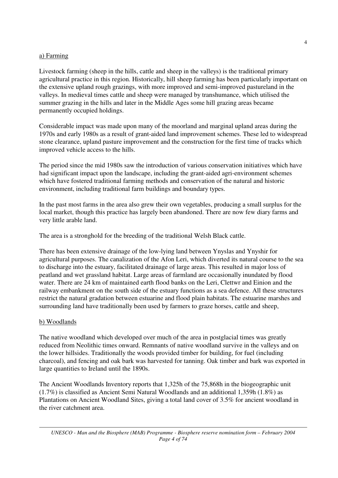### a) Farming

Livestock farming (sheep in the hills, cattle and sheep in the valleys) is the traditional primary agricultural practice in this region. Historically, hill sheep farming has been particularly important on the extensive upland rough grazings, with more improved and semi-improved pastureland in the valleys. In medieval times cattle and sheep were managed by transhumance, which utilised the summer grazing in the hills and later in the Middle Ages some hill grazing areas became permanently occupied holdings.

Considerable impact was made upon many of the moorland and marginal upland areas during the 1970s and early 1980s as a result of grant-aided land improvement schemes. These led to widespread stone clearance, upland pasture improvement and the construction for the first time of tracks which improved vehicle access to the hills.

The period since the mid 1980s saw the introduction of various conservation initiatives which have had significant impact upon the landscape, including the grant-aided agri-environment schemes which have fostered traditional farming methods and conservation of the natural and historic environment, including traditional farm buildings and boundary types.

In the past most farms in the area also grew their own vegetables, producing a small surplus for the local market, though this practice has largely been abandoned. There are now few diary farms and very little arable land.

The area is a stronghold for the breeding of the traditional Welsh Black cattle.

There has been extensive drainage of the low-lying land between Ynyslas and Ynyshir for agricultural purposes. The canalization of the Afon Leri, which diverted its natural course to the sea to discharge into the estuary, facilitated drainage of large areas. This resulted in major loss of peatland and wet grassland habitat. Large areas of farmland are occasionally inundated by flood water. There are 24 km of maintained earth flood banks on the Leri, Clettwr and Einion and the railway embankment on the south side of the estuary functions as a sea defence. All these structures restrict the natural gradation between estuarine and flood plain habitats. The estuarine marshes and surrounding land have traditionally been used by farmers to graze horses, cattle and sheep,

## b) Woodlands

The native woodland which developed over much of the area in postglacial times was greatly reduced from Neolithic times onward. Remnants of native woodland survive in the valleys and on the lower hillsides. Traditionally the woods provided timber for building, for fuel (including charcoal), and fencing and oak bark was harvested for tanning. Oak timber and bark was exported in large quantities to Ireland until the 1890s.

The Ancient Woodlands Inventory reports that 1,325h of the 75,868h in the biogeographic unit (1.7%) is classified as Ancient Semi Natural Woodlands and an additional 1,359h (1.8%) as Plantations on Ancient Woodland Sites, giving a total land cover of 3.5% for ancient woodland in the river catchment area.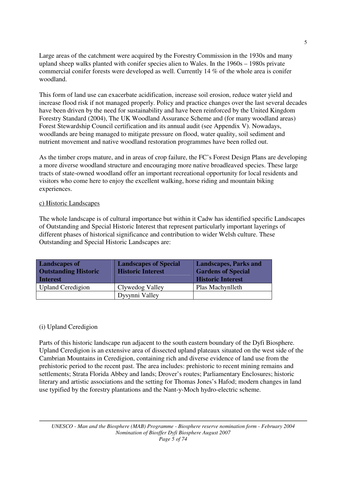Large areas of the catchment were acquired by the Forestry Commission in the 1930s and many upland sheep walks planted with conifer species alien to Wales. In the 1960s – 1980s private commercial conifer forests were developed as well. Currently 14 % of the whole area is conifer woodland.

This form of land use can exacerbate acidification, increase soil erosion, reduce water yield and increase flood risk if not managed properly. Policy and practice changes over the last several decades have been driven by the need for sustainability and have been reinforced by the United Kingdom Forestry Standard (2004), The UK Woodland Assurance Scheme and (for many woodland areas) Forest Stewardship Council certification and its annual audit (see Appendix V). Nowadays, woodlands are being managed to mitigate pressure on flood, water quality, soil sediment and nutrient movement and native woodland restoration programmes have been rolled out.

As the timber crops mature, and in areas of crop failure, the FC's Forest Design Plans are developing a more diverse woodland structure and encouraging more native broadleaved species. These large tracts of state-owned woodland offer an important recreational opportunity for local residents and visitors who come here to enjoy the excellent walking, horse riding and mountain biking experiences.

### c) Historic Landscapes

The whole landscape is of cultural importance but within it Cadw has identified specific Landscapes of Outstanding and Special Historic Interest that represent particularly important layerings of different phases of historical significance and contribution to wider Welsh culture. These Outstanding and Special Historic Landscapes are:

| <b>Landscapes of</b><br><b>Outstanding Historic</b><br><b>Interest</b> | <b>Landscapes of Special</b><br>Historic Interest | <b>Landscapes, Parks and</b><br><b>Gardens of Special</b><br><b>Historic Interest</b> |
|------------------------------------------------------------------------|---------------------------------------------------|---------------------------------------------------------------------------------------|
| <b>Upland Ceredigion</b>                                               | Clywedog Valley                                   | Plas Machynlleth                                                                      |
|                                                                        | Dysynni Valley                                    |                                                                                       |

## (i) Upland Ceredigion

Parts of this historic landscape run adjacent to the south eastern boundary of the Dyfi Biosphere. Upland Ceredigion is an extensive area of dissected upland plateaux situated on the west side of the Cambrian Mountains in Ceredigion, containing rich and diverse evidence of land use from the prehistoric period to the recent past. The area includes: prehistoric to recent mining remains and settlements; Strata Florida Abbey and lands; Drover's routes; Parliamentary Enclosures; historic literary and artistic associations and the setting for Thomas Jones's Hafod; modern changes in land use typified by the forestry plantations and the Nant-y-Moch hydro-electric scheme.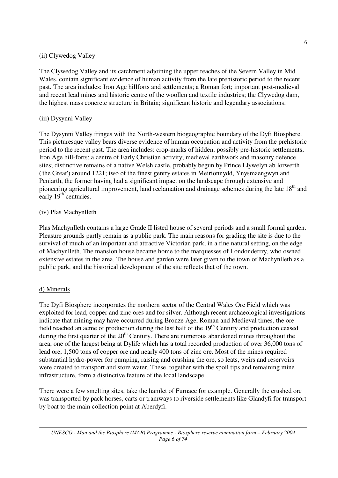## (ii) Clywedog Valley

The Clywedog Valley and its catchment adjoining the upper reaches of the Severn Valley in Mid Wales, contain significant evidence of human activity from the late prehistoric period to the recent past. The area includes: Iron Age hillforts and settlements; a Roman fort; important post-medieval and recent lead mines and historic centre of the woollen and textile industries; the Clywedog dam, the highest mass concrete structure in Britain; significant historic and legendary associations.

## (iii) Dysynni Valley

The Dysynni Valley fringes with the North-western biogeographic boundary of the Dyfi Biosphere. This picturesque valley bears diverse evidence of human occupation and activity from the prehistoric period to the recent past. The area includes: crop-marks of hidden, possibly pre-historic settlements, Iron Age hill-forts; a centre of Early Christian activity; medieval earthwork and masonry defence sites; distinctive remains of a native Welsh castle, probably begun by Prince Llywelyn ab Iorwerth ('the Great') around 1221; two of the finest gentry estates in Meirionnydd, Ynysmaengwyn and Peniarth, the former having had a significant impact on the landscape through extensive and pioneering agricultural improvement, land reclamation and drainage schemes during the late 18<sup>th</sup> and early 19<sup>th</sup> centuries.

### (iv) Plas Machynlleth

Plas Machynlleth contains a large Grade II listed house of several periods and a small formal garden. Pleasure grounds partly remain as a public park. The main reasons for grading the site is due to the survival of much of an important and attractive Victorian park, in a fine natural setting, on the edge of Machynlleth. The mansion house became home to the marquesses of Londonderrry, who owned extensive estates in the area. The house and garden were later given to the town of Machynlleth as a public park, and the historical development of the site reflects that of the town.

## d) Minerals

The Dyfi Biosphere incorporates the northern sector of the Central Wales Ore Field which was exploited for lead, copper and zinc ores and for silver. Although recent archaeological investigations indicate that mining may have occurred during Bronze Age, Roman and Medieval times, the ore field reached an acme of production during the last half of the 19<sup>th</sup> Century and production ceased during the first quarter of the  $20<sup>th</sup>$  Century. There are numerous abandoned mines throughout the area, one of the largest being at Dylife which has a total recorded production of over 36,000 tons of lead ore, 1,500 tons of copper ore and nearly 400 tons of zinc ore. Most of the mines required substantial hydro-power for pumping, raising and crushing the ore, so leats, weirs and reservoirs were created to transport and store water. These, together with the spoil tips and remaining mine infrastructure, form a distinctive feature of the local landscape.

There were a few smelting sites, take the hamlet of Furnace for example. Generally the crushed ore was transported by pack horses, carts or tramways to riverside settlements like Glandyfi for transport by boat to the main collection point at Aberdyfi.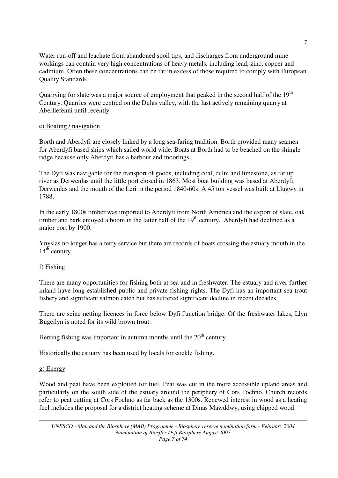Water run-off and leachate from abandoned spoil tips, and discharges from underground mine workings can contain very high concentrations of heavy metals, including lead, zinc, copper and cadmium. Often these concentrations can be far in excess of those required to comply with European Quality Standards.

Quarrying for slate was a major source of employment that peaked in the second half of the 19<sup>th</sup> Century. Quarries were centred on the Dulas valley, with the last actively remaining quarry at Aberllefenni until recently.

### e) Boating / navigation

Borth and Aberdyfi are closely linked by a long sea-faring tradition. Borth provided many seamen for Aberdyfi based ships which sailed world wide. Boats at Borth had to be beached on the shingle ridge because only Aberdyfi has a harbour and moorings.

The Dyfi was navigable for the transport of goods, including coal, culm and limestone, as far up river as Derwenlas until the little port closed in 1863. Most boat building was based at Aberdyfi, Derwenlas and the mouth of the Leri in the period 1840-60s. A 45 ton vessel was built at Llugwy in 1788.

In the early 1800s timber was imported to Aberdyfi from North America and the export of slate, oak timber and bark enjoyed a boom in the latter half of the 19<sup>th</sup> century. Aberdyfi had declined as a major port by 1900.

Ynyslas no longer has a ferry service but there are records of boats crossing the estuary mouth in the  $14<sup>th</sup>$  century.

## f) Fishing

There are many opportunities for fishing both at sea and in freshwater. The estuary and river further inland have long-established public and private fishing rights. The Dyfi has an important sea trout fishery and significant salmon catch but has suffered significant decline in recent decades.

There are seine netting licences in force below Dyfi Junction bridge. Of the freshwater lakes, Llyn Bugeilyn is noted for its wild brown trout.

Herring fishing was important in autumn months until the  $20<sup>th</sup>$  century.

Historically the estuary has been used by locals for cockle fishing.

### g) Energy

Wood and peat have been exploited for fuel. Peat was cut in the more accessible upland areas and particularly on the south side of the estuary around the periphery of Cors Fochno. Church records refer to peat cutting at Cors Fochno as far back as the 1300s. Renewed interest in wood as a heating fuel includes the proposal for a district heating scheme at Dinas Mawddwy, using chipped wood.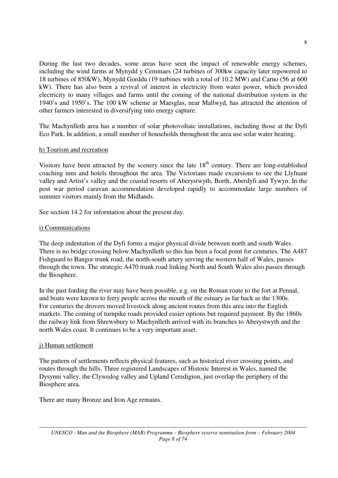During the last two decades, some areas have seen the impact of renewable energy schemes, including the wind farms at Mynydd y Cemmaes (24 turbines of 300kw capacity later repowered to 18 turbines of 850kW), Mynydd Gorddu (19 turbines with a total of 10.2 MW) and Carno (56 at 600 kW). There has also been a revival of interest in electricity from water power, which provided electricity to many villages and farms until the coming of the national distribution system in the 1940's and 1950's. The 100 kW scheme at Maesglas, near Mallwyd, has attracted the attention of other farmers interested in diversifying into energy capture.

The Machynlleth area has a number of solar photovoltaic installations, including those at the Dyfi Eco Park. In addition, a small number of households throughout the area use solar water heating.

### h) Tourism and recreation

Visitors have been attracted by the scenery since the late  $18<sup>th</sup>$  century. There are long-established coaching inns and hotels throughout the area. The Victorians made excursions to see the Llyfnant valley and Artist's valley and the coastal resorts of Aberystwyth, Borth, Aberdyfi and Tywyn. In the post war period caravan accommodation developed rapidly to accommodate large numbers of summer visitors mainly from the Midlands.

See section 14.2 for information about the present day.

### i) Communications

The deep indentation of the Dyfi forms a major physical divide between north and south Wales. There is no bridge crossing below Machynlleth so this has been a focal point for centuries. The A487 Fishguard to Bangor trunk road, the north-south artery serving the western half of Wales, passes through the town. The strategic A470 trunk road linking North and South Wales also passes through the Biosphere.

In the past fording the river may have been possible, e.g. on the Roman route to the fort at Pennal, and boats were known to ferry people across the mouth of the estuary as far back as the 1300s. For centuries the drovers moved livestock along ancient routes from this area into the English markets. The coming of turnpike roads provided easier options but required payment. By the 1860s the railway link from Shrewsbury to Machynlleth arrived with its branches to Aberystwyth and the north Wales coast. It continues to be a very important asset.

### j) Human settlement

The pattern of settlements reflects physical features, such as historical river crossing points, and routes through the hills. Three registered Landscapes of Historic Interest in Wales, named the Dysynni valley, the Clywedog valley and Upland Ceredigion, just overlap the periphery of the Biosphere area.

There are many Bronze and Iron Age remains.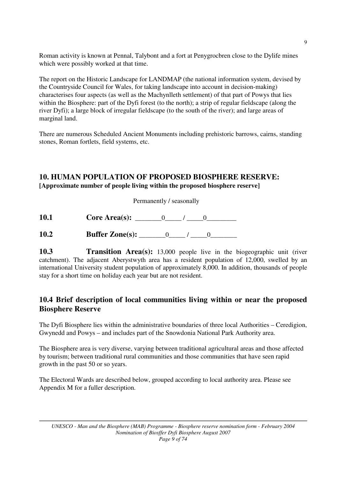Roman activity is known at Pennal, Talybont and a fort at Penygrocbren close to the Dylife mines which were possibly worked at that time.

The report on the Historic Landscape for LANDMAP (the national information system, devised by the Countryside Council for Wales, for taking landscape into account in decision-making) characterises four aspects (as well as the Machynlleth settlement) of that part of Powys that lies within the Biosphere: part of the Dyfi forest (to the north); a strip of regular fieldscape (along the river Dyfi); a large block of irregular fieldscape (to the south of the river); and large areas of marginal land.

There are numerous Scheduled Ancient Monuments including prehistoric barrows, cairns, standing stones, Roman fortlets, field systems, etc.

# **10. HUMAN POPULATION OF PROPOSED BIOSPHERE RESERVE: [Approximate number of people living within the proposed biosphere reserve]**

Permanently / seasonally

**10.1 Core Area(s):** \_\_\_\_\_\_\_\_0\_\_\_\_\_ / \_\_\_\_\_0\_\_\_\_\_\_\_\_\_

**10.2 Buffer Zone(s):** \_\_\_\_\_\_\_0\_\_\_\_\_\_/ \_\_\_\_\_0

**10.3 Transition Area(s):** 13,000 people live in the biogeographic unit (river catchment). The adjacent Aberystwyth area has a resident population of 12,000, swelled by an international University student population of approximately 8,000. In addition, thousands of people stay for a short time on holiday each year but are not resident.

# **10.4 Brief description of local communities living within or near the proposed Biosphere Reserve**

The Dyfi Biosphere lies within the administrative boundaries of three local Authorities – Ceredigion, Gwynedd and Powys – and includes part of the Snowdonia National Park Authority area.

The Biosphere area is very diverse, varying between traditional agricultural areas and those affected by tourism; between traditional rural communities and those communities that have seen rapid growth in the past 50 or so years.

The Electoral Wards are described below, grouped according to local authority area. Please see Appendix M for a fuller description.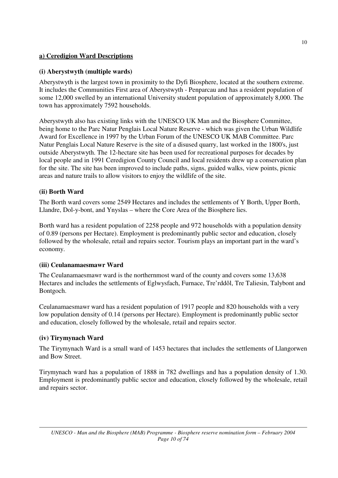## **a) Ceredigion Ward Descriptions**

## **(i) Aberystwyth (multiple wards)**

Aberystwyth is the largest town in proximity to the Dyfi Biosphere, located at the southern extreme. It includes the Communities First area of Aberystwyth - Penparcau and has a resident population of some 12,000 swelled by an international University student population of approximately 8,000. The town has approximately 7592 households.

Aberystwyth also has existing links with the UNESCO UK Man and the Biosphere Committee, being home to the Parc Natur Penglais Local Nature Reserve - which was given the Urban Wildlife Award for Excellence in 1997 by the Urban Forum of the UNESCO UK MAB Committee. Parc Natur Penglais Local Nature Reserve is the site of a disused quarry, last worked in the 1800's, just outside Aberystwyth. The 12-hectare site has been used for recreational purposes for decades by local people and in 1991 Ceredigion County Council and local residents drew up a conservation plan for the site. The site has been improved to include paths, signs, guided walks, view points, picnic areas and nature trails to allow visitors to enjoy the wildlife of the site.

## **(ii) Borth Ward**

The Borth ward covers some 2549 Hectares and includes the settlements of Y Borth, Upper Borth, Llandre, Dol-y-bont, and Ynyslas – where the Core Area of the Biosphere lies.

Borth ward has a resident population of 2258 people and 972 households with a population density of 0.89 (persons per Hectare). Employment is predominantly public sector and education, closely followed by the wholesale, retail and repairs sector. Tourism plays an important part in the ward's economy.

## **(iii) Ceulanamaesmawr Ward**

The Ceulanamaesmawr ward is the northernmost ward of the county and covers some 13,638 Hectares and includes the settlements of Eglwysfach, Furnace, Tre'rddôl, Tre Taliesin, Talybont and Bontgoch.

Ceulanamaesmawr ward has a resident population of 1917 people and 820 households with a very low population density of 0.14 (persons per Hectare). Employment is predominantly public sector and education, closely followed by the wholesale, retail and repairs sector.

## **(iv) Tirymynach Ward**

The Tirymynach Ward is a small ward of 1453 hectares that includes the settlements of Llangorwen and Bow Street.

Tirymynach ward has a population of 1888 in 782 dwellings and has a population density of 1.30. Employment is predominantly public sector and education, closely followed by the wholesale, retail and repairs sector.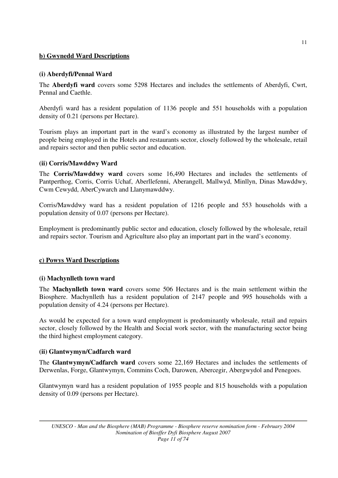## **b) Gwynedd Ward Descriptions**

### **(i) Aberdyfi/Pennal Ward**

The **Aberdyfi ward** covers some 5298 Hectares and includes the settlements of Aberdyfi, Cwrt, Pennal and Caethle.

Aberdyfi ward has a resident population of 1136 people and 551 households with a population density of 0.21 (persons per Hectare).

Tourism plays an important part in the ward's economy as illustrated by the largest number of people being employed in the Hotels and restaurants sector, closely followed by the wholesale, retail and repairs sector and then public sector and education.

### **(ii) Corris/Mawddwy Ward**

The **Corris/Mawddwy ward** covers some 16,490 Hectares and includes the settlements of Pantperthog, Corris, Corris Uchaf, Aberllefenni, Aberangell, Mallwyd, Minllyn, Dinas Mawddwy, Cwm Cewydd, AberCywarch and Llanymawddwy.

Corris/Mawddwy ward has a resident population of 1216 people and 553 households with a population density of 0.07 (persons per Hectare).

Employment is predominantly public sector and education, closely followed by the wholesale, retail and repairs sector. Tourism and Agriculture also play an important part in the ward's economy.

### **c) Powys Ward Descriptions**

### **(i) Machynlleth town ward**

The **Machynlleth town ward** covers some 506 Hectares and is the main settlement within the Biosphere. Machynlleth has a resident population of 2147 people and 995 households with a population density of 4.24 (persons per Hectare).

As would be expected for a town ward employment is predominantly wholesale, retail and repairs sector, closely followed by the Health and Social work sector, with the manufacturing sector being the third highest employment category.

### **(ii) Glantwymyn/Cadfarch ward**

The **Glantwymyn/Cadfarch ward** covers some 22,169 Hectares and includes the settlements of Derwenlas, Forge, Glantwymyn, Commins Coch, Darowen, Abercegir, Abergwydol and Penegoes.

Glantwymyn ward has a resident population of 1955 people and 815 households with a population density of 0.09 (persons per Hectare).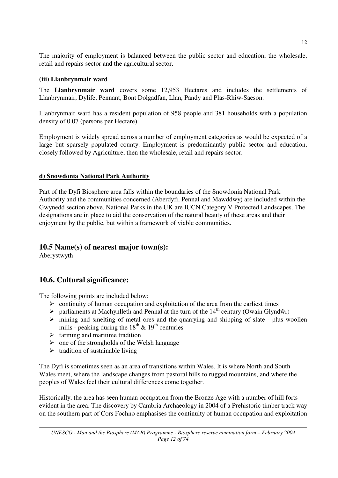The majority of employment is balanced between the public sector and education, the wholesale, retail and repairs sector and the agricultural sector.

## **(iii) Llanbrynmair ward**

The **Llanbrynmair ward** covers some 12,953 Hectares and includes the settlements of Llanbrynmair, Dylife, Pennant, Bont Dolgadfan, Llan, Pandy and Plas-Rhiw-Saeson.

Llanbrynmair ward has a resident population of 958 people and 381 households with a population density of 0.07 (persons per Hectare).

Employment is widely spread across a number of employment categories as would be expected of a large but sparsely populated county. Employment is predominantly public sector and education, closely followed by Agriculture, then the wholesale, retail and repairs sector.

## **d) Snowdonia National Park Authority**

Part of the Dyfi Biosphere area falls within the boundaries of the Snowdonia National Park Authority and the communities concerned (Aberdyfi, Pennal and Mawddwy) are included within the Gwynedd section above. National Parks in the UK are IUCN Category V Protected Landscapes. The designations are in place to aid the conservation of the natural beauty of these areas and their enjoyment by the public, but within a framework of viable communities.

## **10.5 Name(s) of nearest major town(s):**

Aberystwyth

# **10.6. Cultural significance:**

The following points are included below:

- $\triangleright$  continuity of human occupation and exploitation of the area from the earliest times
- > parliaments at Machynlleth and Pennal at the turn of the  $14<sup>th</sup>$  century (Owain Glyndŵr)
- $\triangleright$  mining and smelting of metal ores and the quarrying and shipping of slate plus woollen mills - peaking during the  $18^{th}$  &  $19^{th}$  centuries
- $\triangleright$  farming and maritime tradition
- $\triangleright$  one of the strongholds of the Welsh language
- $\triangleright$  tradition of sustainable living

The Dyfi is sometimes seen as an area of transitions within Wales. It is where North and South Wales meet, where the landscape changes from pastoral hills to rugged mountains, and where the peoples of Wales feel their cultural differences come together.

Historically, the area has seen human occupation from the Bronze Age with a number of hill forts evident in the area. The discovery by Cambria Archaeology in 2004 of a Prehistoric timber track way on the southern part of Cors Fochno emphasises the continuity of human occupation and exploitation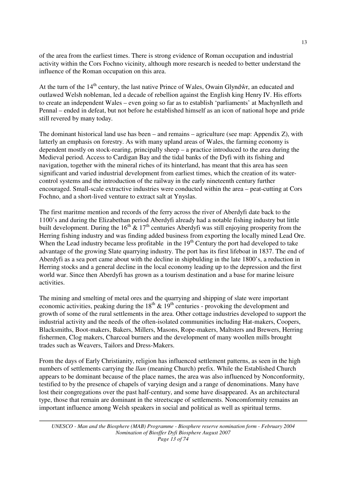of the area from the earliest times. There is strong evidence of Roman occupation and industrial activity within the Cors Fochno vicinity, although more research is needed to better understand the influence of the Roman occupation on this area.

At the turn of the 14<sup>th</sup> century, the last native Prince of Wales, Owain Glyndŵr, an educated and outlawed Welsh nobleman, led a decade of rebellion against the English king Henry IV. His efforts to create an independent Wales – even going so far as to establish 'parliaments' at Machynlleth and Pennal – ended in defeat, but not before he established himself as an icon of national hope and pride still revered by many today.

The dominant historical land use has been – and remains – agriculture (see map: Appendix Z), with latterly an emphasis on forestry. As with many upland areas of Wales, the farming economy is dependent mostly on stock-rearing, principally sheep – a practice introduced to the area during the Medieval period. Access to Cardigan Bay and the tidal banks of the Dyfi with its fishing and navigation, together with the mineral riches of its hinterland, has meant that this area has seen significant and varied industrial development from earliest times, which the creation of its watercontrol systems and the introduction of the railway in the early nineteenth century further encouraged. Small-scale extractive industries were conducted within the area – peat-cutting at Cors Fochno, and a short-lived venture to extract salt at Ynyslas.

The first maritme mention and records of the ferry across the river of Aberdyfi date back to the 1100's and during the Elizabethan period Aberdyfi already had a notable fishing industry but little built development. During the  $16<sup>th</sup> \& 17<sup>th</sup>$  centuries Aberdyfi was still enjoying prosperity from the Herring fishing industry and was finding added business from exporting the locally mined Lead Ore. When the Lead industry became less profitable in the 19<sup>th</sup> Century the port had developed to take advantage of the growing Slate quarrying industry. The port has its first lifeboat in 1837. The end of Aberdyfi as a sea port came about with the decline in shipbulding in the late 1800's, a reduction in Herring stocks and a general decline in the local economy leading up to the depression and the first world war. Since then Aberdyfi has grown as a tourism destination and a base for marine leisure activities.

The mining and smelting of metal ores and the quarrying and shipping of slate were important economic activities, peaking during the  $18^{th}$  &  $19^{th}$  centuries - provoking the development and growth of some of the rural settlements in the area. Other cottage industries developed to support the industrial activity and the needs of the often-isolated communities including Hat-makers, Coopers, Blacksmiths, Boot-makers, Bakers, Millers, Masons, Rope-makers, Maltsters and Brewers, Herring fishermen, Clog makers, Charcoal burners and the development of many woollen mills brought trades such as Weavers, Tailors and Dress-Makers.

From the days of Early Christianity, religion has influenced settlement patterns, as seen in the high numbers of settlements carrying the *llan* (meaning Church) prefix. While the Established Church appears to be dominant because of the place names, the area was also influenced by Nonconformity, testified to by the presence of chapels of varying design and a range of denominations. Many have lost their congregations over the past half-century, and some have disappeared. As an architectural type, those that remain are dominant in the streetscape of settlements. Noncomformity remains an important influence among Welsh speakers in social and political as well as spiritual terms.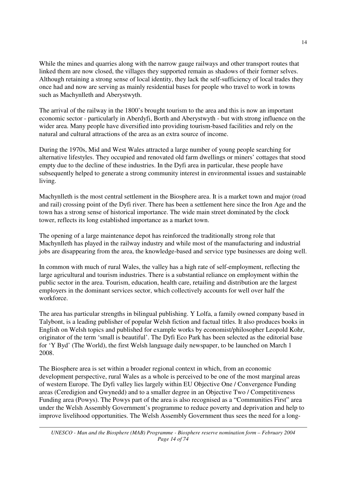While the mines and quarries along with the narrow gauge railways and other transport routes that linked them are now closed, the villages they supported remain as shadows of their former selves. Although retaining a strong sense of local identity, they lack the self-sufficiency of local trades they once had and now are serving as mainly residential bases for people who travel to work in towns such as Machynlleth and Aberystwyth.

The arrival of the railway in the 1800's brought tourism to the area and this is now an important economic sector - particularly in Aberdyfi, Borth and Aberystwyth - but with strong influence on the wider area. Many people have diversified into providing tourism-based facilities and rely on the natural and cultural attractions of the area as an extra source of income.

During the 1970s, Mid and West Wales attracted a large number of young people searching for alternative lifestyles. They occupied and renovated old farm dwellings or miners' cottages that stood empty due to the decline of these industries. In the Dyfi area in particular, these people have subsequently helped to generate a strong community interest in environmental issues and sustainable living.

Machynlleth is the most central settlement in the Biosphere area. It is a market town and major (road and rail) crossing point of the Dyfi river. There has been a settlement here since the Iron Age and the town has a strong sense of historical importance. The wide main street dominated by the clock tower, reflects its long established importance as a market town.

The opening of a large maintenance depot has reinforced the traditionally strong role that Machynlleth has played in the railway industry and while most of the manufacturing and industrial jobs are disappearing from the area, the knowledge-based and service type businesses are doing well.

In common with much of rural Wales, the valley has a high rate of self-employment, reflecting the large agricultural and tourism industries. There is a substantial reliance on employment within the public sector in the area. Tourism, education, health care, retailing and distribution are the largest employers in the dominant services sector, which collectively accounts for well over half the workforce.

The area has particular strengths in bilingual publishing. Y Lolfa, a family owned company based in Talybont, is a leading publisher of popular Welsh fiction and factual titles. It also produces books in English on Welsh topics and published for example works by economist/philosopher Leopold Kohr, originator of the term 'small is beautiful'. The Dyfi Eco Park has been selected as the editorial base for 'Y Byd' (The World), the first Welsh language daily newspaper, to be launched on March 1 2008.

The Biosphere area is set within a broader regional context in which, from an economic development perspective, rural Wales as a whole is perceived to be one of the most marginal areas of western Europe. The Dyfi valley lies largely within EU Objective One / Convergence Funding areas (Ceredigion and Gwynedd) and to a smaller degree in an Objective Two / Competitiveness Funding area (Powys). The Powys part of the area is also recognised as a "Communities First" area under the Welsh Assembly Government's programme to reduce poverty and deprivation and help to improve livelihood opportunities. The Welsh Assembly Government thus sees the need for a long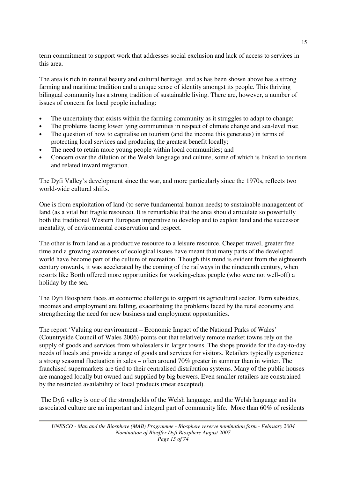term commitment to support work that addresses social exclusion and lack of access to services in this area.

The area is rich in natural beauty and cultural heritage, and as has been shown above has a strong farming and maritime tradition and a unique sense of identity amongst its people. This thriving bilingual community has a strong tradition of sustainable living. There are, however, a number of issues of concern for local people including:

- The uncertainty that exists within the farming community as it struggles to adapt to change;
- The problems facing lower lying communities in respect of climate change and sea-level rise;
- The question of how to capitalise on tourism (and the income this generates) in terms of protecting local services and producing the greatest benefit locally;
- The need to retain more young people within local communities; and
- Concern over the dilution of the Welsh language and culture, some of which is linked to tourism and related inward migration.

The Dyfi Valley's development since the war, and more particularly since the 1970s, reflects two world-wide cultural shifts.

One is from exploitation of land (to serve fundamental human needs) to sustainable management of land (as a vital but fragile resource). It is remarkable that the area should articulate so powerfully both the traditional Western European imperative to develop and to exploit land and the successor mentality, of environmental conservation and respect.

The other is from land as a productive resource to a leisure resource. Cheaper travel, greater free time and a growing awareness of ecological issues have meant that many parts of the developed world have become part of the culture of recreation. Though this trend is evident from the eighteenth century onwards, it was accelerated by the coming of the railways in the nineteenth century, when resorts like Borth offered more opportunities for working-class people (who were not well-off) a holiday by the sea.

The Dyfi Biosphere faces an economic challenge to support its agricultural sector. Farm subsidies, incomes and employment are falling, exacerbating the problems faced by the rural economy and strengthening the need for new business and employment opportunities.

The report 'Valuing our environment – Economic Impact of the National Parks of Wales' (Countryside Council of Wales 2006) points out that relatively remote market towns rely on the supply of goods and services from wholesalers in larger towns. The shops provide for the day-to-day needs of locals and provide a range of goods and services for visitors. Retailers typically experience a strong seasonal fluctuation in sales – often around 70% greater in summer than in winter. The franchised supermarkets are tied to their centralised distribution systems. Many of the public houses are managed locally but owned and supplied by big brewers. Even smaller retailers are constrained by the restricted availability of local products (meat excepted).

 The Dyfi valley is one of the strongholds of the Welsh language, and the Welsh language and its associated culture are an important and integral part of community life. More than 60% of residents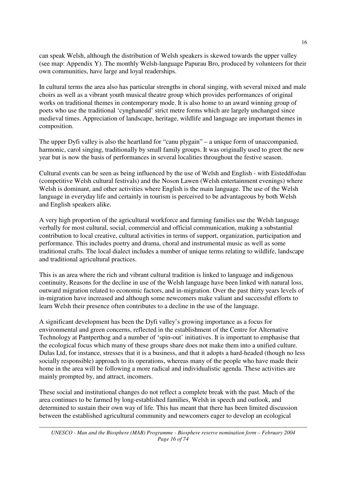can speak Welsh, although the distribution of Welsh speakers is skewed towards the upper valley (see map: Appendix Y). The monthly Welsh-language Papurau Bro, produced by volunteers for their own communities, have large and loyal readerships.

In cultural terms the area also has particular strengths in choral singing, with several mixed and male choirs as well as a vibrant youth musical theatre group which provides performances of original works on traditional themes in contemporary mode. It is also home to an award winning group of poets who use the traditional 'cynghanedd' strict metre forms which are largely unchanged since medieval times. Appreciation of landscape, heritage, wildlife and language are important themes in composition.

The upper Dyfi valley is also the heartland for "canu plygain" – a unique form of unaccompanied, harmonic, carol singing, traditionally by small family groups. It was originally used to greet the new year but is now the basis of performances in several localities throughout the festive season.

Cultural events can be seen as being influenced by the use of Welsh and English - with Eisteddfodau (competitive Welsh cultural festivals) and the Noson Lawen (Welsh entertainment evenings) where Welsh is dominant, and other activities where English is the main language. The use of the Welsh language in everyday life and certainly in tourism is perceived to be advantageous by both Welsh and English speakers alike.

A very high proportion of the agricultural workforce and farming families use the Welsh language verbally for most cultural, social, commercial and official communication, making a substantial contribution to local creative, cultural activities in terms of support, organization, participation and performance. This includes poetry and drama, choral and instrumental music as well as some traditional crafts. The local dialect includes a number of unique terms relating to wildlife, landscape and traditional agricultural practices.

This is an area where the rich and vibrant cultural tradition is linked to language and indigenous continuity, Reasons for the decline in use of the Welsh language have been linked with natural loss, outward migration related to economic factors, and in-migration. Over the past thirty years levels of in-migration have increased and although some newcomers make valiant and successful efforts to learn Welsh their presence often contributes to a decline in the use of the language.

A significant development has been the Dyfi valley's growing importance as a focus for environmental and green concerns, reflected in the establishment of the Centre for Alternative Technology at Pantperthog and a number of 'spin-out' initiatives. It is important to emphasise that the ecological focus which many of these groups share does not make them into a unified culture. Dulas Ltd, for instance, stresses that it is a business, and that it adopts a hard-headed (though no less socially responsible) approach to its operations, whereas many of the people who have made their home in the area will be following a more radical and individualistic agenda. These activities are mainly prompted by, and attract, incomers.

These social and institutional changes do not reflect a complete break with the past. Much of the area continues to be farmed by long-established families, Welsh in speech and outlook, and determined to sustain their own way of life. This has meant that there has been limited discussion between the established agricultural community and newcomers eager to develop an ecological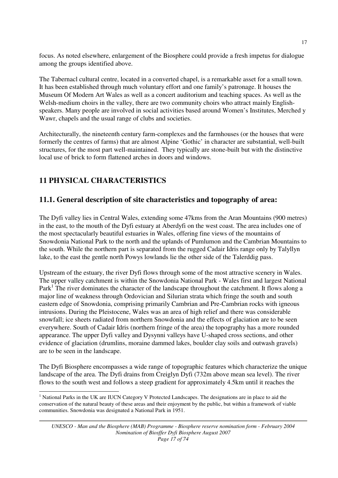focus. As noted elsewhere, enlargement of the Biosphere could provide a fresh impetus for dialogue among the groups identified above.

The Tabernacl cultural centre, located in a converted chapel, is a remarkable asset for a small town. It has been established through much voluntary effort and one family's patronage. It houses the Museum Of Modern Art Wales as well as a concert auditorium and teaching spaces. As well as the Welsh-medium choirs in the valley, there are two community choirs who attract mainly Englishspeakers. Many people are involved in social activities based around Women's Institutes, Merched y Wawr, chapels and the usual range of clubs and societies.

Architecturally, the nineteenth century farm-complexes and the farmhouses (or the houses that were formerly the centres of farms) that are almost Alpine 'Gothic' in character are substantial, well-built structures, for the most part well-maintained. They typically are stone-built but with the distinctive local use of brick to form flattened arches in doors and windows.

# **11 PHYSICAL CHARACTERISTICS**

## **11.1. General description of site characteristics and topography of area:**

The Dyfi valley lies in Central Wales, extending some 47kms from the Aran Mountains (900 metres) in the east, to the mouth of the Dyfi estuary at Aberdyfi on the west coast. The area includes one of the most spectacularly beautiful estuaries in Wales, offering fine views of the mountains of Snowdonia National Park to the north and the uplands of Pumlumon and the Cambrian Mountains to the south. While the northern part is separated from the rugged Cadair Idris range only by Talyllyn lake, to the east the gentle north Powys lowlands lie the other side of the Talerddig pass.

Upstream of the estuary, the river Dyfi flows through some of the most attractive scenery in Wales. The upper valley catchment is within the Snowdonia National Park - Wales first and largest National Park<sup>1</sup> The river dominates the character of the landscape throughout the catchment. It flows along a major line of weakness through Ordovician and Silurian strata which fringe the south and south eastern edge of Snowdonia, comprising primarily Cambrian and Pre-Cambrian rocks with igneous intrusions. During the Pleistocene, Wales was an area of high relief and there was considerable snowfall; ice sheets radiated from northern Snowdonia and the effects of glaciation are to be seen everywhere. South of Cadair Idris (northern fringe of the area) the topography has a more rounded appearance. The upper Dyfi valley and Dysynni valleys have U-shaped cross sections, and other evidence of glaciation (drumlins, moraine dammed lakes, boulder clay soils and outwash gravels) are to be seen in the landscape.

The Dyfi Biosphere encompasses a wide range of topographic features which characterize the unique landscape of the area. The Dyfi drains from Creiglyn Dyfi (732m above mean sea level). The river flows to the south west and follows a steep gradient for approximately 4.5km until it reaches the

 $\overline{a}$ <sup>1</sup> National Parks in the UK are IUCN Category V Protected Landscapes. The designations are in place to aid the conservation of the natural beauty of these areas and their enjoyment by the public, but within a framework of viable communities. Snowdonia was designated a National Park in 1951.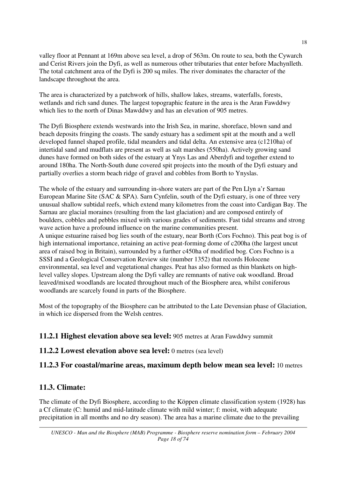valley floor at Pennant at 169m above sea level, a drop of 563m. On route to sea, both the Cywarch and Cerist Rivers join the Dyfi, as well as numerous other tributaries that enter before Machynlleth. The total catchment area of the Dyfi is 200 sq miles. The river dominates the character of the landscape throughout the area.

The area is characterized by a patchwork of hills, shallow lakes, streams, waterfalls, forests, wetlands and rich sand dunes. The largest topographic feature in the area is the Aran Fawddwy which lies to the north of Dinas Mawddwy and has an elevation of 905 metres.

The Dyfi Biosphere extends westwards into the Irish Sea, in marine, shoreface, blown sand and beach deposits fringing the coasts. The sandy estuary has a sediment spit at the mouth and a well developed funnel shaped profile, tidal meanders and tidal delta. An extensive area (c1210ha) of intertidal sand and mudflats are present as well as salt marshes (550ha). Actively growing sand dunes have formed on both sides of the estuary at Ynys Las and Aberdyfi and together extend to around 180ha. The North-South dune covered spit projects into the mouth of the Dyfi estuary and partially overlies a storm beach ridge of gravel and cobbles from Borth to Ynyslas.

The whole of the estuary and surrounding in-shore waters are part of the Pen Llyn a'r Sarnau European Marine Site (SAC & SPA). Sarn Cynfelin, south of the Dyfi estuary, is one of three very unusual shallow subtidal reefs, which extend many kilometres from the coast into Cardigan Bay. The Sarnau are glacial moraines (resulting from the last glaciation) and are composed entirely of boulders, cobbles and pebbles mixed with various grades of sediments. Fast tidal streams and strong wave action have a profound influence on the marine communities present. A unique estuarine raised bog lies south of the estuary, near Borth (Cors Fochno). This peat bog is of high international importance, retaining an active peat-forming dome of c200ha (the largest uncut area of raised bog in Britain), surrounded by a further c450ha of modified bog. Cors Fochno is a SSSI and a Geological Conservation Review site (number 1352) that records Holocene environmental, sea level and vegetational changes. Peat has also formed as thin blankets on highlevel valley slopes. Upstream along the Dyfi valley are remnants of native oak woodland. Broad leaved/mixed woodlands are located throughout much of the Biosphere area, whilst coniferous woodlands are scarcely found in parts of the Biosphere.

Most of the topography of the Biosphere can be attributed to the Late Devensian phase of Glaciation, in which ice dispersed from the Welsh centres.

# **11.2.1 Highest elevation above sea level:** 905 metres at Aran Fawddwy summit

# **11.2.2 Lowest elevation above sea level:** 0 metres (sea level)

# **11.2.3 For coastal/marine areas, maximum depth below mean sea level:** 10 metres

# **11.3. Climate:**

The climate of the Dyfi Biosphere, according to the Köppen climate classification system (1928) has a Cf climate (C: humid and mid-latitude climate with mild winter; f: moist, with adequate precipitation in all months and no dry season). The area has a marine climate due to the prevailing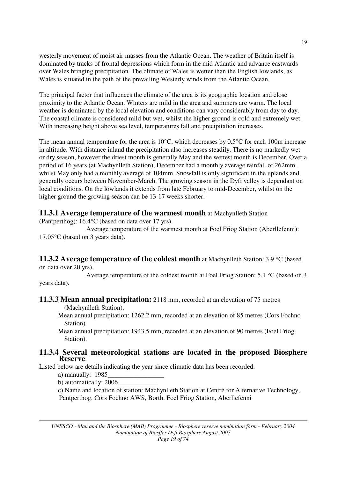westerly movement of moist air masses from the Atlantic Ocean. The weather of Britain itself is dominated by tracks of frontal depressions which form in the mid Atlantic and advance eastwards over Wales bringing precipitation. The climate of Wales is wetter than the English lowlands, as Wales is situated in the path of the prevailing Westerly winds from the Atlantic Ocean.

The principal factor that influences the climate of the area is its geographic location and close proximity to the Atlantic Ocean. Winters are mild in the area and summers are warm. The local weather is dominated by the local elevation and conditions can vary considerably from day to day. The coastal climate is considered mild but wet, whilst the higher ground is cold and extremely wet. With increasing height above sea level, temperatures fall and precipitation increases.

The mean annual temperature for the area is 10°C, which decreases by 0.5°C for each 100m increase in altitude. With distance inland the precipitation also increases steadily. There is no markedly wet or dry season, however the driest month is generally May and the wettest month is December. Over a period of 16 years (at Machynlleth Station), December had a monthly average rainfall of 262mm, whilst May only had a monthly average of 104mm. Snowfall is only significant in the uplands and generally occurs between November-March. The growing season in the Dyfi valley is dependant on local conditions. On the lowlands it extends from late February to mid-December, whilst on the higher ground the growing season can be 13-17 weeks shorter.

## **11.3.1 Average temperature of the warmest month** at Machynlleth Station

(Pantperthog): 16.4°C (based on data over 17 yrs).

 Average temperature of the warmest month at Foel Friog Station (Aberllefenni): 17.05°C (based on 3 years data).

### **11.3.2 Average temperature of the coldest month** at Machynlleth Station: 3.9 °C (based on data over 20 yrs).

 Average temperature of the coldest month at Foel Friog Station: 5.1 °C (based on 3 years data).

# **11.3.3 Mean annual precipitation:** 2118 mm, recorded at an elevation of 75 metres

(Machynlleth Station).

 Mean annual precipitation: 1262.2 mm, recorded at an elevation of 85 metres (Cors Fochno Station).

 Mean annual precipitation: 1943.5 mm, recorded at an elevation of 90 metres (Foel Friog Station).

## **11.3.4 Several meteorological stations are located in the proposed Biosphere Reserve**.

Listed below are details indicating the year since climatic data has been recorded:

a) manually: 1985\_\_\_\_\_\_\_\_\_\_\_\_\_\_\_\_\_

b) automatically: 2006

 c) Name and location of station: Machynlleth Station at Centre for Alternative Technology, Pantperthog. Cors Fochno AWS, Borth. Foel Friog Station, Aberllefenni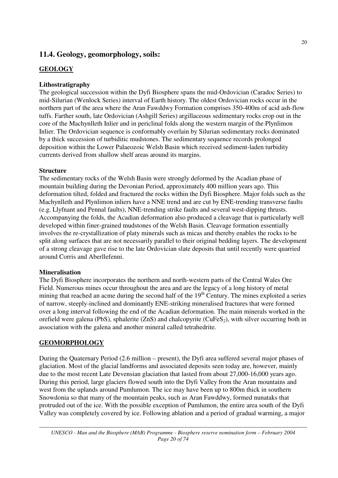# **11.4. Geology, geomorphology, soils:**

## **GEOLOGY**

## **Lithostratigraphy**

The geological succession within the Dyfi Biosphere spans the mid-Ordovician (Caradoc Series) to mid-Silurian (Wenlock Series) interval of Earth history. The oldest Ordovician rocks occur in the northern part of the area where the Aran Fawddwy Formation comprises 350-400m of acid ash-flow tuffs. Farther south, late Ordovician (Ashgill Series) argillaceous sedimentary rocks crop out in the core of the Machynlleth Inlier and in periclinal folds along the western margin of the Plynlimon Inlier. The Ordovician sequence is conformably overlain by Silurian sedimentary rocks dominated by a thick succession of turbiditic mudstones. The sedimentary sequence records prolonged deposition within the Lower Palaeozoic Welsh Basin which received sediment-laden turbidity currents derived from shallow shelf areas around its margins.

### **Structure**

The sedimentary rocks of the Welsh Basin were strongly deformed by the Acadian phase of mountain building during the Devonian Period, approximately 400 million years ago. This deformation tilted, folded and fractured the rocks within the Dyfi Biosphere. Major folds such as the Machynlleth and Plynlimon inliers have a NNE trend and are cut by ENE-trending transverse faults (e.g. Llyfnant and Pennal faults), NNE-trending strike faults and several west-dipping thrusts. Accompanying the folds, the Acadian deformation also produced a cleavage that is particularly well developed within finer-grained mudstones of the Welsh Basin. Cleavage formation essentially involves the re-crystallization of platy minerals such as micas and thereby enables the rocks to be split along surfaces that are not necessarily parallel to their original bedding layers. The development of a strong cleavage gave rise to the late Ordovician slate deposits that until recently were quarried around Corris and Aberllefenni.

### **Mineralisation**

The Dyfi Biosphere incorporates the northern and north-western parts of the Central Wales Ore Field. Numerous mines occur throughout the area and are the legacy of a long history of metal mining that reached an acme during the second half of the  $19<sup>th</sup>$  Century. The mines exploited a series of narrow, steeply-inclined and dominantly ENE-striking mineralised fractures that were formed over a long interval following the end of the Acadian deformation. The main minerals worked in the orefield were galena (PbS), sphalerite  $(ZnS)$  and chalcopyrite  $(CuFeS<sub>2</sub>)$ , with silver occurring both in association with the galena and another mineral called tetrahedrite.

## **GEOMORPHOLOGY**

During the Quaternary Period (2.6 million – present), the Dyfi area suffered several major phases of glaciation. Most of the glacial landforms and associated deposits seen today are, however, mainly due to the most recent Late Devensian glaciation that lasted from about 27,000-16,000 years ago. During this period, large glaciers flowed south into the Dyfi Valley from the Aran mountains and west from the uplands around Pumlumon. The ice may have been up to 800m thick in southern Snowdonia so that many of the mountain peaks, such as Aran Fawddwy, formed nunataks that protruded out of the ice. With the possible exception of Pumlumon, the entire area south of the Dyfi Valley was completely covered by ice. Following ablation and a period of gradual warming, a major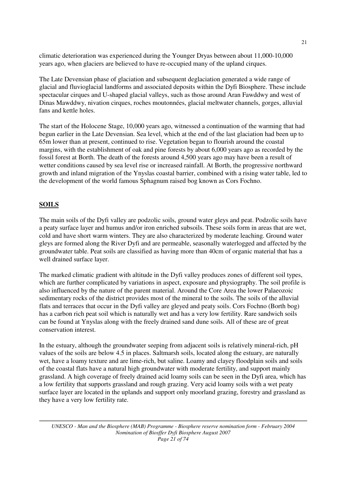climatic deterioration was experienced during the Younger Dryas between about 11,000-10,000 years ago, when glaciers are believed to have re-occupied many of the upland cirques.

The Late Devensian phase of glaciation and subsequent deglaciation generated a wide range of glacial and fluvioglacial landforms and associated deposits within the Dyfi Biosphere. These include spectacular cirques and U-shaped glacial valleys, such as those around Aran Fawddwy and west of Dinas Mawddwy, nivation cirques, roches moutonnées, glacial meltwater channels, gorges, alluvial fans and kettle holes.

The start of the Holocene Stage, 10,000 years ago, witnessed a continuation of the warming that had begun earlier in the Late Devensian. Sea level, which at the end of the last glaciation had been up to 65m lower than at present, continued to rise. Vegetation began to flourish around the coastal margins, with the establishment of oak and pine forests by about 6,000 years ago as recorded by the fossil forest at Borth. The death of the forests around 4,500 years ago may have been a result of wetter conditions caused by sea level rise or increased rainfall. At Borth, the progressive northward growth and inland migration of the Ynyslas coastal barrier, combined with a rising water table, led to the development of the world famous Sphagnum raised bog known as Cors Fochno.

## **SOILS**

The main soils of the Dyfi valley are podzolic soils, ground water gleys and peat. Podzolic soils have a peaty surface layer and humus and/or iron enriched subsoils. These soils form in areas that are wet, cold and have short warm winters. They are also characterized by moderate leaching. Ground water gleys are formed along the River Dyfi and are permeable, seasonally waterlogged and affected by the groundwater table. Peat soils are classified as having more than 40cm of organic material that has a well drained surface layer.

The marked climatic gradient with altitude in the Dyfi valley produces zones of different soil types, which are further complicated by variations in aspect, exposure and physiography. The soil profile is also influenced by the nature of the parent material. Around the Core Area the lower Palaeozoic sedimentary rocks of the district provides most of the mineral to the soils. The soils of the alluvial flats and terraces that occur in the Dyfi valley are gleyed and peaty soils. Cors Fochno (Borth bog) has a carbon rich peat soil which is naturally wet and has a very low fertility. Rare sandwich soils can be found at Ynyslas along with the freely drained sand dune soils. All of these are of great conservation interest.

In the estuary, although the groundwater seeping from adjacent soils is relatively mineral-rich, pH values of the soils are below 4.5 in places. Saltmarsh soils, located along the estuary, are naturally wet, have a loamy texture and are lime-rich, but saline. Loamy and clayey floodplain soils and soils of the coastal flats have a natural high groundwater with moderate fertility, and support mainly grassland. A high coverage of freely drained acid loamy soils can be seen in the Dyfi area, which has a low fertility that supports grassland and rough grazing. Very acid loamy soils with a wet peaty surface layer are located in the uplands and support only moorland grazing, forestry and grassland as they have a very low fertility rate.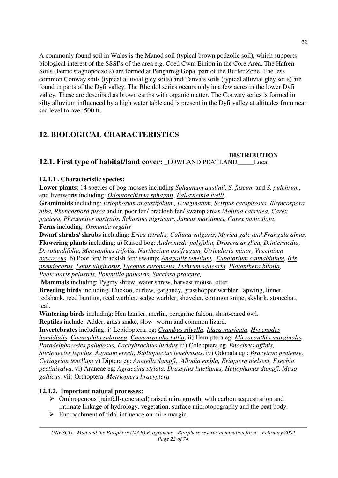A commonly found soil in Wales is the Manod soil (typical brown podzolic soil), which supports biological interest of the SSSI's of the area e.g. Coed Cwm Einion in the Core Area. The Hafren Soils (Ferric stagnopodzols) are formed at Pengarreg Gopa, part of the Buffer Zone. The less common Conway soils (typical alluvial gley soils) and Tanvats soils (typical alluvial gley soils) are found in parts of the Dyfi valley. The Rheidol series occurs only in a few acres in the lower Dyfi valley. These are described as brown earths with organic matter. The Conway series is formed in silty alluvium influenced by a high water table and is present in the Dyfi valley at altitudes from near sea level to over 500 ft.

# **12. BIOLOGICAL CHARACTERISTICS**

#### **DISTRIBUTION 12.1. First type of habitat/land cover:** \_LOWLAND PEATLAND\_\_\_\_\_Local

## **12.1.1 . Characteristic species:**

**Lower plants**: 14 species of bog mosses including *Sphagnum austinii, S. fuscum* and *S. pulchrum*, and liverworts including: *Odontoschisma sphagnii*, *Pallavicinia lyelli*.

**Graminoids** including: *Eriophorum angustifolium, E.vaginatum, Scirpus caespitosus, Rhyncospora alba, Rhyncospora fusca* and in poor fen/ brackish fen/ swamp areas *Molinia caerulea, Carex panicea, Phragmites australis, Schoenus nigricans, Juncus maritimus, Carex paniculata*. **Ferns** including: *Osmunda regalis*

**Dwarf shrubs/ shrubs** including: *Erica tetralix, Calluna vulgaris, Myrica gale and Frangula alnus.*  **Flowering plants** including: a) Raised bog: *Andromeda polyfolia, Drosera anglica, D.intermedia, D. rotundifolia, Menyanthes trifolia, Narthecium ossifragum, Utricularia minor, Vaccinium oxycoccus*. b) Poor fen/ brackish fen/ swamp: *Anagallis tenellum, Eupatorium cannabinium, Iris pseudocorus*, *Lotus uliginosus, Lycopus europaeus, Lythrum salicaria, Platanthera bifolia, Pedicularis palustris, Potentilla palustris, Succissa pratense,* 

**Mammals** including: Pygmy shrew, water shrew, harvest mouse, otter.

**Breeding birds** including: Cuckoo, curlew, garganey, grasshopper warbler, lapwing, linnet, redshank, reed bunting, reed warbler, sedge warbler, shoveler, common snipe, skylark, stonechat, teal.

**Wintering birds** including: Hen harrier, merlin, peregrine falcon, short-eared owl. **Reptiles** include: Adder, grass snake, slow- worm and common lizard.

**Invertebrates** including: i) Lepidoptera, eg; *Crambus silvella, Idaea muricata, Hypenodes humidialis, Coenophila subrosea, Coenonympha tullia*, ii) Hemiptera eg: *Micracanthia marginalis, Paradelphacodes paludosus, Pachybrachius luridus* iii) Coleoptera eg. *Enochrus affinis, Stictonectes lepidus, Agonum erecti, Biblioplectus tenebrosus*. iv) Odonata eg.: *Bracytron pratense, Ceriagrion tenellum* v) Diptera eg: *Anatella dampfi, Allodia embla, Erioptera nielseni, Exechia pectinivalva*. vi) Araneae eg: *Agraecina striata, Drassylus lutetianus, Heliophanus dampfi, Maso gallicus*. vii) Orthoptera: *Metrioptera bracyptera*

## **12.1.2. Important natural processes:**

- Ombrogenous (rainfall-generated) raised mire growth, with carbon sequestration and intimate linkage of hydrology, vegetation, surface microtopography and the peat body.
- $\triangleright$  Encroachment of tidal influence on mire margin.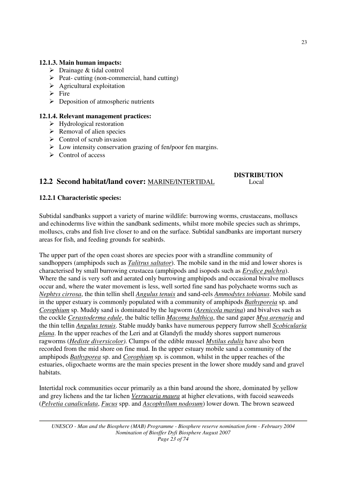## **12.1.3. Main human impacts:**

- $\triangleright$  Drainage & tidal control
- $\triangleright$  Peat- cutting (non-commercial, hand cutting)
- $\triangleright$  Agricultural exploitation
- $\triangleright$  Fire
- $\triangleright$  Deposition of atmospheric nutrients

## **12.1.4. Relevant management practices:**

- $\triangleright$  Hydrological restoration
- $\triangleright$  Removal of alien species
- $\triangleright$  Control of scrub invasion
- $\triangleright$  Low intensity conservation grazing of fen/poor fen margins.
- $\triangleright$  Control of access

# 12.2 Second habitat/land cover: MARINE/INTERTIDAL

# **DISTRIBUTION**

## **12.2.1 Characteristic species:**

Subtidal sandbanks support a variety of marine wildlife: burrowing worms, crustaceans, molluscs and echinoderms live within the sandbank sediments, whilst more mobile species such as shrimps, molluscs, crabs and fish live closer to and on the surface. Subtidal sandbanks are important nursery areas for fish, and feeding grounds for seabirds.

The upper part of the open coast shores are species poor with a strandline community of sandhoppers (amphipods such as *Talitrus saltator*). The mobile sand in the mid and lower shores is characterised by small burrowing crustacea (amphipods and isopods such as *Erydice pulchra*). Where the sand is very soft and aerated only burrowing amphipods and occasional bivalve molluscs occur and, where the water movement is less, well sorted fine sand has polychaete worms such as *Nephtys cirrosa*, the thin tellin shell *Angulus tenuis* and sand-eels *Ammodytes tobianus*. Mobile sand in the upper estuary is commonly populated with a community of amphipods *Bathyporeia* sp. and *Corophium* sp. Muddy sand is dominated by the lugworm (*Arenicola marina*) and bivalves such as the cockle *Cerastoderma edule*, the baltic tellin *Macoma balthica*, the sand gaper *Mya arenaria* and the thin tellin *Angulus tenuis*. Stable muddy banks have numerous peppery furrow shell *Scobicularia plana*. In the upper reaches of the Leri and at Glandyfi the muddy shores support numerous ragworms (*Hediste diversicolor).* Clumps of the edible mussel *Mytilus edulis* have also been recorded from the mid shore on fine mud. In the upper estuary mobile sand a community of the amphipods *Bathyporea* sp. and *Corophium* sp. is common, whilst in the upper reaches of the estuaries, oligochaete worms are the main species present in the lower shore muddy sand and gravel habitats.

Intertidal rock communities occur primarily as a thin band around the shore, dominated by yellow and grey lichens and the tar lichen *Verrucaria maura* at higher elevations, with fucoid seaweeds (*Pelvetia canaliculata*, *Fucus* spp. and *Ascophyllum nodosum*) lower down. The brown seaweed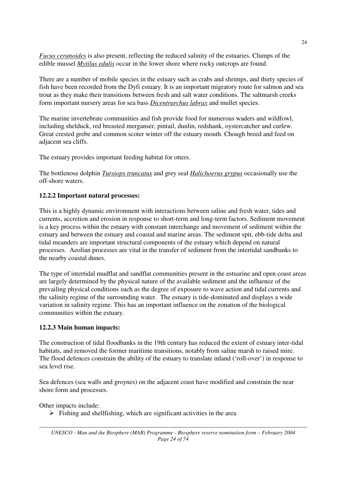*Fucus ceranoides* is also present, reflecting the reduced salinity of the estuaries. Clumps of the edible mussel *Mytilus edulis* occur in the lower shore where rocky outcrops are found.

There are a number of mobile species in the estuary such as crabs and shrimps, and thirty species of fish have been recorded from the Dyfi estuary. It is an important migratory route for salmon and sea trout as they make their transitions between fresh and salt water conditions. The saltmarsh creeks form important nursery areas for sea bass *Dicentrarchus labrax* and mullet species.

The marine invertebrate communities and fish provide food for numerous waders and wildfowl, including shelduck, red breasted merganser, pintail, dunlin, redshank, oystercatcher and curlew. Great crested grebe and common scoter winter off the estuary mouth. Chough breed and feed on adjacent sea cliffs.

The estuary provides important feeding habitat for otters.

The bottlenose dolphin *Tursiops truncatus* and grey seal *Halichoerus grypus* occasionally use the off-shore waters.

## **12.2.2 Important natural processes:**

This is a highly dynamic environment with interactions between saline and fresh water, tides and currents, accretion and erosion in response to short-term and long-term factors. Sediment movement is a key process within the estuary with constant interchange and movement of sediment within the estuary and between the estuary and coastal and marine areas. The sediment spit, ebb-tide delta and tidal meanders are important structural components of the estuary which depend on natural processes. Aeolian processes are vital in the transfer of sediment from the intertidal sandbanks to the nearby coastal dunes.

The type of intertidal mudflat and sandflat communities present in the estuarine and open coast areas are largely determined by the physical nature of the available sediment and the influence of the prevailing physical conditions such as the degree of exposure to wave action and tidal currents and the salinity regime of the surrounding water. The estuary is tide-dominated and displays a wide variation in salinity regime. This has an important influence on the zonation of the biological communities within the estuary.

### **12.2.3 Main human impacts:**

The construction of tidal floodbanks in the 19th century has reduced the extent of estuary inter-tidal habitats, and removed the former maritime transitions, notably from saline marsh to raised mire. The flood defences constrain the ability of the estuary to translate inland ('roll-over') in response to sea level rise.

Sea defences (sea walls and groynes) on the adjacent coast have modified and constrain the near shore form and processes.

Other impacts include:

 $\triangleright$  Fishing and shellfishing, which are significant activities in the area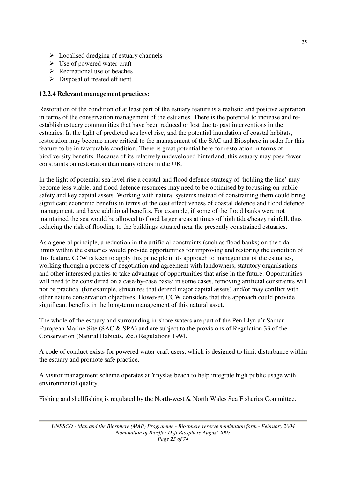- $\triangleright$  Localised dredging of estuary channels
- $\triangleright$  Use of powered water-craft
- $\triangleright$  Recreational use of beaches
- $\triangleright$  Disposal of treated effluent

### **12.2.4 Relevant management practices:**

Restoration of the condition of at least part of the estuary feature is a realistic and positive aspiration in terms of the conservation management of the estuaries. There is the potential to increase and reestablish estuary communities that have been reduced or lost due to past interventions in the estuaries. In the light of predicted sea level rise, and the potential inundation of coastal habitats, restoration may become more critical to the management of the SAC and Biosphere in order for this feature to be in favourable condition. There is great potential here for restoration in terms of biodiversity benefits. Because of its relatively undeveloped hinterland, this estuary may pose fewer constraints on restoration than many others in the UK.

In the light of potential sea level rise a coastal and flood defence strategy of 'holding the line' may become less viable, and flood defence resources may need to be optimised by focussing on public safety and key capital assets. Working with natural systems instead of constraining them could bring significant economic benefits in terms of the cost effectiveness of coastal defence and flood defence management, and have additional benefits. For example, if some of the flood banks were not maintained the sea would be allowed to flood larger areas at times of high tides/heavy rainfall, thus reducing the risk of flooding to the buildings situated near the presently constrained estuaries.

As a general principle, a reduction in the artificial constraints (such as flood banks) on the tidal limits within the estuaries would provide opportunities for improving and restoring the condition of this feature. CCW is keen to apply this principle in its approach to management of the estuaries, working through a process of negotiation and agreement with landowners, statutory organisations and other interested parties to take advantage of opportunities that arise in the future. Opportunities will need to be considered on a case-by-case basis; in some cases, removing artificial constraints will not be practical (for example, structures that defend major capital assets) and/or may conflict with other nature conservation objectives. However, CCW considers that this approach could provide significant benefits in the long-term management of this natural asset.

The whole of the estuary and surrounding in-shore waters are part of the Pen Llyn a'r Sarnau European Marine Site (SAC & SPA) and are subject to the provisions of Regulation 33 of the Conservation (Natural Habitats, &c.) Regulations 1994.

A code of conduct exists for powered water-craft users, which is designed to limit disturbance within the estuary and promote safe practice.

A visitor management scheme operates at Ynyslas beach to help integrate high public usage with environmental quality.

Fishing and shellfishing is regulated by the North-west & North Wales Sea Fisheries Committee.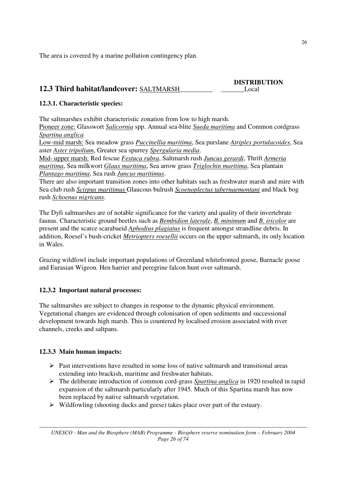The area is covered by a marine pollution contingency plan.

#### **DISTRIBUTION 12.3 Third habitat/landcover:** SALTMARSH\_\_\_\_\_\_\_\_\_\_ \_\_\_\_\_\_\_Local

## **12.3.1. Characteristic species:**

The saltmarshes exhibit characteristic zonation from low to high marsh.

Pioneer zone: Glasswort *Salicornia* spp. Annual sea-blite *Sueda maritima* and Common cordgrass *Spartina anglica*

Low-mid marsh: Sea meadow grass *Puccinellia maritima*, Sea purslane *Atriplex portulacoides*, Sea aster *Aster tripolium*, Greater sea spurrey *Spergularia media*.

Mid- upper marsh: Red fescue *Festuca rubra*, Saltmarsh rush *Juncus gerardi*, Thrift *Armeria maritima*, Sea milkwort *Glaux maritima*, Sea arrow grass *Triglochin maritima*, Sea plantain *Plantago maritima*, Sea rush *Juncus maritimus*.

There are also important transition zones into other habitats such as freshwater marsh and mire with Sea club rush *Scirpus maritimus* Glaucous bulrush *Scoenoplectus tabernaemontani* and black bog rush *Schoenus nigricans*.

The Dyfi saltmarshes are of notable significance for the variety and quality of their invertebrate faunas. Characteristic ground beetles such as *Bembidion laterale*, *B. minimum* and *B. iricolor* are present and the scarce scarabaeid *Aphodius plagiatus* is frequent amongst strandline debris. In addition, Roesel's bush-cricket *Metriopters roesellii* occurs on the upper saltmarsh, its only location in Wales.

Grazing wildfowl include important populations of Greenland whitefronted goose, Barnacle goose and Eurasian Wigeon. Hen harrier and peregrine falcon hunt over saltmarsh.

## **12.3.2 Important natural processes:**

The saltmarshes are subject to changes in response to the dynamic physical environment. Vegetational changes are evidenced through colonisation of open sediments and successional development towards high marsh. This is countered by localised erosion associated with river channels, creeks and saltpans.

# **12.3.3 Main human impacts:**

- $\triangleright$  Past interventions have resulted in some loss of native saltmarsh and transitional areas extending into brackish, maritime and freshwater habitats.
- The deliberate introduction of common cord-grass *Spartina anglica* in 1920 resulted in rapid expansion of the saltmarsh particularly after 1945. Much of this Spartina marsh has now been replaced by native saltmarsh vegetation.
- $\triangleright$  Wildfowling (shooting ducks and geese) takes place over part of the estuary.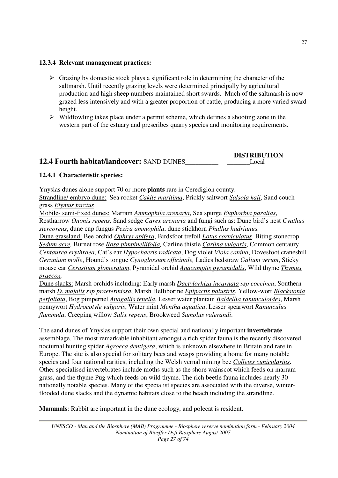### **12.3.4 Relevant management practices:**

- $\triangleright$  Grazing by domestic stock plays a significant role in determining the character of the saltmarsh. Until recently grazing levels were determined principally by agricultural production and high sheep numbers maintained short swards. Much of the saltmarsh is now grazed less intensively and with a greater proportion of cattle, producing a more varied sward height.
- $\triangleright$  Wildfowling takes place under a permit scheme, which defines a shooting zone in the western part of the estuary and prescribes quarry species and monitoring requirements.

### **DISTRIBUTION 12.4 Fourth habitat/landcover:** SAND DUNES Local

## **12.4.1 Characteristic species:**

Ynyslas dunes alone support 70 or more **plants** rare in Ceredigion county.

Strandline/ embryo dune: Sea rocket *Cakile maritima*, Prickly saltwort *Salsola kali*, Sand couch grass *Elymus farctus*

Mobile- semi-fixed dunes: Marram *Ammophila arenaria*, Sea spurge *Euphorbia paralias*, Restharrow *Ononis repens,* Sand sedge *Carex arenaria* and fungi such as: Dune bird's nest *Cyathus stercoreus*, dune cup fungus *Peziza ammophila*, dune stickhorn *Phallus hadrianus.* Dune grassland: Bee orchid *Ophrys apifera*, Birdsfoot trefoil *Lotus corniculatus*, Biting stonecrop

*Sedum acre,* Burnet rose *Rosa pimpinellifolia,* Carline thistle *Carlina vulgaris*, Common centaury *Centaurea erythraea*, Cat's ear *Hypochaeris radicata*, Dog violet *Viola canina*, Dovesfoot cranesbill *Geranium molle*, Hound's tongue *Cynoglossum officinale,* Ladies bedstraw *Galium verum*, Sticky mouse ear *Cerastium glomeratum*, Pyramidal orchid *Anacamptis pyramidalis*, Wild thyme *Thymus praecox.* 

Dune slacks: Marsh orchids including: Early marsh *Dactylorhiza incarnata ssp coccinea*, Southern marsh *D. majalis ssp praetermissa*, Marsh Helliborine *Epipactis palustris*, Yellow-wort *Blackstonia perfoliata*, Bog pimpernel *Anagallis tenella*, Lesser water plantain *Baldellia ranunculoides*, Marsh pennywort *Hydrocotyle vulgaris*, Water mint *Mentha aquatica*, Lesser spearwort *Ranunculus flammula*, Creeping willow *Salix repens*, Brookweed *Samolus valerandi*.

The sand dunes of Ynyslas support their own special and nationally important **invertebrate** assemblage. The most remarkable inhabitant amongst a rich spider fauna is the recently discovered nocturnal hunting spider *Agroeca dentigera*, which is unknown elsewhere in Britain and rare in Europe. The site is also special for solitary bees and wasps providing a home for many notable species and four national rarities, including the Welsh vernal mining bee *Colletes cunicularius*. Other specialised invertebrates include moths such as the shore wainscot which feeds on marram grass, and the thyme Pug which feeds on wild thyme. The rich beetle fauna includes nearly 30 nationally notable species. Many of the specialist species are associated with the diverse, winterflooded dune slacks and the dynamic habitats close to the beach including the strandline.

**Mammals**: Rabbit are important in the dune ecology, and polecat is resident.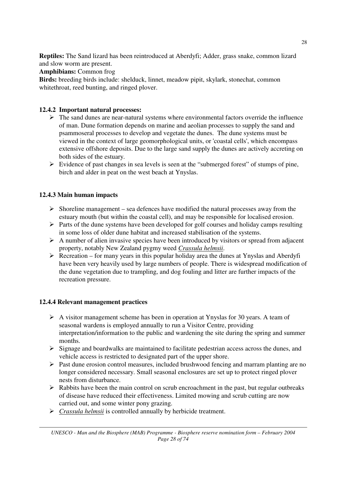**Reptiles:** The Sand lizard has been reintroduced at Aberdyfi; Adder, grass snake, common lizard and slow worm are present.

**Amphibians:** Common frog

**Birds:** breeding birds include: shelduck, linnet, meadow pipit, skylark, stonechat, common whitethroat, reed bunting, and ringed plover.

## **12.4.2 Important natural processes:**

- $\triangleright$  The sand dunes are near-natural systems where environmental factors override the influence of man. Dune formation depends on marine and aeolian processes to supply the sand and psammoseral processes to develop and vegetate the dunes. The dune systems must be viewed in the context of large geomorphological units, or 'coastal cells', which encompass extensive offshore deposits. Due to the large sand supply the dunes are actively accreting on both sides of the estuary.
- $\triangleright$  Evidence of past changes in sea levels is seen at the "submerged forest" of stumps of pine, birch and alder in peat on the west beach at Ynyslas.

## **12.4.3 Main human impacts**

- $\triangleright$  Shoreline management sea defences have modified the natural processes away from the estuary mouth (but within the coastal cell), and may be responsible for localised erosion.
- $\triangleright$  Parts of the dune systems have been developed for golf courses and holiday camps resulting in some loss of older dune habitat and increased stabilisation of the systems.
- $\triangleright$  A number of alien invasive species have been introduced by visitors or spread from adjacent property, notably New Zealand pygmy weed *Crassula helmsii*.
- $\triangleright$  Recreation for many years in this popular holiday area the dunes at Ynyslas and Aberdyfi have been very heavily used by large numbers of people. There is widespread modification of the dune vegetation due to trampling, and dog fouling and litter are further impacts of the recreation pressure.

## **12.4.4 Relevant management practices**

- $\triangleright$  A visitor management scheme has been in operation at Ynyslas for 30 years. A team of seasonal wardens is employed annually to run a Visitor Centre, providing interpretation/information to the public and wardening the site during the spring and summer months.
- $\triangleright$  Signage and boardwalks are maintained to facilitate pedestrian access across the dunes, and vehicle access is restricted to designated part of the upper shore.
- $\triangleright$  Past dune erosion control measures, included brushwood fencing and marram planting are no longer considered necessary. Small seasonal enclosures are set up to protect ringed plover nests from disturbance.
- $\triangleright$  Rabbits have been the main control on scrub encroachment in the past, but regular outbreaks of disease have reduced their effectiveness. Limited mowing and scrub cutting are now carried out, and some winter pony grazing.
- *Crassula helmsii* is controlled annually by herbicide treatment.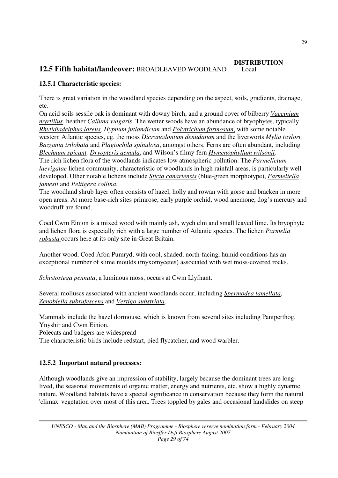# **DISTRIBUTION**

# **12.5 Fifth habitat/landcover:** BROADLEAVED WOODLAND\_\_ \_Local

## **12.5.1 Characteristic species:**

There is great variation in the woodland species depending on the aspect, soils, gradients, drainage, etc.

On acid soils sessile oak is dominant with downy birch, and a ground cover of bilberry *Vaccinium myrtillus*, heather *Calluna vulgaris*. The wetter woods have an abundance of bryophytes, typically *Rhytidiadelphus loreus, Hypnum jutlandicum* and *Polytrichum formosum*, with some notable western Atlantic species, eg. the moss *Dicranodontum denudatum* and the liverworts *Mylia taylori, Bazzania trilobata* and *Plagiochila spinulosa*, amongst others. Ferns are often abundant, including *Blechnum spicant, Dryopteris aemula*, and Wilson's filmy-fern *Hymenophyllum wilsonii.* The rich lichen flora of the woodlands indicates low atmospheric pollution. The *Parmelietum laevigatae* lichen community, characteristic of woodlands in high rainfall areas, is particularly well developed. Other notable lichens include *Sticta canariensis* (blue-green morphotype), *Parmeliella jamesii* and *Peltigera collina*.

The woodland shrub layer often consists of hazel, holly and rowan with gorse and bracken in more open areas. At more base-rich sites primrose, early purple orchid, wood anemone, dog's mercury and woodruff are found.

Coed Cwm Einion is a mixed wood with mainly ash, wych elm and small leaved lime. Its bryophyte and lichen flora is especially rich with a large number of Atlantic species. The lichen *Parmelia robusta* occurs here at its only site in Great Britain.

Another wood, Coed Afon Pumryd, with cool, shaded, north-facing, humid conditions has an exceptional number of slime moulds (myxomycetes) associated with wet moss-covered rocks.

*Schistostega pennata*, a luminous moss, occurs at Cwm Llyfnant.

Several molluscs associated with ancient woodlands occur, including *Spermodea lamellata*, *Zenobiella subrufescens* and *Vertigo substriata*.

Mammals include the hazel dormouse, which is known from several sites including Pantperthog, Ynyshir and Cwm Einion.

Polecats and badgers are widespread

The characteristic birds include redstart, pied flycatcher, and wood warbler.

## **12.5.2 Important natural processes:**

Although woodlands give an impression of stability, largely because the dominant trees are longlived, the seasonal movements of organic matter, energy and nutrients, etc. show a highly dynamic nature. Woodland habitats have a special significance in conservation because they form the natural 'climax' vegetation over most of this area. Trees toppled by gales and occasional landslides on steep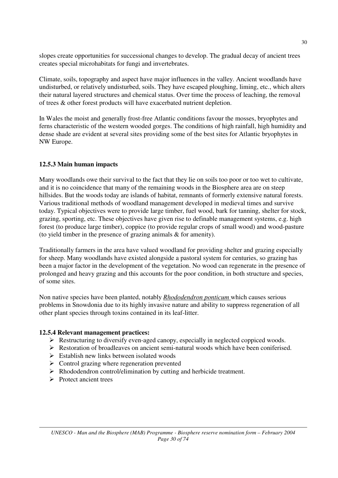slopes create opportunities for successional changes to develop. The gradual decay of ancient trees creates special microhabitats for fungi and invertebrates.

Climate, soils, topography and aspect have major influences in the valley. Ancient woodlands have undisturbed, or relatively undisturbed, soils. They have escaped ploughing, liming, etc., which alters their natural layered structures and chemical status. Over time the process of leaching, the removal of trees & other forest products will have exacerbated nutrient depletion.

In Wales the moist and generally frost-free Atlantic conditions favour the mosses, bryophytes and ferns characteristic of the western wooded gorges. The conditions of high rainfall, high humidity and dense shade are evident at several sites providing some of the best sites for Atlantic bryophytes in NW Europe.

## **12.5.3 Main human impacts**

Many woodlands owe their survival to the fact that they lie on soils too poor or too wet to cultivate, and it is no coincidence that many of the remaining woods in the Biosphere area are on steep hillsides. But the woods today are islands of habitat, remnants of formerly extensive natural forests. Various traditional methods of woodland management developed in medieval times and survive today. Typical objectives were to provide large timber, fuel wood, bark for tanning, shelter for stock, grazing, sporting, etc. These objectives have given rise to definable management systems, e.g. high forest (to produce large timber), coppice (to provide regular crops of small wood) and wood-pasture (to yield timber in the presence of grazing animals & for amenity).

Traditionally farmers in the area have valued woodland for providing shelter and grazing especially for sheep. Many woodlands have existed alongside a pastoral system for centuries, so grazing has been a major factor in the development of the vegetation. No wood can regenerate in the presence of prolonged and heavy grazing and this accounts for the poor condition, in both structure and species, of some sites.

Non native species have been planted, notably *Rhododendron ponticum* which causes serious problems in Snowdonia due to its highly invasive nature and ability to suppress regeneration of all other plant species through toxins contained in its leaf-litter.

## **12.5.4 Relevant management practices:**

- $\triangleright$  Restructuring to diversify even-aged canopy, especially in neglected coppiced woods.
- Restoration of broadleaves on ancient semi-natural woods which have been coniferised.
- $\triangleright$  Establish new links between isolated woods
- $\triangleright$  Control grazing where regeneration prevented
- A Rhododendron control/elimination by cutting and herbicide treatment.
- $\triangleright$  Protect ancient trees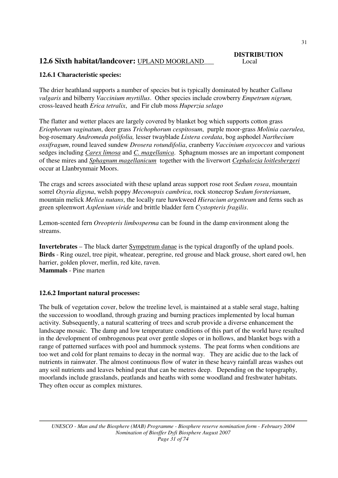# **12.6 Sixth habitat/landcover: UPLAND MOORLAND**

 **DISTRIBUTION** 

## **12.6.1 Characteristic species:**

The drier heathland supports a number of species but is typically dominated by heather *Calluna vulgaris* and bilberry *Vaccinium myrtillus*. Other species include crowberry *Empetrum nigrum,* cross-leaved heath *Erica tetralix*, and Fir club moss *Huperzia selago*

The flatter and wetter places are largely covered by blanket bog which supports cotton grass *Eriophorum vaginatum*, deer grass *Trichophorum cespitosum*, purple moor-grass *Molinia caerulea*, bog-rosemary *Andromeda polifolia,* lesser twayblade *Listera cordata*, bog asphodel *Narthecium ossifragum*, round leaved sundew *Drosera rotundifolia*, cranberry *Vaccinium oxycoccos* and various sedges including *Carex limosa* and *C. magellanica*. Sphagnum mosses are an important component of these mires and *Sphagnum magellanicum* together with the liverwort *Cephalozia loitlesbergeri* occur at Llanbrynmair Moors.

The crags and screes associated with these upland areas support rose root *Sedum rosea*, mountain sorrel *Oxyria digyna*, welsh poppy *Meconopsis cambrica*, rock stonecrop S*edum forsterianum*, mountain melick *Melica nutans*, the locally rare hawkweed *Hieracium argenteum* and ferns such as green spleenwort *Asplenium viride* and brittle bladder fern *Cystopteris fragilis*.

Lemon-scented fern *Oreopteris limbosperma* can be found in the damp environment along the streams.

**Invertebrates** – The black darter Sympetrum danae is the typical dragonfly of the upland pools. **Birds** - Ring ouzel, tree pipit, wheatear, peregrine, red grouse and black grouse, short eared owl, hen harrier, golden plover, merlin, red kite, raven. **Mammals** - Pine marten

## **12.6.2 Important natural processes:**

The bulk of vegetation cover, below the treeline level, is maintained at a stable seral stage, halting the succession to woodland, through grazing and burning practices implemented by local human activity. Subsequently, a natural scattering of trees and scrub provide a diverse enhancement the landscape mosaic. The damp and low temperature conditions of this part of the world have resulted in the development of ombrogenous peat over gentle slopes or in hollows, and blanket bogs with a range of patterned surfaces with pool and hummock systems. The peat forms when conditions are too wet and cold for plant remains to decay in the normal way. They are acidic due to the lack of nutrients in rainwater. The almost continuous flow of water in these heavy rainfall areas washes out any soil nutrients and leaves behind peat that can be metres deep. Depending on the topography, moorlands include grasslands, peatlands and heaths with some woodland and freshwater habitats. They often occur as complex mixtures.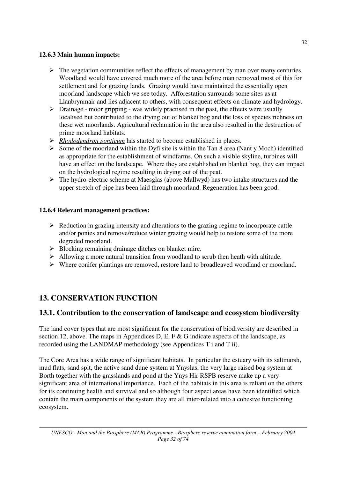## **12.6.3 Main human impacts:**

- $\triangleright$  The vegetation communities reflect the effects of management by man over many centuries. Woodland would have covered much more of the area before man removed most of this for settlement and for grazing lands. Grazing would have maintained the essentially open moorland landscape which we see today. Afforestation surrounds some sites as at Llanbrynmair and lies adjacent to others, with consequent effects on climate and hydrology.
- $\triangleright$  Drainage moor gripping was widely practised in the past, the effects were usually localised but contributed to the drying out of blanket bog and the loss of species richness on these wet moorlands. Agricultural reclamation in the area also resulted in the destruction of prime moorland habitats.
- *Rhododendron ponticum* has started to become established in places.
- $\triangleright$  Some of the moorland within the Dyfi site is within the Tan 8 area (Nant y Moch) identified as appropriate for the establishment of windfarms. On such a visible skyline, turbines will have an effect on the landscape. Where they are established on blanket bog, they can impact on the hydrological regime resulting in drying out of the peat.
- $\triangleright$  The hydro-electric scheme at Maesglas (above Mallwyd) has two intake structures and the upper stretch of pipe has been laid through moorland. Regeneration has been good.

## **12.6.4 Relevant management practices:**

- $\triangleright$  Reduction in grazing intensity and alterations to the grazing regime to incorporate cattle and/or ponies and remove/reduce winter grazing would help to restore some of the more degraded moorland.
- $\triangleright$  Blocking remaining drainage ditches on blanket mire.
- $\triangleright$  Allowing a more natural transition from woodland to scrub then heath with altitude.
- Where conifer plantings are removed, restore land to broadleaved woodland or moorland.

# **13. CONSERVATION FUNCTION**

# **13.1. Contribution to the conservation of landscape and ecosystem biodiversity**

The land cover types that are most significant for the conservation of biodiversity are described in section 12, above. The maps in Appendices D, E, F  $\&$  G indicate aspects of the landscape, as recorded using the LANDMAP methodology (see Appendices T i and T ii).

The Core Area has a wide range of significant habitats. In particular the estuary with its saltmarsh, mud flats, sand spit, the active sand dune system at Ynyslas, the very large raised bog system at Borth together with the grasslands and pond at the Ynys Hir RSPB reserve make up a very significant area of international importance. Each of the habitats in this area is reliant on the others for its continuing health and survival and so although four aspect areas have been identified which contain the main components of the system they are all inter-related into a cohesive functioning ecosystem.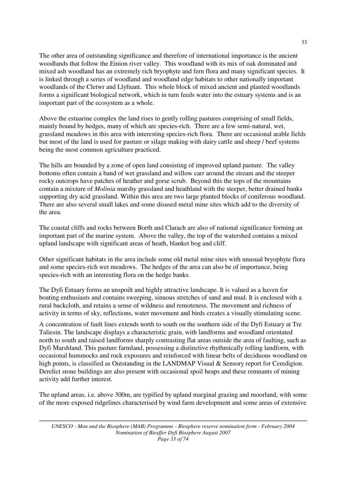The other area of outstanding significance and therefore of international importance is the ancient woodlands that follow the Einion river valley. This woodland with its mix of oak dominated and mixed ash woodland has an extremely rich bryophyte and fern flora and many significant species. It is linked through a series of woodland and woodland edge habitats to other nationally important woodlands of the Cletwr and Llyfnant. This whole block of mixed ancient and planted woodlands forms a significant biological network, which in turn feeds water into the estuary systems and is an important part of the ecosystem as a whole.

Above the estuarine complex the land rises to gently rolling pastures comprising of small fields, mainly bound by hedges, many of which are species-rich. There are a few semi-natural, wet, grassland meadows in this area with interesting species-rich flora. There are occasional arable fields but most of the land is used for pasture or silage making with dairy cattle and sheep / beef systems being the most common agriculture practiced.

The hills are bounded by a zone of open land consisting of improved upland pasture. The valley bottoms often contain a band of wet grassland and willow carr around the stream and the steeper rocky outcrops have patches of heather and gorse scrub. Beyond this the tops of the mountains contain a mixture of *Molinia* marshy grassland and heathland with the steeper, better drained banks supporting dry acid grassland. Within this area are two large planted blocks of coniferous woodland. There are also several small lakes and some disused metal mine sites which add to the diversity of the area.

The coastal cliffs and rocks between Borth and Clarach are also of national significance forming an important part of the marine system. Above the valley, the top of the watershed contains a mixed upland landscape with significant areas of heath, blanket bog and cliff.

Other significant habitats in the area include some old metal mine sites with unusual bryophyte flora and some species-rich wet meadows. The hedges of the area can also be of importance, being species-rich with an interesting flora on the hedge banks.

The Dyfi Estuary forms an unspoilt and highly attractive landscape. It is valued as a haven for boating enthusiasts and contains sweeping, sinuous stretches of sand and mud. It is enclosed with a rural backcloth, and retains a sense of wildness and remoteness. The movement and richness of activity in terms of sky, reflections, water movement and birds creates a visually stimulating scene.

A concentration of fault lines extends north to south on the southern side of the Dyfi Estuary at Tre Taliesin. The landscape displays a characteristic grain, with landforms and woodland orientated north to south and raised landforms sharply contrasting flat areas outside the area of faulting, such as Dyfi Marshland. This pasture farmland, possessing a distinctive rhythmically rolling landform, with occasional hummocks and rock exposures and reinforced with linear belts of deciduous woodland on high points, is classified as Outstanding in the LANDMAP Visual & Sensory report for Ceredigion. Derelict stone buildings are also present with occasional spoil heaps and these remnants of mining activity add further interest.

The upland areas, i.e. above 300m, are typified by upland marginal grazing and moorland, with some of the more exposed ridgelines characterised by wind farm development and some areas of extensive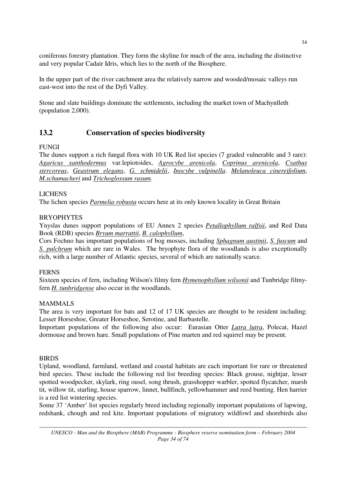coniferous forestry plantation. They form the skyline for much of the area, including the distinctive and very popular Cadair Idris, which lies to the north of the Biosphere.

In the upper part of the river catchment area the relatively narrow and wooded/mosaic valleys run east-west into the rest of the Dyfi Valley.

Stone and slate buildings dominate the settlements, including the market town of Machynlleth (population 2,000).

# **13.2 Conservation of species biodiversity**

### **FUNGI**

The dunes support a rich fungal flora with 10 UK Red list species (7 graded vulnerable and 3 rare): *Agaricus xanthodermus* var.lepiotoides, *Agrocybe arenicola*, *Coprinus arenicola*, *Cyathus stercoreus*, *Geastrum elegans*, *G. schmidelii*, *Inocybe vulpinella*. *Melanoleuca cinereifolium*, *M.schumacheri* and *Trichoglossum rasum*.

### LICHENS

The lichen species *Parmelia robusta* occurs here at its only known locality in Great Britain

### **BRYOPHYTES**

Ynyslas dunes support populations of EU Annex 2 species *Petallophyllum ralfsii*, and Red Data Book (RDB) species *Bryum marrattii*, *B. calophyllum*,

Cors Fochno has important populations of bog mosses, including *Sphagnum austinii*, *S. fuscum* and *S. pulchrum* which are rare in Wales. The bryophyte flora of the woodlands is also exceptionally rich, with a large number of Atlantic species, several of which are nationally scarce.

### **FERNS**

Sixteen species of fern, including Wilson's filmy fern *Hymenophyllum wilsonii* and Tunbridge filmyfern *H. tunbridgense* also occur in the woodlands.

### MAMMALS

The area is very important for bats and 12 of 17 UK species are thought to be resident including: Lesser Horseshoe, Greater Horseshoe, Serotine, and Barbastelle.

Important populations of the following also occur: Eurasian Otter *Lutra lutra*, Polecat, Hazel dormouse and brown hare. Small populations of Pine marten and red squirrel may be present.

### **BIRDS**

Upland, woodland, farmland, wetland and coastal habitats are each important for rare or threatened bird species. These include the following red list breeding species: Black grouse, nightjar, lesser spotted woodpecker, skylark, ring ousel, song thrush, grasshopper warbler, spotted flycatcher, marsh tit, willow tit, starling, house sparrow, linnet, bullfinch, yellowhammer and reed bunting. Hen harrier is a red list wintering species.

Some 37 'Amber' list species regularly breed including regionally important populations of lapwing, redshank, chough and red kite. Important populations of migratory wildfowl and shorebirds also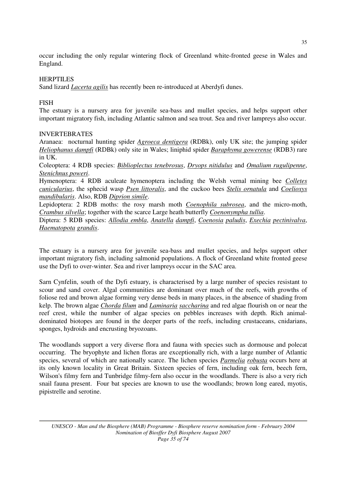occur including the only regular wintering flock of Greenland white-fronted geese in Wales and England.

### **HERPTILES**

Sand lizard *Lacerta agilis* has recently been re-introduced at Aberdyfi dunes.

### FISH

The estuary is a nursery area for juvenile sea-bass and mullet species, and helps support other important migratory fish, including Atlantic salmon and sea trout. Sea and river lampreys also occur.

### INVERTEBRATES

Aranaea: nocturnal hunting spider *Agroeca dentigera* (RDBk), only UK site; the jumping spider *Heliophanus dampfi* (RDBk) only site in Wales; liniphid spider *Baraphyma gowerense* (RDB3) rare in UK.

Coleoptera: 4 RDB species: *Biblioplectus tenebrosus*, *Dryops nitidulus* and *Omalium rugulipenne*, *Stenichnus poweri*.

Hymenoptera: 4 RDB aculeate hymenoptera including the Welsh vernal mining bee *Colletes cunicularius*, the sphecid wasp *Psen littoralis*, and the cuckoo bees *Stelis ornatula* and *Coelioxys mandibularis*. Also, RDB *Diprion simile*.

Lepidoptera: 2 RDB moths: the rosy marsh moth *Coenophila subrosea*, and the micro-moth, *Crambus silvella*; together with the scarce Large heath butterfly *Coenonympha tullia*.

Diptera: 5 RDB species: *Allodia embla*, *Anatella dampfi*, *Coenosia paludis*, *Exechia pectinivalva*, *Haematopota grandis*.

The estuary is a nursery area for juvenile sea-bass and mullet species, and helps support other important migratory fish, including salmonid populations. A flock of Greenland white fronted geese use the Dyfi to over-winter. Sea and river lampreys occur in the SAC area.

Sarn Cynfelin, south of the Dyfi estuary, is characterised by a large number of species resistant to scour and sand cover. Algal communities are dominant over much of the reefs, with growths of foliose red and brown algae forming very dense beds in many places, in the absence of shading from kelp. The brown algae *Chorda filum* and *Laminaria saccharina* and red algae flourish on or near the reef crest, while the number of algae species on pebbles increases with depth. Rich animaldominated biotopes are found in the deeper parts of the reefs, including crustaceans, cnidarians, sponges, hydroids and encrusting bryozoans.

The woodlands support a very diverse flora and fauna with species such as dormouse and polecat occurring. The bryophyte and lichen floras are exceptionally rich, with a large number of Atlantic species, several of which are nationally scarce. The lichen species *Parmelia robusta* occurs here at its only known locality in Great Britain. Sixteen species of fern, including oak fern, beech fern, Wilson's filmy fern and Tunbridge filmy-fern also occur in the woodlands. There is also a very rich snail fauna present. Four bat species are known to use the woodlands; brown long eared, myotis, pipistrelle and serotine.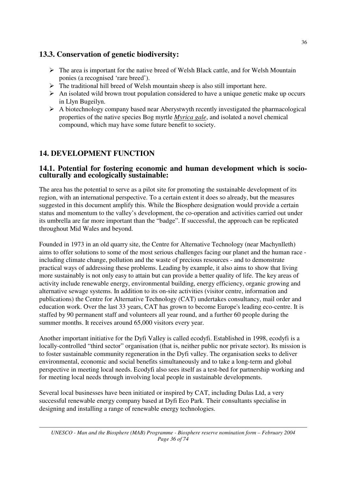# **13.3. Conservation of genetic biodiversity:**

- $\triangleright$  The area is important for the native breed of Welsh Black cattle, and for Welsh Mountain ponies (a recognised 'rare breed').
- $\triangleright$  The traditional hill breed of Welsh mountain sheep is also still important here.
- $\triangleright$  An isolated wild brown trout population considered to have a unique genetic make up occurs in Llyn Bugeilyn.
- $\triangleright$  A biotechnology company based near Aberystwyth recently investigated the pharmacological properties of the native species Bog myrtle *Myrica gale*, and isolated a novel chemical compound, which may have some future benefit to society.

# **14. DEVELOPMENT FUNCTION**

## **14.1. Potential for fostering economic and human development which is socioculturally and ecologically sustainable:**

The area has the potential to serve as a pilot site for promoting the sustainable development of its region, with an international perspective. To a certain extent it does so already, but the measures suggested in this document amplify this. While the Biosphere designation would provide a certain status and momentum to the valley's development, the co-operation and activities carried out under its umbrella are far more important than the "badge". If successful, the approach can be replicated throughout Mid Wales and beyond.

Founded in 1973 in an old quarry site, the Centre for Alternative Technology (near Machynlleth) aims to offer solutions to some of the most serious challenges facing our planet and the human race including climate change, pollution and the waste of precious resources - and to demonstrate practical ways of addressing these problems. Leading by example, it also aims to show that living more sustainably is not only easy to attain but can provide a better quality of life. The key areas of activity include renewable energy, environmental building, energy efficiency, organic growing and alternative sewage systems. In addition to its on-site activities (visitor centre, information and publications) the Centre for Alternative Technology (CAT) undertakes consultancy, mail order and education work. Over the last 33 years, CAT has grown to become Europe's leading eco-centre. It is staffed by 90 permanent staff and volunteers all year round, and a further 60 people during the summer months. It receives around 65,000 visitors every year.

Another important initiative for the Dyfi Valley is called ecodyfi. Established in 1998, ecodyfi is a locally-controlled "third sector" organisation (that is, neither public nor private sector). Its mission is to foster sustainable community regeneration in the Dyfi valley. The organisation seeks to deliver environmental, economic and social benefits simultaneously and to take a long-term and global perspective in meeting local needs. Ecodyfi also sees itself as a test-bed for partnership working and for meeting local needs through involving local people in sustainable developments.

Several local businesses have been initiated or inspired by CAT, including Dulas Ltd, a very successful renewable energy company based at Dyfi Eco Park. Their consultants specialise in designing and installing a range of renewable energy technologies.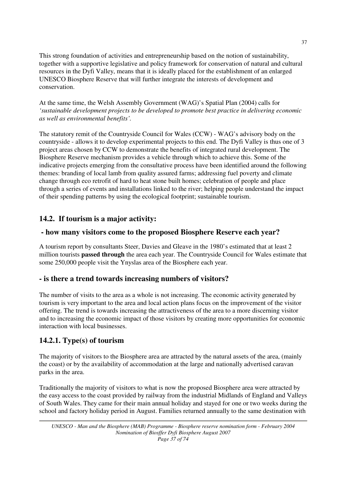This strong foundation of activities and entrepreneurship based on the notion of sustainability, together with a supportive legislative and policy framework for conservation of natural and cultural resources in the Dyfi Valley, means that it is ideally placed for the establishment of an enlarged UNESCO Biosphere Reserve that will further integrate the interests of development and conservation.

At the same time, the Welsh Assembly Government (WAG)'s Spatial Plan (2004) calls for *'sustainable development projects to be developed to promote best practice in delivering economic as well as environmental benefits'.* 

The statutory remit of the Countryside Council for Wales (CCW) - WAG's advisory body on the countryside - allows it to develop experimental projects to this end. The Dyfi Valley is thus one of 3 project areas chosen by CCW to demonstrate the benefits of integrated rural development. The Biosphere Reserve mechanism provides a vehicle through which to achieve this. Some of the indicative projects emerging from the consultative process have been identified around the following themes: branding of local lamb from quality assured farms; addressing fuel poverty and climate change through eco retrofit of hard to heat stone built homes; celebration of people and place through a series of events and installations linked to the river; helping people understand the impact of their spending patterns by using the ecological footprint; sustainable tourism.

## **14.2. If tourism is a major activity:**

## **- how many visitors come to the proposed Biosphere Reserve each year?**

A tourism report by consultants Steer, Davies and Gleave in the 1980's estimated that at least 2 million tourists **passed through** the area each year. The Countryside Council for Wales estimate that some 250,000 people visit the Ynyslas area of the Biosphere each year.

## **- is there a trend towards increasing numbers of visitors?**

The number of visits to the area as a whole is not increasing. The economic activity generated by tourism is very important to the area and local action plans focus on the improvement of the visitor offering. The trend is towards increasing the attractiveness of the area to a more discerning visitor and to increasing the economic impact of those visitors by creating more opportunities for economic interaction with local businesses.

## **14.2.1. Type(s) of tourism**

The majority of visitors to the Biosphere area are attracted by the natural assets of the area, (mainly the coast) or by the availability of accommodation at the large and nationally advertised caravan parks in the area.

Traditionally the majority of visitors to what is now the proposed Biosphere area were attracted by the easy access to the coast provided by railway from the industrial Midlands of England and Valleys of South Wales. They came for their main annual holiday and stayed for one or two weeks during the school and factory holiday period in August. Families returned annually to the same destination with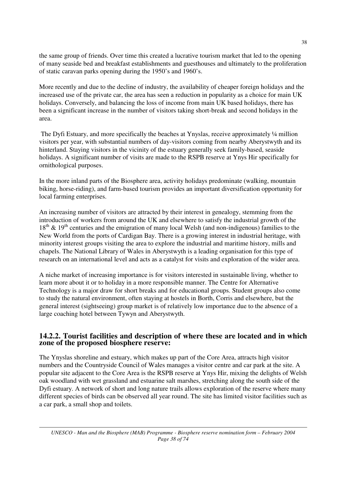the same group of friends. Over time this created a lucrative tourism market that led to the opening of many seaside bed and breakfast establishments and guesthouses and ultimately to the proliferation of static caravan parks opening during the 1950's and 1960's.

More recently and due to the decline of industry, the availability of cheaper foreign holidays and the increased use of the private car, the area has seen a reduction in popularity as a choice for main UK holidays. Conversely, and balancing the loss of income from main UK based holidays, there has been a significant increase in the number of visitors taking short-break and second holidays in the area.

The Dyfi Estuary, and more specifically the beaches at Ynyslas, receive approximately  $\frac{1}{4}$  million visitors per year, with substantial numbers of day-visitors coming from nearby Aberystwyth and its hinterland. Staying visitors in the vicinity of the estuary generally seek family-based, seaside holidays. A significant number of visits are made to the RSPB reserve at Ynys Hir specifically for ornithological purposes.

In the more inland parts of the Biosphere area, activity holidays predominate (walking, mountain biking, horse-riding), and farm-based tourism provides an important diversification opportunity for local farming enterprises.

An increasing number of visitors are attracted by their interest in genealogy, stemming from the introduction of workers from around the UK and elsewhere to satisfy the industrial growth of the  $18<sup>th</sup>$  &  $19<sup>th</sup>$  centuries and the emigration of many local Welsh (and non-indigenous) families to the New World from the ports of Cardigan Bay. There is a growing interest in industrial heritage, with minority interest groups visiting the area to explore the industrial and maritime history, mills and chapels. The National Library of Wales in Aberystwyth is a leading organisation for this type of research on an international level and acts as a catalyst for visits and exploration of the wider area.

A niche market of increasing importance is for visitors interested in sustainable living, whether to learn more about it or to holiday in a more responsible manner. The Centre for Alternative Technology is a major draw for short breaks and for educational groups. Student groups also come to study the natural environment, often staying at hostels in Borth, Corris and elsewhere, but the general interest (sightseeing) group market is of relatively low importance due to the absence of a large coaching hotel between Tywyn and Aberystwyth.

### **14.2.2. Tourist facilities and description of where these are located and in which zone of the proposed biosphere reserve:**

The Ynyslas shoreline and estuary, which makes up part of the Core Area, attracts high visitor numbers and the Countryside Council of Wales manages a visitor centre and car park at the site. A popular site adjacent to the Core Area is the RSPB reserve at Ynys Hir, mixing the delights of Welsh oak woodland with wet grassland and estuarine salt marshes, stretching along the south side of the Dyfi estuary. A network of short and long nature trails allows exploration of the reserve where many different species of birds can be observed all year round. The site has limited visitor facilities such as a car park, a small shop and toilets.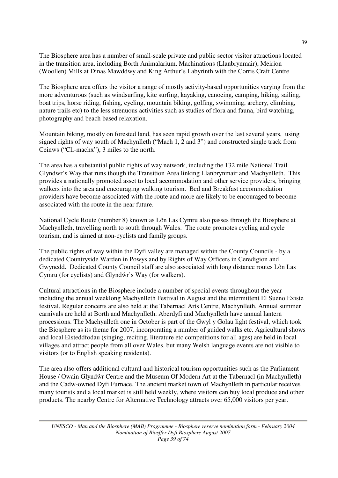The Biosphere area has a number of small-scale private and public sector visitor attractions located in the transition area, including Borth Animalarium, Machinations (Llanbrynmair), Meirion (Woollen) Mills at Dinas Mawddwy and King Arthur's Labyrinth with the Corris Craft Centre.

The Biosphere area offers the visitor a range of mostly activity-based opportunities varying from the more adventurous (such as windsurfing, kite surfing, kayaking, canoeing, camping, hiking, sailing, boat trips, horse riding, fishing, cycling, mountain biking, golfing, swimming, archery, climbing, nature trails etc) to the less strenuous activities such as studies of flora and fauna, bird watching, photography and beach based relaxation.

Mountain biking, mostly on forested land, has seen rapid growth over the last several years, using signed rights of way south of Machynlleth ("Mach 1, 2 and 3") and constructed single track from Ceinws ("Cli-machx"), 3 miles to the north.

The area has a substantial public rights of way network, including the 132 mile National Trail Glyndwr's Way that runs though the Transition Area linking Llanbrynmair and Machynlleth. This provides a nationally promoted asset to local accommodation and other service providers, bringing walkers into the area and encouraging walking tourism. Bed and Breakfast accommodation providers have become associated with the route and more are likely to be encouraged to become associated with the route in the near future.

National Cycle Route (number 8) known as Lôn Las Cymru also passes through the Biosphere at Machynlleth, travelling north to south through Wales. The route promotes cycling and cycle tourism, and is aimed at non-cyclists and family groups.

The public rights of way within the Dyfi valley are managed within the County Councils - by a dedicated Countryside Warden in Powys and by Rights of Way Officers in Ceredigion and Gwynedd. Dedicated County Council staff are also associated with long distance routes Lôn Las Cymru (for cyclists) and Glyndŵr's Way (for walkers).

Cultural attractions in the Biosphere include a number of special events throughout the year including the annual weeklong Machynlleth Festival in August and the intermittent El Sueno Existe festival. Regular concerts are also held at the Tabernacl Arts Centre, Machynlleth. Annual summer carnivals are held at Borth and Machynlleth. Aberdyfi and Machynlleth have annual lantern processions. The Machynlleth one in October is part of the Gwyl y Golau light festival, which took the Biosphere as its theme for 2007, incorporating a number of guided walks etc. Agricultural shows and local Eisteddfodau (singing, reciting, literature etc competitions for all ages) are held in local villages and attract people from all over Wales, but many Welsh language events are not visible to visitors (or to English speaking residents).

The area also offers additional cultural and historical tourism opportunities such as the Parliament House / Owain Glyndŵr Centre and the Museum Of Modern Art at the Tabernacl (in Machynlleth) and the Cadw-owned Dyfi Furnace. The ancient market town of Machynlleth in particular receives many tourists and a local market is still held weekly, where visitors can buy local produce and other products. The nearby Centre for Alternative Technology attracts over 65,000 visitors per year.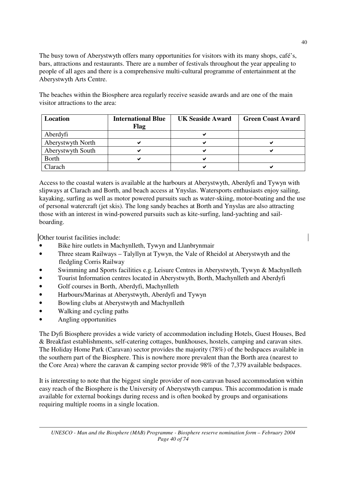The busy town of Aberystwyth offers many opportunities for visitors with its many shops, café's, bars, attractions and restaurants. There are a number of festivals throughout the year appealing to people of all ages and there is a comprehensive multi-cultural programme of entertainment at the Aberystwyth Arts Centre.

The beaches within the Biosphere area regularly receive seaside awards and are one of the main visitor attractions to the area:

| Location          | <b>International Blue</b><br>Flag | <b>UK Seaside Award</b> | <b>Green Coast Award</b> |
|-------------------|-----------------------------------|-------------------------|--------------------------|
|                   |                                   |                         |                          |
| Aberdyfi          |                                   |                         |                          |
| Aberystwyth North |                                   |                         |                          |
| Aberystwyth South |                                   |                         |                          |
| <b>Borth</b>      |                                   |                         |                          |
| Clarach           |                                   |                         |                          |

Access to the coastal waters is available at the harbours at Aberystwyth, Aberdyfi and Tywyn with slipways at Clarach and Borth, and beach access at Ynyslas. Watersports enthusiasts enjoy sailing, kayaking, surfing as well as motor powered pursuits such as water-skiing, motor-boating and the use of personal watercraft (jet skis). The long sandy beaches at Borth and Ynyslas are also attracting those with an interest in wind-powered pursuits such as kite-surfing, land-yachting and sailboarding.

Other tourist facilities include:

- Bike hire outlets in Machynlleth, Tywyn and Llanbrynmair
- Three steam Railways Talyllyn at Tywyn, the Vale of Rheidol at Aberystwyth and the fledgling Corris Railway
- Swimming and Sports facilities e.g. Leisure Centres in Aberystwyth, Tywyn & Machynlleth
- Tourist Information centres located in Aberystwyth, Borth, Machynlleth and Aberdyfi
- Golf courses in Borth, Aberdyfi, Machynlleth
- Harbours/Marinas at Aberystwyth, Aberdyfi and Tywyn
- Bowling clubs at Aberystwyth and Machynlleth
- Walking and cycling paths
- Angling opportunities

The Dyfi Biosphere provides a wide variety of accommodation including Hotels, Guest Houses, Bed & Breakfast establishments, self-catering cottages, bunkhouses, hostels, camping and caravan sites. The Holiday Home Park (Caravan) sector provides the majority (78%) of the bedspaces available in the southern part of the Biosphere. This is nowhere more prevalent than the Borth area (nearest to the Core Area) where the caravan & camping sector provide 98% of the 7,379 available bedspaces.

It is interesting to note that the biggest single provider of non-caravan based accommodation within easy reach of the Biosphere is the University of Aberystwyth campus. This accommodation is made available for external bookings during recess and is often booked by groups and organisations requiring multiple rooms in a single location.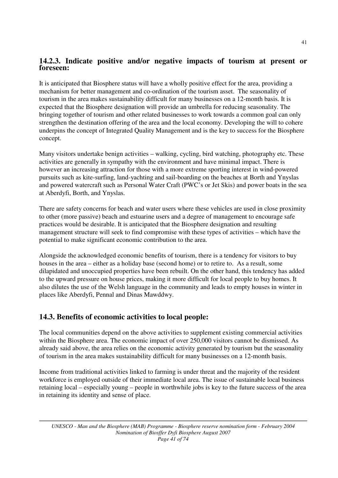## **14.2.3. Indicate positive and/or negative impacts of tourism at present or foreseen:**

It is anticipated that Biosphere status will have a wholly positive effect for the area, providing a mechanism for better management and co-ordination of the tourism asset. The seasonality of tourism in the area makes sustainability difficult for many businesses on a 12-month basis. It is expected that the Biosphere designation will provide an umbrella for reducing seasonality. The bringing together of tourism and other related businesses to work towards a common goal can only strengthen the destination offering of the area and the local economy. Developing the will to cohere underpins the concept of Integrated Quality Management and is the key to success for the Biosphere concept.

Many visitors undertake benign activities – walking, cycling, bird watching, photography etc. These activities are generally in sympathy with the environment and have minimal impact. There is however an increasing attraction for those with a more extreme sporting interest in wind-powered pursuits such as kite-surfing, land-yachting and sail-boarding on the beaches at Borth and Ynyslas and powered watercraft such as Personal Water Craft (PWC's or Jet Skis) and power boats in the sea at Aberdyfi, Borth, and Ynyslas.

There are safety concerns for beach and water users where these vehicles are used in close proximity to other (more passive) beach and estuarine users and a degree of management to encourage safe practices would be desirable. It is anticipated that the Biosphere designation and resulting management structure will seek to find compromise with these types of activities – which have the potential to make significant economic contribution to the area.

Alongside the acknowledged economic benefits of tourism, there is a tendency for visitors to buy houses in the area – either as a holiday base (second home) or to retire to. As a result, some dilapidated and unoccupied properties have been rebuilt. On the other hand, this tendency has added to the upward pressure on house prices, making it more difficult for local people to buy homes. It also dilutes the use of the Welsh language in the community and leads to empty houses in winter in places like Aberdyfi, Pennal and Dinas Mawddwy.

## **14.3. Benefits of economic activities to local people:**

The local communities depend on the above activities to supplement existing commercial activities within the Biosphere area. The economic impact of over 250,000 visitors cannot be dismissed. As already said above, the area relies on the economic activity generated by tourism but the seasonality of tourism in the area makes sustainability difficult for many businesses on a 12-month basis.

Income from traditional activities linked to farming is under threat and the majority of the resident workforce is employed outside of their immediate local area. The issue of sustainable local business retaining local – especially young – people in worthwhile jobs is key to the future success of the area in retaining its identity and sense of place.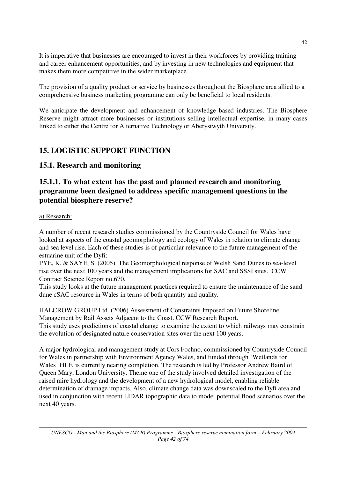It is imperative that businesses are encouraged to invest in their workforces by providing training and career enhancement opportunities, and by investing in new technologies and equipment that makes them more competitive in the wider marketplace.

The provision of a quality product or service by businesses throughout the Biosphere area allied to a comprehensive business marketing programme can only be beneficial to local residents.

We anticipate the development and enhancement of knowledge based industries. The Biosphere Reserve might attract more businesses or institutions selling intellectual expertise, in many cases linked to either the Centre for Alternative Technology or Aberystwyth University.

# **15. LOGISTIC SUPPORT FUNCTION**

## **15.1. Research and monitoring**

## **15.1.1. To what extent has the past and planned research and monitoring programme been designed to address specific management questions in the potential biosphere reserve?**

#### a) Research:

A number of recent research studies commissioned by the Countryside Council for Wales have looked at aspects of the coastal geomorphology and ecology of Wales in relation to climate change and sea level rise. Each of these studies is of particular relevance to the future management of the estuarine unit of the Dyfi:

PYE, K. & SAYE, S. (2005) The Geomorphological response of Welsh Sand Dunes to sea-level rise over the next 100 years and the management implications for SAC and SSSI sites. CCW Contract Science Report no.670.

This study looks at the future management practices required to ensure the maintenance of the sand dune cSAC resource in Wales in terms of both quantity and quality.

HALCROW GROUP Ltd. (2006) Assessment of Constraints Imposed on Future Shoreline Management by Rail Assets Adjacent to the Coast. CCW Research Report. This study uses predictions of coastal change to examine the extent to which railways may constrain the evolution of designated nature conservation sites over the next 100 years.

A major hydrological and management study at Cors Fochno, commissioned by Countryside Council for Wales in partnership with Environment Agency Wales, and funded through 'Wetlands for Wales' HLF, is currently nearing completion. The research is led by Professor Andrew Baird of Queen Mary, London University. Theme one of the study involved detailed investigation of the raised mire hydrology and the development of a new hydrological model, enabling reliable determination of drainage impacts. Also, climate change data was downscaled to the Dyfi area and used in conjunction with recent LIDAR topographic data to model potential flood scenarios over the next 40 years.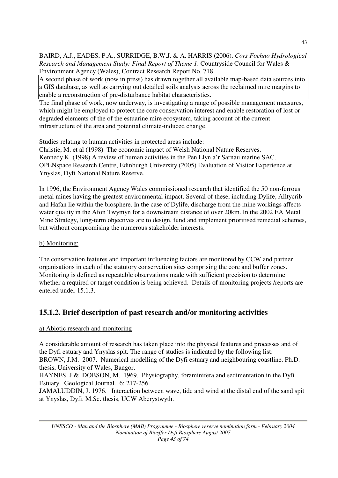BAIRD, A.J., EADES, P.A., SURRIDGE, B.W.J. & A. HARRIS (2006). *Cors Fochno Hydrological Research and Management Study: Final Report of Theme 1*. Countryside Council for Wales & Environment Agency (Wales), Contract Research Report No. 718.

A second phase of work (now in press) has drawn together all available map-based data sources into a GIS database, as well as carrying out detailed soils analysis across the reclaimed mire margins to enable a reconstruction of pre-disturbance habitat characteristics.

The final phase of work, now underway, is investigating a range of possible management measures, which might be employed to protect the core conservation interest and enable restoration of lost or degraded elements of the of the estuarine mire ecosystem, taking account of the current infrastructure of the area and potential climate-induced change.

Studies relating to human activities in protected areas include:

Christie, M. et al (1998) The economic impact of Welsh National Nature Reserves. Kennedy K. (1998) A review of human activities in the Pen Llyn a'r Sarnau marine SAC. OPENspace Research Centre, Edinburgh University (2005) Evaluation of Visitor Experience at Ynyslas, Dyfi National Nature Reserve.

In 1996, the Environment Agency Wales commissioned research that identified the 50 non-ferrous metal mines having the greatest environmental impact. Several of these, including Dylife, Alltycrib and Hafan lie within the biosphere. In the case of Dylife, discharge from the mine workings affects water quality in the Afon Twymyn for a downstream distance of over 20km. In the 2002 EA Metal Mine Strategy, long-term objectives are to design, fund and implement prioritised remedial schemes, but without compromising the numerous stakeholder interests.

### b) Monitoring:

The conservation features and important influencing factors are monitored by CCW and partner organisations in each of the statutory conservation sites comprising the core and buffer zones. Monitoring is defined as repeatable observations made with sufficient precision to determine whether a required or target condition is being achieved. Details of monitoring projects /reports are entered under 15.1.3.

## **15.1.2. Brief description of past research and/or monitoring activities**

#### a) Abiotic research and monitoring

A considerable amount of research has taken place into the physical features and processes and of the Dyfi estuary and Ynyslas spit. The range of studies is indicated by the following list: BROWN, J.M. 2007. Numerical modelling of the Dyfi estuary and neighbouring coastline. Ph.D. thesis, University of Wales, Bangor.

HAYNES, J & DOBSON, M. 1969. Physiography, foraminifera and sedimentation in the Dyfi Estuary. Geological Journal. 6: 217-256.

JAMALUDDIN, J. 1976. Interaction between wave, tide and wind at the distal end of the sand spit at Ynyslas, Dyfi. M.Sc. thesis, UCW Aberystwyth.

*UNESCO - Man and the Biosphere (MAB) Programme - Biosphere reserve nomination form - February 2004 Nomination of Biosffer Dyfi Biosphere August 2007 Page 43 of 74*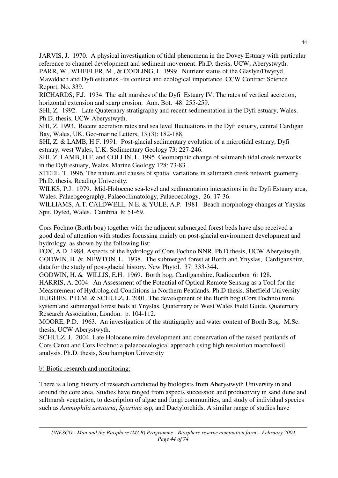JARVIS, J. 1970. A physical investigation of tidal phenomena in the Dovey Estuary with particular reference to channel development and sediment movement. Ph.D. thesis, UCW, Aberystwyth. PARR, W., WHEELER, M., & CODLING, I. 1999. Nutrient status of the Glaslyn/Dwyryd,

Mawddach and Dyfi estuaries –its context and ecological importance. CCW Contract Science Report, No. 339.

RICHARDS, F.J. 1934. The salt marshes of the Dyfi Estuary IV. The rates of vertical accretion, horizontal extension and scarp erosion. Ann. Bot. 48: 255-259.

SHI, Z. 1992. Late Quaternary stratigraphy and recent sedimentation in the Dyfi estuary, Wales. Ph.D. thesis, UCW Aberystwyth.

SHI, Z. 1993. Recent accretion rates and sea level fluctuations in the Dyfi estuary, central Cardigan Bay, Wales, UK. Geo-marine Letters, 13 (3): 182-188.

SHI, Z. & LAMB, H.F. 1991. Post-glacial sedimentary evolution of a microtidal estuary, Dyfi estuary, west Wales, U.K. Sedimentary Geology 73: 227-246.

SHI, Z. LAMB, H.F. and COLLIN, L. 1995. Geomorphic change of saltmarsh tidal creek networks in the Dyfi estuary, Wales. Marine Geology 128: 73-83.

STEEL, T. 1996. The nature and causes of spatial variations in saltmarsh creek network geometry. Ph.D. thesis, Reading University.

WILKS, P.J. 1979. Mid-Holocene sea-level and sedimentation interactions in the Dyfi Estuary area, Wales. Palaeogeography, Palaeoclimatology, Palaeoecology, 26: 17-36.

WILLIAMS, A.T. CALDWELL, N.E. & YULE, A.P. 1981. Beach morphology changes at Ynyslas Spit, Dyfed, Wales. Cambria 8: 51-69.

Cors Fochno (Borth bog) together with the adjacent submerged forest beds have also received a good deal of attention with studies focussing mainly on post-glacial environment development and hydrology, as shown by the following list:

FOX, A.D. 1984. Aspects of the hydrology of Cors Fochno NNR. Ph.D.thesis, UCW Aberystwyth. GODWIN, H. & NEWTON, L. 1938. The submerged forest at Borth and Ynyslas, Cardiganshire, data for the study of post-glacial history. New Phytol. 37: 333-344.

GODWIN, H. & WILLIS, E.H. 1969. Borth bog, Cardiganshire. Radiocarbon 6: 128. HARRIS, A. 2004. An Assessment of the Potential of Optical Remote Sensing as a Tool for the Measurement of Hydrological Conditions in Northern Peatlands. Ph.D thesis. Sheffield University HUGHES, P.D.M. & SCHULZ, J. 2001. The development of the Borth bog (Cors Fochno) mire system and submerged forest beds at Ynyslas. Quaternary of West Wales Field Guide. Quaternary Research Association, London. p. 104-112.

MOORE, P.D. 1963. An investigation of the stratigraphy and water content of Borth Bog. M.Sc. thesis, UCW Aberystwyth.

SCHULZ, J. 2004. Late Holocene mire development and conservation of the raised peatlands of Cors Caron and Cors Fochno: a palaeoecological approach using high resolution macrofossil analysis. Ph.D. thesis, Southampton University

b) Biotic research and monitoring:

There is a long history of research conducted by biologists from Aberystwyth University in and around the core area. Studies have ranged from aspects succession and productivity in sand dune and saltmarsh vegetation, to description of algae and fungi communities, and study of individual species such as *Ammophila arenaria*, *Spartina* ssp, and Dactylorchids. A similar range of studies have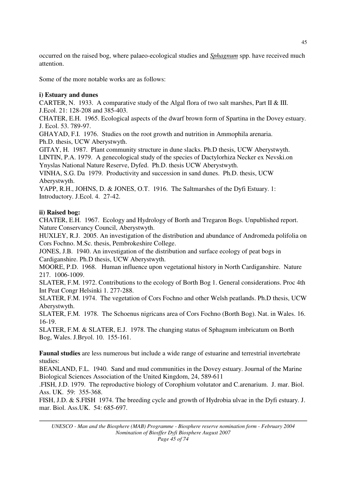occurred on the raised bog, where palaeo-ecological studies and *Sphagnum* spp. have received much attention.

Some of the more notable works are as follows:

#### **i) Estuary and dunes**

CARTER, N. 1933. A comparative study of the Algal flora of two salt marshes, Part II & III. J.Ecol. 21: 128-208 and 385-403.

CHATER, E.H. 1965. Ecological aspects of the dwarf brown form of Spartina in the Dovey estuary. J. Ecol. 53. 789-97.

GHAYAD, F.I. 1976. Studies on the root growth and nutrition in Ammophila arenaria. Ph.D. thesis, UCW Aberystwyth.

GITAY, H. 1987. Plant community structure in dune slacks. Ph.D thesis, UCW Aberystwyth. LINTIN, P.A. 1979. A genecological study of the species of Dactylorhiza Necker ex Nevski.on Ynyslas National Nature Reserve, Dyfed. Ph.D. thesis UCW Aberystwyth.

VINHA, S.G. Da 1979. Productivity and succession in sand dunes. Ph.D. thesis, UCW Aberystwyth.

YAPP, R.H., JOHNS, D. & JONES, O.T. 1916. The Saltmarshes of the Dyfi Estuary. 1: Introductory. J.Ecol. 4. 27-42.

#### **ii) Raised bog:**

CHATER, E.H. 1967. Ecology and Hydrology of Borth and Tregaron Bogs. Unpublished report. Nature Conservancy Council, Aberystwyth.

HUXLEY, R.J. 2005. An investigation of the distribution and abundance of Andromeda polifolia on Cors Fochno. M.Sc. thesis, Pembrokeshire College.

JONES, J.B. 1940. An investigation of the distribution and surface ecology of peat bogs in Cardiganshire. Ph.D thesis, UCW Aberystwyth.

MOORE, P.D. 1968. Human influence upon vegetational history in North Cardiganshire. Nature 217. 1006-1009.

SLATER, F.M. 1972. Contributions to the ecology of Borth Bog 1. General considerations. Proc 4th Int Peat Congr Helsinki 1. 277-288.

SLATER, F.M. 1974. The vegetation of Cors Fochno and other Welsh peatlands. Ph.D thesis, UCW Aberystwyth.

SLATER, F.M. 1978. The Schoenus nigricans area of Cors Fochno (Borth Bog). Nat. in Wales. 16. 16-19.

SLATER, F.M. & SLATER, E.J. 1978. The changing status of Sphagnum imbricatum on Borth Bog, Wales. J.Bryol. 10. 155-161.

**Faunal studies** are less numerous but include a wide range of estuarine and terrestrial invertebrate studies:

BEANLAND, F.L. 1940. Sand and mud communities in the Dovey estuary. Journal of the Marine Biological Sciences Association of the United Kingdom, 24, 589-611

.FISH, J.D. 1979. The reproductive biology of Corophium volutator and C.arenarium. J. mar. Biol. Ass. UK. 59: 355-368.

FISH, J.D. & S.FISH 1974. The breeding cycle and growth of Hydrobia ulvae in the Dyfi estuary. J. mar. Biol. Ass.UK. 54: 685-697.

*UNESCO - Man and the Biosphere (MAB) Programme - Biosphere reserve nomination form - February 2004 Nomination of Biosffer Dyfi Biosphere August 2007*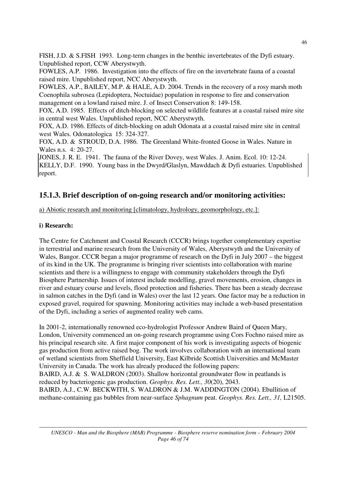FISH, J.D. & S.FISH 1993. Long-term changes in the benthic invertebrates of the Dyfi estuary. Unpublished report, CCW Aberystwyth.

FOWLES, A.P. 1986. Investigation into the effects of fire on the invertebrate fauna of a coastal raised mire. Unpublished report, NCC Aberystwyth.

FOWLES, A.P., BAILEY, M.P. & HALE, A.D. 2004. Trends in the recovery of a rosy marsh moth Coenophila subrosea (Lepidoptera, Noctuidae) population in response to fire and conservation management on a lowland raised mire. J. of Insect Conservation 8: 149-158.

FOX, A.D. 1985. Effects of ditch-blocking on selected wildlife features at a coastal raised mire site in central west Wales. Unpublished report, NCC Aberystwyth.

FOX, A.D. 1986. Effects of ditch-blocking on adult Odonata at a coastal raised mire site in central west Wales. Odonatologica 15: 324-327.

FOX, A.D. & STROUD, D.A. 1986. The Greenland White-fronted Goose in Wales. Nature in Wales n.s. 4: 20-27.

JONES, J. R. E. 1941. The fauna of the River Dovey, west Wales. J. Anim. Ecol. 10: 12-24. KELLY, D.F. 1990. Young bass in the Dwyrd/Glaslyn, Mawddach & Dyfi estuaries. Unpublished report.

## **15.1.3. Brief description of on-going research and/or monitoring activities:**

a) Abiotic research and monitoring [climatology, hydrology, geomorphology, etc.]:

### **i) Research:**

The Centre for Catchment and Coastal Research (CCCR) brings together complementary expertise in terrestrial and marine research from the University of Wales, Aberystwyth and the University of Wales, Bangor. CCCR began a major programme of research on the Dyfi in July 2007 – the biggest of its kind in the UK. The programme is bringing river scientists into collaboration with marine scientists and there is a willingness to engage with community stakeholders through the Dyfi Biosphere Partnership. Issues of interest include modelling, gravel movements, erosion, changes in river and estuary course and levels, flood protection and fisheries. There has been a steady decrease in salmon catches in the Dyfi (and in Wales) over the last 12 years. One factor may be a reduction in exposed gravel, required for spawning. Monitoring activities may include a web-based presentation of the Dyfi, including a series of augmented reality web cams.

In 2001-2, internationally renowned eco-hydrologist Professor Andrew Baird of Queen Mary, London, University commenced an on-going research programme using Cors Fochno raised mire as his principal research site. A first major component of his work is investigating aspects of biogenic gas production from active raised bog. The work involves collaboration with an international team of wetland scientists from Sheffield University, East Kilbride Scottish Universities and McMaster University in Canada. The work has already produced the following papers:

BAIRD, A.J. & S. WALDRON (2003). Shallow horizontal groundwater flow in peatlands is reduced by bacteriogenic gas production. *Geophys. Res. Lett., 30*(20), 2043.

BAIRD, A.J., C.W. BECKWITH, S. WALDRON & J.M. WADDINGTON (2004). Ebullition of methane-containing gas bubbles from near-surface *Sphagnum* peat. *Geophys. Res. Lett., 31,* L21505.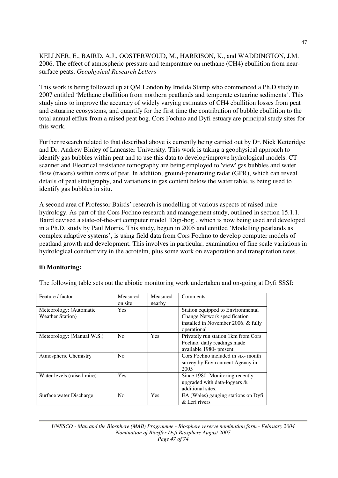KELLNER, E., BAIRD**,** A.J., OOSTERWOUD, M., HARRISON, K., and WADDINGTON, J.M. 2006. The effect of atmospheric pressure and temperature on methane (CH4) ebullition from nearsurface peats. *Geophysical Research Letters* 

This work is being followed up at QM London by Imelda Stamp who commenced a Ph.D study in 2007 entitled 'Methane ebullition from northern peatlands and temperate estuarine sediments'. This study aims to improve the accuracy of widely varying estimates of CH4 ebullition losses from peat and estuarine ecosystems, and quantify for the first time the contribution of bubble ebullition to the total annual efflux from a raised peat bog. Cors Fochno and Dyfi estuary are principal study sites for this work.

Further research related to that described above is currently being carried out by Dr. Nick Ketteridge and Dr. Andrew Binley of Lancaster University. This work is taking a geophysical approach to identify gas bubbles within peat and to use this data to develop/improve hydrological models. CT scanner and Electrical resistance tomography are being employed to 'view' gas bubbles and water flow (tracers) within cores of peat. In addition, ground-penetrating radar (GPR), which can reveal details of peat stratigraphy, and variations in gas content below the water table, is being used to identify gas bubbles in situ.

A second area of Professor Bairds' research is modelling of various aspects of raised mire hydrology. As part of the Cors Fochno research and management study, outlined in section 15.1.1. Baird devised a state-of-the-art computer model 'Digi-bog', which is now being used and developed in a Ph.D. study by Paul Morris. This study, begun in 2005 and entitled 'Modelling peatlands as complex adaptive systems', is using field data from Cors Fochno to develop computer models of peatland growth and development. This involves in particular, examination of fine scale variations in hydrological conductivity in the acrotelm, plus some work on evaporation and transpiration rates.

#### **ii) Monitoring:**

The following table sets out the abiotic monitoring work undertaken and on-going at Dyfi SSSI:

| Feature / factor                                    | Measured       | Measured   | Comments                                                                                                                |
|-----------------------------------------------------|----------------|------------|-------------------------------------------------------------------------------------------------------------------------|
|                                                     | on site        | nearby     |                                                                                                                         |
| Meteorology: (Automatic<br><b>Weather Station</b> ) | <b>Yes</b>     |            | Station equipped to Environmental<br>Change Network specification<br>installed in November 2006, & fully<br>operational |
| Meteorology: (Manual W.S.)                          | N <sub>0</sub> | <b>Yes</b> | Privately run station 1km from Cors<br>Fochno, daily readings made<br>available 1980- present                           |
| Atmospheric Chemistry                               | N <sub>0</sub> |            | Cors Fochno included in six-month<br>survey by Environment Agency in<br>2005                                            |
| Water levels (raised mire)                          | Yes            |            | Since 1980. Monitoring recently<br>upgraded with data-loggers $\&$<br>additional sites.                                 |
| Surface water Discharge                             | N <sub>0</sub> | Yes        | EA (Wales) gauging stations on Dyfi<br>& Leri rivers                                                                    |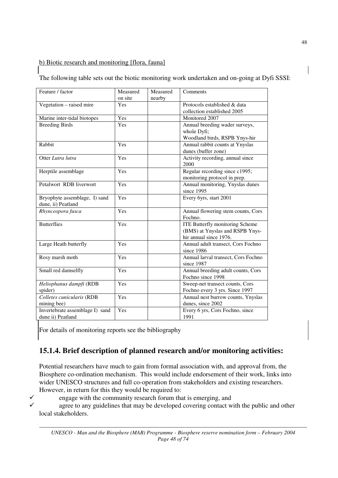### b) Biotic research and monitoring [flora, fauna]

The following table sets out the biotic monitoring work undertaken and on-going at Dyfi SSSI:

| Feature / factor                | Measured | Measured | Comments                               |
|---------------------------------|----------|----------|----------------------------------------|
|                                 | on site  | nearby   |                                        |
| Vegetation – raised mire        | Yes      |          | Protocols established & data           |
|                                 |          |          | collection established 2005            |
| Marine inter-tidal biotopes     | Yes      |          | Monitored 2007                         |
| <b>Breeding Birds</b>           | Yes      |          | Annual breeding wader surveys,         |
|                                 |          |          | whole Dyfi;                            |
|                                 |          |          | Woodland birds, RSPB Ynys-hir          |
| Rabbit                          | Yes      |          | Annual rabbit counts at Ynyslas        |
|                                 |          |          | dunes (buffer zone)                    |
| Otter Lutra lutra               | Yes      |          | Activity recording, annual since       |
|                                 |          |          | 2000                                   |
| Herptile assemblage             | Yes      |          | Regular recording since c1995;         |
|                                 |          |          | monitoring protocol in prep.           |
| Petalwort RDB liverwort         | Yes      |          | Annual monitoring, Ynyslas dunes       |
|                                 |          |          | since 1995                             |
| Bryophyte assemblage, I) sand   | Yes      |          | Every 6yrs, start 2001                 |
| dune, ii) Peatland              |          |          |                                        |
| Rhyncospora fusca               | Yes      |          | Annual flowering stem counts, Cors     |
|                                 |          |          | Fochno.                                |
| <b>Butterflies</b>              | Yes      |          | <b>ITE Butterfly monitoring Scheme</b> |
|                                 |          |          | (BMS) at Ynyslas and RSPB Ynys-        |
|                                 |          |          | hir annual since 1976.                 |
| Large Heath butterfly           | Yes      |          | Annual adult transect, Cors Fochno     |
|                                 |          |          |                                        |
|                                 |          |          | since 1986                             |
| Rosy marsh moth                 | Yes      |          | Annual larval transect, Cors Fochno    |
|                                 |          |          | since 1987                             |
| Small red damselfly             | Yes      |          | Annual breeding adult counts, Cors     |
|                                 |          |          | Fochno since 1998                      |
| Heliophanus dampfi (RDB         | Yes      |          | Sweep-net transect counts, Cors        |
| spider)                         |          |          | Fochno every 3 yrs. Since 1997         |
| Colletes cunicularis (RDB       | Yes      |          | Annual nest burrow counts, Ynyslas     |
| mining bee)                     |          |          | dunes, since 2002                      |
| Invertebrate assemblage I) sand | Yes      |          | Every 6 yrs, Cors Fochno, since        |
| dune ii) Peatland               |          |          | 1991                                   |

For details of monitoring reports see the bibliography

# **15.1.4. Brief description of planned research and/or monitoring activities:**

Potential researchers have much to gain from formal association with, and approval from, the Biosphere co-ordination mechanism. This would include endorsement of their work, links into wider UNESCO structures and full co-operation from stakeholders and existing researchers. However, in return for this they would be required to:

 $\checkmark$  $\checkmark$  engage with the community research forum that is emerging, and

 agree to any guidelines that may be developed covering contact with the public and other local stakeholders.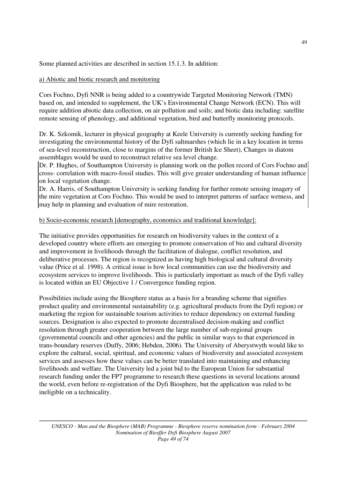Some planned activities are described in section 15.1.3. In addition:

#### a) Abiotic and biotic research and monitoring

Cors Fochno, Dyfi NNR is being added to a countrywide Targeted Monitoring Network (TMN) based on, and intended to supplement, the UK's Environmental Change Network (ECN). This will require addition abiotic data collection, on air pollution and soils; and biotic data including: satellite remote sensing of phenology, and additional vegetation, bird and butterfly monitoring protocols.

Dr. K. Szkomik, lecturer in physical geography at Keele University is currently seeking funding for investigating the environmental history of the Dyfi saltmarshes (which lie in a key location in terms of sea-level reconstruction, close to margins of the former British Ice Sheet), Changes in diatom assemblages would be used to reconstruct relative sea level change.

Dr. P. Hughes, of Southampton University is planning work on the pollen record of Cors Fochno and cross- correlation with macro-fossil studies. This will give greater understanding of human influence on local vegetation change.

Dr. A. Harris, of Southampton University is seeking funding for further remote sensing imagery of the mire vegetation at Cors Fochno. This would be used to interpret patterns of surface wetness, and may help in planning and evaluation of mire restoration.

#### b) Socio-economic research [demography, economics and traditional knowledge]:

The initiative provides opportunities for research on biodiversity values in the context of a developed country where efforts are emerging to promote conservation of bio and cultural diversity and improvement in livelihoods through the facilitation of dialogue, conflict resolution, and deliberative processes. The region is recognized as having high biological and cultural diversity value (Price et al. 1998). A critical issue is how local communities can use the biodiversity and ecosystem services to improve livelihoods. This is particularly important as much of the Dyfi valley is located within an EU Objective 1 / Convergence funding region.

Possibilities include using the Biosphere status as a basis for a branding scheme that signifies product quality and environmental sustainability (e.g. agricultural products from the Dyfi region) or marketing the region for sustainable tourism activities to reduce dependency on external funding sources. Designation is also expected to promote decentralised decision-making and conflict resolution through greater cooperation between the large number of sub-regional groups (governmental councils and other agencies) and the public in similar ways to that experienced in trans-boundary reserves (Duffy, 2006; Hebden, 2006). The University of Aberystwyth would like to explore the cultural, social, spiritual, and economic values of biodiversity and associated ecosystem services and assesses how these values can be better translated into maintaining and enhancing livelihoods and welfare. The University led a joint bid to the European Union for substantial research funding under the FP7 programme to research these questions in several locations around the world, even before re-registration of the Dyfi Biosphere, but the application was ruled to be ineligible on a technicality.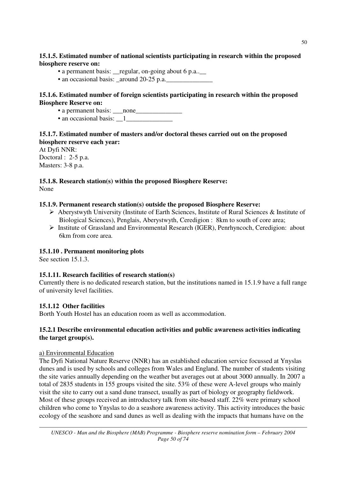### **15.1.5. Estimated number of national scientists participating in research within the proposed biosphere reserve on:**

- a permanent basis: <u>regular</u>, on-going about 6 p.a..
- an occasional basis: around 20-25 p.a.

#### **15.1.6. Estimated number of foreign scientists participating in research within the proposed Biosphere Reserve on:**

- a permanent basis: \_\_\_none\_\_\_\_\_\_\_\_\_\_\_\_\_\_
- an occasional basis:  $\qquad$  1

### **15.1.7. Estimated number of masters and/or doctoral theses carried out on the proposed biosphere reserve each year:**

At Dyfi NNR: Doctoral : 2-5 p.a. Masters: 3-8 p.a.

**15.1.8. Research station(s) within the proposed Biosphere Reserve:** 

None

#### **15.1.9. Permanent research station(s) outside the proposed Biosphere Reserve:**

- Aberystwyth University (Institute of Earth Sciences, Institute of Rural Sciences & Institute of Biological Sciences), Penglais, Aberystwyth, Ceredigion : 8km to south of core area;
- Institute of Grassland and Environmental Research (IGER), Penrhyncoch, Ceredigion: about 6km from core area.

#### **15.1.10 . Permanent monitoring plots**

See section 15.1.3.

#### **15.1.11. Research facilities of research station(s)**

Currently there is no dedicated research station, but the institutions named in 15.1.9 have a full range of university level facilities.

### **15.1.12 Other facilities**

Borth Youth Hostel has an education room as well as accommodation.

#### **15.2.1 Describe environmental education activities and public awareness activities indicating the target group(s).**

#### a) Environmental Education

The Dyfi National Nature Reserve (NNR) has an established education service focussed at Ynyslas dunes and is used by schools and colleges from Wales and England. The number of students visiting the site varies annually depending on the weather but averages out at about 3000 annually. In 2007 a total of 2835 students in 155 groups visited the site. 53% of these were A-level groups who mainly visit the site to carry out a sand dune transect, usually as part of biology or geography fieldwork. Most of these groups received an introductory talk from site-based staff. 22% were primary school children who come to Ynyslas to do a seashore awareness activity. This activity introduces the basic ecology of the seashore and sand dunes as well as dealing with the impacts that humans have on the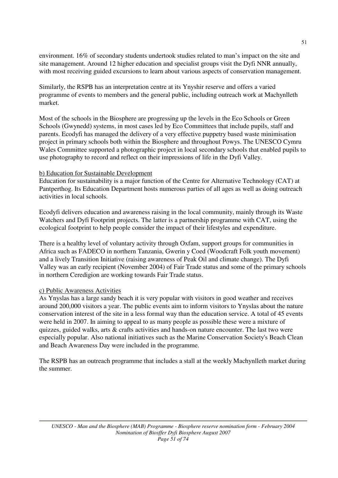environment. 16% of secondary students undertook studies related to man's impact on the site and site management. Around 12 higher education and specialist groups visit the Dyfi NNR annually, with most receiving guided excursions to learn about various aspects of conservation management.

Similarly, the RSPB has an interpretation centre at its Ynyshir reserve and offers a varied programme of events to members and the general public, including outreach work at Machynlleth market.

Most of the schools in the Biosphere are progressing up the levels in the Eco Schools or Green Schools (Gwynedd) systems, in most cases led by Eco Committees that include pupils, staff and parents. Ecodyfi has managed the delivery of a very effective puppetry based waste minimisation project in primary schools both within the Biosphere and throughout Powys. The UNESCO Cymru Wales Committee supported a photographic project in local secondary schools that enabled pupils to use photography to record and reflect on their impressions of life in the Dyfi Valley.

#### b) Education for Sustainable Development

Education for sustainability is a major function of the Centre for Alternative Technology (CAT) at Pantperthog. Its Education Department hosts numerous parties of all ages as well as doing outreach activities in local schools.

Ecodyfi delivers education and awareness raising in the local community, mainly through its Waste Watchers and Dyfi Footprint projects. The latter is a partnership programme with CAT, using the ecological footprint to help people consider the impact of their lifestyles and expenditure.

There is a healthy level of voluntary activity through Oxfam, support groups for communities in Africa such as FADECO in northern Tanzania, Gwerin y Coed (Woodcraft Folk youth movement) and a lively Transition Initiative (raising awareness of Peak Oil and climate change). The Dyfi Valley was an early recipient (November 2004) of Fair Trade status and some of the primary schools in northern Ceredigion are working towards Fair Trade status.

#### c) Public Awareness Activities

As Ynyslas has a large sandy beach it is very popular with visitors in good weather and receives around 200,000 visitors a year. The public events aim to inform visitors to Ynyslas about the nature conservation interest of the site in a less formal way than the education service. A total of 45 events were held in 2007. In aiming to appeal to as many people as possible these were a mixture of quizzes, guided walks, arts & crafts activities and hands-on nature encounter. The last two were especially popular. Also national initiatives such as the Marine Conservation Society's Beach Clean and Beach Awareness Day were included in the programme.

The RSPB has an outreach programme that includes a stall at the weekly Machynlleth market during the summer.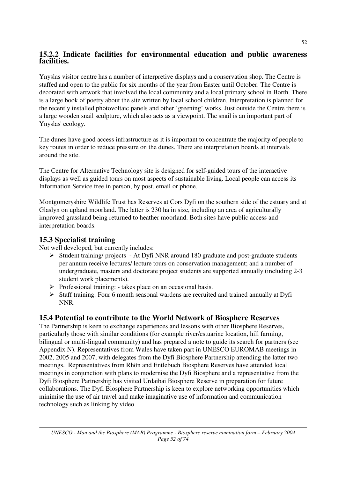## **15.2.2 Indicate facilities for environmental education and public awareness facilities.**

Ynyslas visitor centre has a number of interpretive displays and a conservation shop. The Centre is staffed and open to the public for six months of the year from Easter until October. The Centre is decorated with artwork that involved the local community and a local primary school in Borth. There is a large book of poetry about the site written by local school children. Interpretation is planned for the recently installed photovoltaic panels and other 'greening' works. Just outside the Centre there is a large wooden snail sculpture, which also acts as a viewpoint. The snail is an important part of Ynyslas' ecology.

The dunes have good access infrastructure as it is important to concentrate the majority of people to key routes in order to reduce pressure on the dunes. There are interpretation boards at intervals around the site.

The Centre for Alternative Technology site is designed for self-guided tours of the interactive displays as well as guided tours on most aspects of sustainable living. Local people can access its Information Service free in person, by post, email or phone.

Montgomeryshire Wildlife Trust has Reserves at Cors Dyfi on the southern side of the estuary and at Glaslyn on upland moorland. The latter is 230 ha in size, including an area of agriculturally improved grassland being returned to heather moorland. Both sites have public access and interpretation boards.

### **15.3 Specialist training**

Not well developed, but currently includes:

- $\triangleright$  Student training/ projects At Dyfi NNR around 180 graduate and post-graduate students per annum receive lectures/ lecture tours on conservation management; and a number of undergraduate, masters and doctorate project students are supported annually (including 2-3 student work placements).
- $\triangleright$  Professional training: takes place on an occasional basis.
- $\triangleright$  Staff training: Four 6 month seasonal wardens are recruited and trained annually at Dyfi NNR.

## **15.4 Potential to contribute to the World Network of Biosphere Reserves**

The Partnership is keen to exchange experiences and lessons with other Biosphere Reserves, particularly those with similar conditions (for example river/estuarine location, hill farming, bilingual or multi-lingual community) and has prepared a note to guide its search for partners (see Appendix N). Representatives from Wales have taken part in UNESCO EUROMAB meetings in 2002, 2005 and 2007, with delegates from the Dyfi Biosphere Partnership attending the latter two meetings. Representatives from Rhön and Entlebuch Biosphere Reserves have attended local meetings in conjunction with plans to modernise the Dyfi Biosphere and a representative from the Dyfi Biosphere Partnership has visited Urdaibai Biosphere Reserve in preparation for future collaborations. The Dyfi Biosphere Partnership is keen to explore networking opportunities which minimise the use of air travel and make imaginative use of information and communication technology such as linking by video.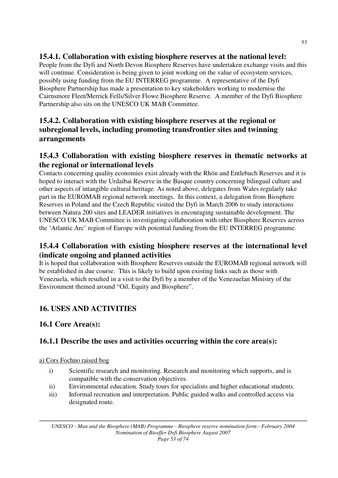## **15.4.1. Collaboration with existing biosphere reserves at the national level:**

People from the Dyfi and North Devon Biosphere Reserves have undertaken exchange visits and this will continue. Consideration is being given to joint working on the value of ecosystem services, possibly using funding from the EU INTERREG programme. A representative of the Dyfi Biosphere Partnership has made a presentation to key stakeholders working to modernise the Cairnsmore Fleet/Merrick Fells/Silver Flowe Biosphere Reserve. A member of the Dyfi Biosphere Partnership also sits on the UNESCO UK MAB Committee.

# **15.4.2. Collaboration with existing biosphere reserves at the regional or subregional levels, including promoting transfrontier sites and twinning arrangements**

## **15.4.3 Collaboration with existing biosphere reserves in thematic networks at the regional or international levels**

Contacts concerning quality economies exist already with the Rhön and Entlebuch Reserves and it is hoped to interact with the Urdaibai Reserve in the Basque country concerning bilingual culture and other aspects of intangible cultural heritage. As noted above, delegates from Wales regularly take part in the EUROMAB regional network meetings. In this context, a delegation from Biosphere Reserves in Poland and the Czech Republic visited the Dyfi in March 2006 to study interactions between Natura 200 sites and LEADER initiatives in encouraging sustainable development. The UNESCO UK MAB Committee is investigating collaboration with other Biosphere Reserves across the 'Atlantic Arc' region of Europe with potential funding from the EU INTERREG programme.

## **15.4.4 Collaboration with existing biosphere reserves at the international level (indicate ongoing and planned activities**

It is hoped that collaboration with Biosphere Reserves outside the EUROMAB regional network will be established in due course. This is likely to build upon existing links such as those with Venezuela, which resulted in a visit to the Dyfi by a member of the Venezuelan Ministry of the Environment themed around "Oil, Equity and Biosphere".

# **16. USES AND ACTIVITIES**

# **16.1 Core Area(s):**

# **16.1.1 Describe the uses and activities occurring within the core area(s):**

## a) Cors Fochno raised bog

- i) Scientific research and monitoring. Research and monitoring which supports, and is compatible with the conservation objectives.
- ii) Environmental education. Study tours for specialists and higher educational students.
- iii) Informal recreation and interpretation. Public guided walks and controlled access via designated route.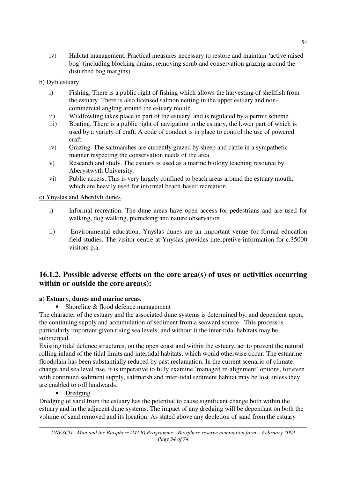iv) Habitat management. Practical measures necessary to restore and maintain 'active raised bog' (including blocking drains, removing scrub and conservation grazing around the disturbed bog margins).

### b) Dyfi estuary

- i) Fishing. There is a public right of fishing which allows the harvesting of shellfish from the estuary. There is also licensed salmon netting in the upper estuary and noncommercial angling around the estuary mouth.
- ii) Wildfowling takes place in part of the estuary, and is regulated by a permit scheme.
- iii) Boating. There is a public right of navigation in the estuary, the lower part of which is used by a variety of craft. A code of conduct is in place to control the use of powered craft.
- iv) Grazing. The saltmarshes are currently grazed by sheep and cattle in a sympathetic manner respecting the conservation needs of the area.
- v) Research and study. The estuary is used as a marine biology teaching resource by Aberystwyth University.
- vi) Public access. This is very largely confined to beach areas around the estuary mouth, which are heavily used for informal beach-based recreation.

### c) Ynyslas and Aberdyfi dunes

- i) Informal recreation. The dune areas have open access for pedestrians and are used for walking, dog walking, picnicking and nature observation
- ii) Environmental education. Ynyslas dunes are an important venue for formal education field studies. The visitor centre at Ynyslas provides interpretive information for c.35000 visitors p.a.

## **16.1.2. Possible adverse effects on the core area(s) of uses or activities occurring within or outside the core area(s):**

### **a) Estuary, dunes and marine areas.**

### • Shoreline & flood defence management

The character of the estuary and the associated dune systems is determined by, and dependent upon, the continuing supply and accumulation of sediment from a seaward source. This process is particularly important given rising sea levels, and without it the inter-tidal habitats may be submerged.

Existing tidal defence structures, on the open coast and within the estuary, act to prevent the natural rolling inland of the tidal limits and intertidal habitats, which would otherwise occur. The estuarine floodplain has been substantially reduced by past reclamation. In the current scenario of climate change and sea level rise, it is imperative to fully examine 'managed re-alignment' options, for even with continued sediment supply, saltmarsh and inter-tidal sediment habitat may be lost unless they are enabled to roll landwards.

• Dredging

Dredging of sand from the estuary has the potential to cause significant change both within the estuary and in the adjacent dune systems. The impact of any dredging will be dependant on both the volume of sand removed and its location. As stated above any depletion of sand from the estuary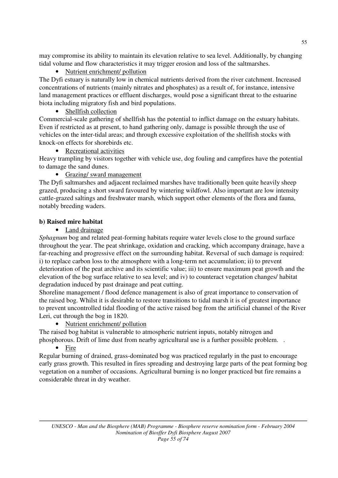may compromise its ability to maintain its elevation relative to sea level. Additionally, by changing tidal volume and flow characteristics it may trigger erosion and loss of the saltmarshes.

## • Nutrient enrichment/ pollution

The Dyfi estuary is naturally low in chemical nutrients derived from the river catchment. Increased concentrations of nutrients (mainly nitrates and phosphates) as a result of, for instance, intensive land management practices or effluent discharges, would pose a significant threat to the estuarine biota including migratory fish and bird populations.

Shellfish collection

Commercial-scale gathering of shellfish has the potential to inflict damage on the estuary habitats. Even if restricted as at present, to hand gathering only, damage is possible through the use of vehicles on the inter-tidal areas; and through excessive exploitation of the shellfish stocks with knock-on effects for shorebirds etc.

• Recreational activities

Heavy trampling by visitors together with vehicle use, dog fouling and campfires have the potential to damage the sand dunes.

• Grazing/ sward management

The Dyfi saltmarshes and adjacent reclaimed marshes have traditionally been quite heavily sheep grazed, producing a short sward favoured by wintering wildfowl. Also important are low intensity cattle-grazed saltings and freshwater marsh, which support other elements of the flora and fauna, notably breeding waders.

### **b) Raised mire habitat**

• Land drainage

*Sphagnum* bog and related peat-forming habitats require water levels close to the ground surface throughout the year. The peat shrinkage, oxidation and cracking, which accompany drainage, have a far-reaching and progressive effect on the surrounding habitat. Reversal of such damage is required: i) to replace carbon loss to the atmosphere with a long-term net accumulation; ii) to prevent deterioration of the peat archive and its scientific value; iii) to ensure maximum peat growth and the elevation of the bog surface relative to sea level; and iv) to counteract vegetation changes/ habitat degradation induced by past drainage and peat cutting.

Shoreline management / flood defence management is also of great importance to conservation of the raised bog. Whilst it is desirable to restore transitions to tidal marsh it is of greatest importance to prevent uncontrolled tidal flooding of the active raised bog from the artificial channel of the River Leri, cut through the bog in 1820.

• Nutrient enrichment/ pollution

The raised bog habitat is vulnerable to atmospheric nutrient inputs, notably nitrogen and phosphorous. Drift of lime dust from nearby agricultural use is a further possible problem. .

## • Fire

Regular burning of drained, grass-dominated bog was practiced regularly in the past to encourage early grass growth. This resulted in fires spreading and destroying large parts of the peat forming bog vegetation on a number of occasions. Agricultural burning is no longer practiced but fire remains a considerable threat in dry weather.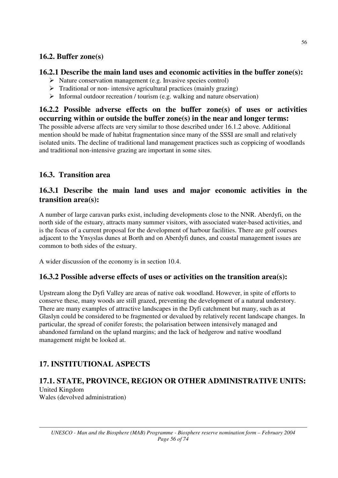## **16.2. Buffer zone(s)**

## **16.2.1 Describe the main land uses and economic activities in the buffer zone(s):**

- $\triangleright$  Nature conservation management (e.g. Invasive species control)
- $\triangleright$  Traditional or non-intensive agricultural practices (mainly grazing)
- $\triangleright$  Informal outdoor recreation / tourism (e.g. walking and nature observation)

### **16.2.2 Possible adverse effects on the buffer zone(s) of uses or activities occurring within or outside the buffer zone(s) in the near and longer terms:**

The possible adverse affects are very similar to those described under 16.1.2 above. Additional mention should be made of habitat fragmentation since many of the SSSI are small and relatively isolated units. The decline of traditional land management practices such as coppicing of woodlands and traditional non-intensive grazing are important in some sites.

# **16.3. Transition area**

## **16.3.1 Describe the main land uses and major economic activities in the transition area(s):**

A number of large caravan parks exist, including developments close to the NNR. Aberdyfi, on the north side of the estuary, attracts many summer visitors, with associated water-based activities, and is the focus of a current proposal for the development of harbour facilities. There are golf courses adjacent to the Ynsyslas dunes at Borth and on Aberdyfi dunes, and coastal management issues are common to both sides of the estuary.

A wider discussion of the economy is in section 10.4.

## **16.3.2 Possible adverse effects of uses or activities on the transition area(s):**

Upstream along the Dyfi Valley are areas of native oak woodland. However, in spite of efforts to conserve these, many woods are still grazed, preventing the development of a natural understory. There are many examples of attractive landscapes in the Dyfi catchment but many, such as at Glaslyn could be considered to be fragmented or devalued by relatively recent landscape changes. In particular, the spread of conifer forests; the polarisation between intensively managed and abandoned farmland on the upland margins; and the lack of hedgerow and native woodland management might be looked at.

# **17. INSTITUTIONAL ASPECTS**

# **17.1. STATE, PROVINCE, REGION OR OTHER ADMINISTRATIVE UNITS:**

United Kingdom Wales (devolved administration)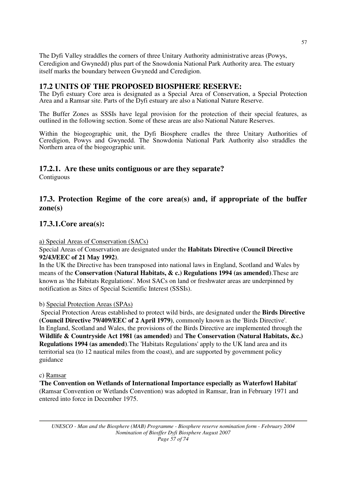The Dyfi Valley straddles the corners of three Unitary Authority administrative areas (Powys, Ceredigion and Gwynedd) plus part of the Snowdonia National Park Authority area. The estuary itself marks the boundary between Gwynedd and Ceredigion.

### **17.2 UNITS OF THE PROPOSED BIOSPHERE RESERVE:**

The Dyfi estuary Core area is designated as a Special Area of Conservation, a Special Protection Area and a Ramsar site. Parts of the Dyfi estuary are also a National Nature Reserve.

The Buffer Zones as SSSIs have legal provision for the protection of their special features, as outlined in the following section. Some of these areas are also National Nature Reserves.

Within the biogeographic unit, the Dyfi Biosphere cradles the three Unitary Authorities of Ceredigion, Powys and Gwynedd. The Snowdonia National Park Authority also straddles the Northern area of the biogeographic unit.

# **17.2.1. Are these units contiguous or are they separate?**

Contiguous

## **17.3. Protection Regime of the core area(s) and, if appropriate of the buffer zone(s)**

## **17.3.1.Core area(s):**

#### a) Special Areas of Conservation (SACs)

Special Areas of Conservation are designated under the **Habitats Directive (Council Directive 92/43/EEC of 21 May 1992)**.

In the UK the Directive has been transposed into national laws in England, Scotland and Wales by means of the **Conservation (Natural Habitats, & c.) Regulations 1994 (as amended)**.These are known as 'the Habitats Regulations'. Most SACs on land or freshwater areas are underpinned by notification as Sites of Special Scientific Interest (SSSIs).

#### b) Special Protection Areas (SPAs)

 Special Protection Areas established to protect wild birds, are designated under the **Birds Directive (Council Directive 79/409/EEC of 2 April 1979)**, commonly known as the 'Birds Directive'. In England, Scotland and Wales, the provisions of the Birds Directive are implemented through the **Wildlife & Countryside Act 1981 (as amended)** and **The Conservation (Natural Habitats, &c.) Regulations 1994 (as amended)**.The 'Habitats Regulations' apply to the UK land area and its territorial sea (to 12 nautical miles from the coast), and are supported by government policy guidance

#### c) Ramsar

'**The Convention on Wetlands of International Importance especially as Waterfowl Habitat**' (Ramsar Convention or Wetlands Convention) was adopted in Ramsar, Iran in February 1971 and entered into force in December 1975.

*UNESCO - Man and the Biosphere (MAB) Programme - Biosphere reserve nomination form - February 2004 Nomination of Biosffer Dyfi Biosphere August 2007 Page 57 of 74*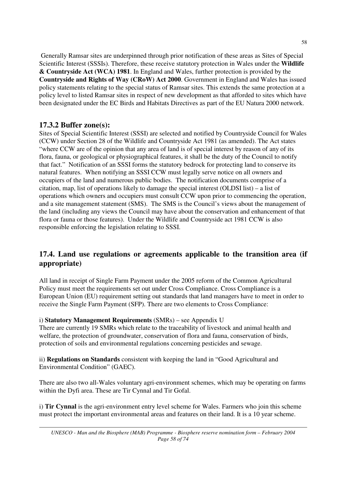Generally Ramsar sites are underpinned through prior notification of these areas as Sites of Special Scientific Interest (SSSIs). Therefore, these receive statutory protection in Wales under the **Wildlife & Countryside Act (WCA) 1981**. In England and Wales, further protection is provided by the **Countryside and Rights of Way (CRoW) Act 2000**. Government in England and Wales has issued policy statements relating to the special status of Ramsar sites. This extends the same protection at a policy level to listed Ramsar sites in respect of new development as that afforded to sites which have been designated under the EC Birds and Habitats Directives as part of the EU Natura 2000 network.

## **17.3.2 Buffer zone(s):**

Sites of Special Scientific Interest (SSSI) are selected and notified by Countryside Council for Wales (CCW) under Section 28 of the Wildlife and Countryside Act 1981 (as amended). The Act states "where CCW are of the opinion that any area of land is of special interest by reason of any of its flora, fauna, or geological or physiographical features, it shall be the duty of the Council to notify that fact." Notification of an SSSI forms the statutory bedrock for protecting land to conserve its natural features. When notifying an SSSI CCW must legally serve notice on all owners and occupiers of the land and numerous public bodies. The notification documents comprise of a citation, map, list of operations likely to damage the special interest (OLDSI list) – a list of operations which owners and occupiers must consult CCW upon prior to commencing the operation, and a site management statement (SMS). The SMS is the Council's views about the management of the land (including any views the Council may have about the conservation and enhancement of that flora or fauna or those features). Under the Wildlife and Countryside act 1981 CCW is also responsible enforcing the legislation relating to SSSI.

# **17.4. Land use regulations or agreements applicable to the transition area (if appropriate)**

All land in receipt of Single Farm Payment under the 2005 reform of the Common Agricultural Policy must meet the requirements set out under Cross Compliance. Cross Compliance is a European Union (EU) requirement setting out standards that land managers have to meet in order to receive the Single Farm Payment (SFP). There are two elements to Cross Compliance:

## i) **Statutory Management Requirements** (SMRs) – see Appendix U

There are currently 19 SMRs which relate to the traceability of livestock and animal health and welfare, the protection of groundwater, conservation of flora and fauna, conservation of birds, protection of soils and environmental regulations concerning pesticides and sewage.

ii) **Regulations on Standards** consistent with keeping the land in "Good Agricultural and Environmental Condition" (GAEC).

There are also two all-Wales voluntary agri-environment schemes, which may be operating on farms within the Dyfi area. These are Tir Cynnal and Tir Gofal.

i) **Tir Cynnal** is the agri-environment entry level scheme for Wales. Farmers who join this scheme must protect the important environmental areas and features on their land. It is a 10 year scheme.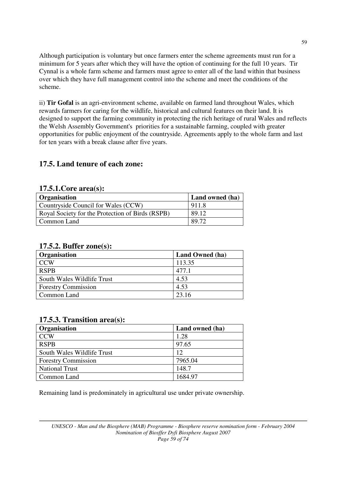Although participation is voluntary but once farmers enter the scheme agreements must run for a minimum for 5 years after which they will have the option of continuing for the full 10 years. Tir Cynnal is a whole farm scheme and farmers must agree to enter all of the land within that business over which they have full management control into the scheme and meet the conditions of the scheme.

ii) **Tir Gofal** is an agri-environment scheme, available on farmed land throughout Wales, which rewards farmers for caring for the wildlife, historical and cultural features on their land. It is designed to support the farming community in protecting the rich heritage of rural Wales and reflects the Welsh Assembly Government's priorities for a sustainable farming, coupled with greater opportunities for public enjoyment of the countryside. Agreements apply to the whole farm and last for ten years with a break clause after five years.

## **17.5. Land tenure of each zone:**

### **17.5.1.Core area(s):**

| <b>Organisation</b>                              | Land owned (ha) |
|--------------------------------------------------|-----------------|
| Countryside Council for Wales (CCW)              | 911.8           |
| Royal Society for the Protection of Birds (RSPB) | 89.12           |
| Common Land                                      | 89.72           |

## **17.5.2. Buffer zone(s):**

| Organisation               | Land Owned (ha) |
|----------------------------|-----------------|
| <b>CCW</b>                 | 113.35          |
| <b>RSPB</b>                | 477.1           |
| South Wales Wildlife Trust | 4.53            |
| <b>Forestry Commission</b> | 4.53            |
| Common Land                | 23.16           |

### **17.5.3. Transition area(s):**

| Organisation               | Land owned (ha) |
|----------------------------|-----------------|
| <b>CCW</b>                 | 1.28            |
| <b>RSPB</b>                | 97.65           |
| South Wales Wildlife Trust | 12              |
| <b>Forestry Commission</b> | 7965.04         |
| <b>National Trust</b>      | 148.7           |
| Common Land                | 1684.97         |

Remaining land is predominately in agricultural use under private ownership.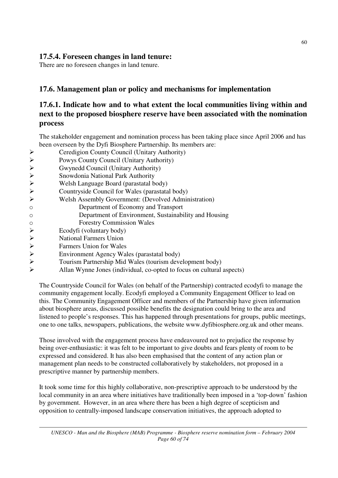## **17.5.4. Foreseen changes in land tenure:**

There are no foreseen changes in land tenure.

## **17.6. Management plan or policy and mechanisms for implementation**

## **17.6.1. Indicate how and to what extent the local communities living within and next to the proposed biosphere reserve have been associated with the nomination process**

The stakeholder engagement and nomination process has been taking place since April 2006 and has been overseen by the Dyfi Biosphere Partnership. Its members are:

- 
- Powys County Council (Unitary Authority)
- Gwynedd Council (Unitary Authority)
- Snowdonia National Park Authority
- Welsh Language Board (parastatal body)
- → Ceredigion County Council (Unitary Authority)<br>
→ Powys County Council (Unitary Authority)<br>
→ Gwynedd Council (Unitary Authority)<br>
→ Snowdonia National Park Authority<br>
→ Welsh Language Board (parastatal body)<br>
→ Countrys Countryside Council for Wales (parastatal body)
	- Welsh Assembly Government: (Devolved Administration)
- o Department of Economy and Transport
- o Department of Environment, Sustainability and Housing
- o Forestry Commission Wales
- 
- National Farmers Union
- Farmers Union for Wales
- →<br>
Ecodyfi (voluntary body)<br>
→<br>
National Farmers Union<br>
Farmers Union for Wales<br>
→<br>
Environment Agency Wa<br>
Tourism Partnership Mid<br>
→<br>
Allan Wynne Jones (indiv Environment Agency Wales (parastatal body)
- Tourism Partnership Mid Wales (tourism development body)
- Allan Wynne Jones (individual, co-opted to focus on cultural aspects)

The Countryside Council for Wales (on behalf of the Partnership) contracted ecodyfi to manage the community engagement locally. Ecodyfi employed a Community Engagement Officer to lead on this. The Community Engagement Officer and members of the Partnership have given information about biosphere areas, discussed possible benefits the designation could bring to the area and listened to people's responses. This has happened through presentations for groups, public meetings, one to one talks, newspapers, publications, the website www.dyfibiosphere.org.uk and other means.

Those involved with the engagement process have endeavoured not to prejudice the response by being over-enthusiastic: it was felt to be important to give doubts and fears plenty of room to be expressed and considered. It has also been emphasised that the content of any action plan or management plan needs to be constructed collaboratively by stakeholders, not proposed in a prescriptive manner by partnership members.

It took some time for this highly collaborative, non-prescriptive approach to be understood by the local community in an area where initiatives have traditionally been imposed in a 'top-down' fashion by government. However, in an area where there has been a high degree of scepticism and opposition to centrally-imposed landscape conservation initiatives, the approach adopted to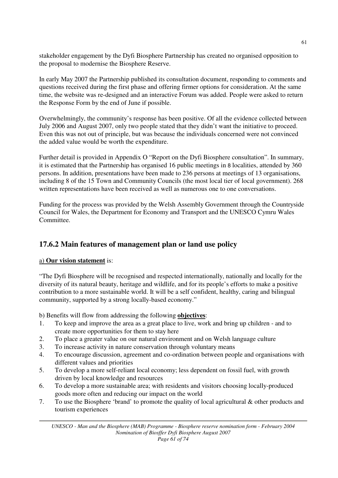stakeholder engagement by the Dyfi Biosphere Partnership has created no organised opposition to the proposal to modernise the Biosphere Reserve.

In early May 2007 the Partnership published its consultation document, responding to comments and questions received during the first phase and offering firmer options for consideration. At the same time, the website was re-designed and an interactive Forum was added. People were asked to return the Response Form by the end of June if possible.

Overwhelmingly, the community's response has been positive. Of all the evidence collected between July 2006 and August 2007, only two people stated that they didn't want the initiative to proceed. Even this was not out of principle, but was because the individuals concerned were not convinced the added value would be worth the expenditure.

Further detail is provided in Appendix O "Report on the Dyfi Biosphere consultation". In summary, it is estimated that the Partnership has organised 16 public meetings in 8 localities, attended by 360 persons. In addition, presentations have been made to 236 persons at meetings of 13 organisations, including 8 of the 15 Town and Community Councils (the most local tier of local government). 268 written representations have been received as well as numerous one to one conversations.

Funding for the process was provided by the Welsh Assembly Government through the Countryside Council for Wales, the Department for Economy and Transport and the UNESCO Cymru Wales Committee.

## **17.6.2 Main features of management plan or land use policy**

## a) **Our vision statement** is:

"The Dyfi Biosphere will be recognised and respected internationally, nationally and locally for the diversity of its natural beauty, heritage and wildlife, and for its people's efforts to make a positive contribution to a more sustainable world. It will be a self confident, healthy, caring and bilingual community, supported by a strong locally-based economy."

b) Benefits will flow from addressing the following **objectives**:

- 1. To keep and improve the area as a great place to live, work and bring up children and to create more opportunities for them to stay here
- 2. To place a greater value on our natural environment and on Welsh language culture
- 3. To increase activity in nature conservation through voluntary means
- 4. To encourage discussion, agreement and co-ordination between people and organisations with different values and priorities
- 5. To develop a more self-reliant local economy; less dependent on fossil fuel, with growth driven by local knowledge and resources
- 6. To develop a more sustainable area; with residents and visitors choosing locally-produced goods more often and reducing our impact on the world
- 7. To use the Biosphere 'brand' to promote the quality of local agricultural & other products and tourism experiences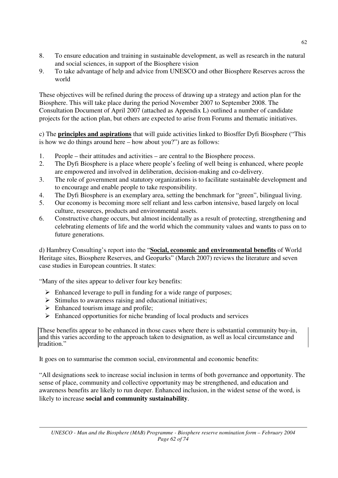- 8. To ensure education and training in sustainable development, as well as research in the natural and social sciences, in support of the Biosphere vision
- 9. To take advantage of help and advice from UNESCO and other Biosphere Reserves across the world

These objectives will be refined during the process of drawing up a strategy and action plan for the Biosphere. This will take place during the period November 2007 to September 2008. The Consultation Document of April 2007 (attached as Appendix L) outlined a number of candidate projects for the action plan, but others are expected to arise from Forums and thematic initiatives.

c) The **principles and aspirations** that will guide activities linked to Biosffer Dyfi Biosphere ("This is how we do things around here – how about you?") are as follows:

- 1. People their attitudes and activities are central to the Biosphere process.
- 2. The Dyfi Biosphere is a place where people's feeling of well being is enhanced, where people are empowered and involved in deliberation, decision-making and co-delivery.
- 3. The role of government and statutory organizations is to facilitate sustainable development and to encourage and enable people to take responsibility.
- 4. The Dyfi Biosphere is an exemplary area, setting the benchmark for "green", bilingual living.
- 5. Our economy is becoming more self reliant and less carbon intensive, based largely on local culture, resources, products and environmental assets.
- 6. Constructive change occurs, but almost incidentally as a result of protecting, strengthening and celebrating elements of life and the world which the community values and wants to pass on to future generations.

d) Hambrey Consulting's report into the "**Social, economic and environmental benefits** of World Heritage sites, Biosphere Reserves, and Geoparks" (March 2007) reviews the literature and seven case studies in European countries. It states:

"Many of the sites appear to deliver four key benefits:

- $\triangleright$  Enhanced leverage to pull in funding for a wide range of purposes;
- $\triangleright$  Stimulus to awareness raising and educational initiatives;
- $\triangleright$  Enhanced tourism image and profile;
- $\triangleright$  Enhanced opportunities for niche branding of local products and services

These benefits appear to be enhanced in those cases where there is substantial community buy-in, and this varies according to the approach taken to designation, as well as local circumstance and tradition."

It goes on to summarise the common social, environmental and economic benefits:

"All designations seek to increase social inclusion in terms of both governance and opportunity. The sense of place, community and collective opportunity may be strengthened, and education and awareness benefits are likely to run deeper. Enhanced inclusion, in the widest sense of the word, is likely to increase **social and community sustainability**.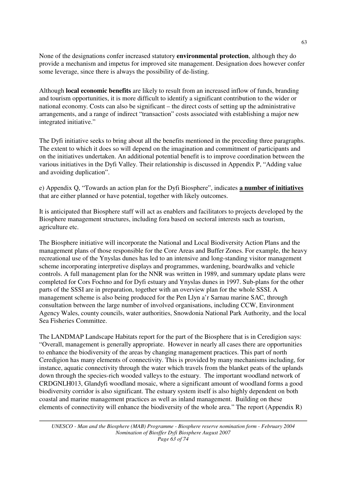None of the designations confer increased statutory **environmental protection**, although they do provide a mechanism and impetus for improved site management. Designation does however confer some leverage, since there is always the possibility of de-listing.

Although **local economic benefits** are likely to result from an increased inflow of funds, branding and tourism opportunities, it is more difficult to identify a significant contribution to the wider or national economy. Costs can also be significant – the direct costs of setting up the administrative arrangements, and a range of indirect "transaction" costs associated with establishing a major new integrated initiative."

The Dyfi initiative seeks to bring about all the benefits mentioned in the preceding three paragraphs. The extent to which it does so will depend on the imagination and commitment of participants and on the initiatives undertaken. An additional potential benefit is to improve coordination between the various initiatives in the Dyfi Valley. Their relationship is discussed in Appendix P, "Adding value and avoiding duplication".

e) Appendix Q, "Towards an action plan for the Dyfi Biosphere", indicates **a number of initiatives**  that are either planned or have potential, together with likely outcomes.

It is anticipated that Biosphere staff will act as enablers and facilitators to projects developed by the Biosphere management structures, including fora based on sectoral interests such as tourism, agriculture etc.

The Biosphere initiative will incorporate the National and Local Biodiversity Action Plans and the management plans of those responsible for the Core Areas and Buffer Zones. For example, the heavy recreational use of the Ynyslas dunes has led to an intensive and long-standing visitor management scheme incorporating interpretive displays and programmes, wardening, boardwalks and vehicle controls. A full management plan for the NNR was written in 1989, and summary update plans were completed for Cors Fochno and for Dyfi estuary and Ynyslas dunes in 1997. Sub-plans for the other parts of the SSSI are in preparation, together with an overview plan for the whole SSSI. A management scheme is also being produced for the Pen Llyn a'r Sarnau marine SAC, through consultation between the large number of involved organisations, including CCW, Environment Agency Wales, county councils, water authorities, Snowdonia National Park Authority, and the local Sea Fisheries Committee.

The LANDMAP Landscape Habitats report for the part of the Biosphere that is in Ceredigion says: "Overall, management is generally appropriate. However in nearly all cases there are opportunities to enhance the biodiversity of the areas by changing management practices. This part of north Ceredigion has many elements of connectivity. This is provided by many mechanisms including, for instance, aquatic connectivity through the water which travels from the blanket peats of the uplands down through the species-rich wooded valleys to the estuary. The important woodland network of CRDGNLH013, Glandyfi woodland mosaic, where a significant amount of woodland forms a good biodiversity corridor is also significant. The estuary system itself is also highly dependent on both coastal and marine management practices as well as inland management. Building on these elements of connectivity will enhance the biodiversity of the whole area." The report (Appendix R)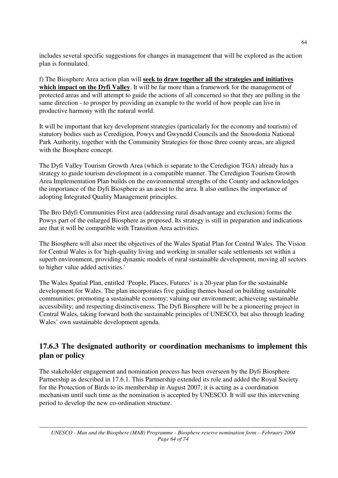includes several specific suggestions for changes in management that will be explored as the action plan is formulated.

f) The Biosphere Area action plan will **seek to draw together all the strategies and initiatives which impact on the Dyfi Valley**. It will be far more than a framework for the management of protected areas and will attempt to guide the actions of all concerned so that they are pulling in the same direction - to prosper by providing an example to the world of how people can live in productive harmony with the natural world.

It will be important that key development strategies (particularly for the economy and tourism) of statutory bodies such as Ceredigion, Powys and Gwynedd Councils and the Snowdonia National Park Authority, together with the Community Strategies for those three county areas, are aligned with the Biosphere concept.

The Dyfi Valley Tourism Growth Area (which is separate to the Ceredigion TGA) already has a strategy to guide tourism development in a compatible manner. The Ceredigion Tourism Growth Area Implementation Plan builds on the environmental strengths of the County and acknowledges the importance of the Dyfi Biosphere as an asset to the area. It also outlines the importance of adopting Integrated Quality Management principles.

The Bro Ddyfi Communities First area (addressing rural disadvantage and exclusion) forms the Powys part of the enlarged Biosphere as proposed. Its strategy is still in preparation and indications are that it will be compatible with Transition Area activities.

The Biosphere will also meet the objectives of the Wales Spatial Plan for Central Wales. The Vision for Central Wales is for 'high-quality living and working in smaller scale settlements set within a superb environment, providing dynamic models of rural sustainable development, moving all sectors to higher value added activities.'

The Wales Spatial Plan, entitled 'People, Places, Futures' is a 20-year plan for the sustainable development for Wales. The plan incorporates five guiding themes based on building sustainable communities; promoting a sustainable economy; valuing our environment; achieveing sustainable accessibility; and respecting distinctiveness. The Dyfi Biosphere will be be a pioneering project in Central Wales, taking forward both the sustainable principles of UNESCO, but also through leading Wales' own sustainable development agenda.

## **17.6.3 The designated authority or coordination mechanisms to implement this plan or policy**

The stakeholder engagement and nomination process has been overseen by the Dyfi Biosphere Partnership as described in 17.6.1. This Partnership extended its role and added the Royal Society for the Protection of Birds to its membership in August 2007; it is acting as a coordination mechanism until such time as the nomination is accepted by UNESCO. It will use this intervening period to develop the new co-ordination structure.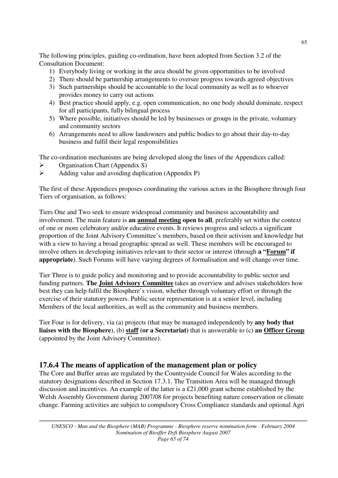The following principles, guiding co-ordination, have been adopted from Section 3.2 of the Consultation Document:

- 1) Everybody living or working in the area should be given opportunities to be involved
- 2) There should be partnership arrangements to oversee progress towards agreed objectives
- 3) Such partnerships should be accountable to the local community as well as to whoever provides money to carry out actions
- 4) Best practice should apply, e.g. open communication, no one body should dominate, respect for all participants, fully bilingual process
- 5) Where possible, initiatives should be led by businesses or groups in the private, voluntary and community sectors
- 6) Arrangements need to allow landowners and public bodies to go about their day-to-day business and fulfil their legal responsibilities

The co-ordination mechanisms are being developed along the lines of the Appendices called:

- $\triangleright$  Organisation Chart (Appendix S)
- $\triangleright$  Adding value and avoiding duplication (Appendix P)

The first of these Appendices proposes coordinating the various actors in the Biosphere through four Tiers of organisation, as follows:

Tiers One and Two seek to ensure widespread community and business accountability and involvement. The main feature is **an annual meeting open to all**, preferably set within the context of one or more celebratory and/or educative events. It reviews progress and selects a significant proportion of the Joint Advisory Committee's members, based on their activism and knowledge but with a view to having a broad geographic spread as well. These members will be encouraged to involve others in developing initiatives relevant to their sector or interest (through **a "Forum" if appropriate**). Such Forums will have varying degrees of formalisation and will change over time.

Tier Three is to guide policy and monitoring and to provide accountability to public sector and funding partners. **The Joint Advisory Committee** takes an overview and advises stakeholders how best they can help fulfil the Biosphere's vision, whether through voluntary effort or through the exercise of their statutory powers. Public sector representation is at a senior level, including Members of the local authorities, as well as the community and business members.

Tier Four is for delivery, via (a) projects (that may be managed independently by **any body that liaises with the Biosphere**), (b) **staff (or a Secretariat)** that is answerable to (c) **an Officer Group** (appointed by the Joint Advisory Committee).

## **17.6.4 The means of application of the management plan or policy**

The Core and Buffer areas are regulated by the Countryside Council for Wales according to the statutory designations described in Section 17.3.1. The Transition Area will be managed through discussion and incentives. An example of the latter is a £21,000 grant scheme established by the Welsh Assembly Government during 2007/08 for projects benefiting nature conservation or climate change. Farming activities are subject to compulsory Cross Compliance standards and optional Agri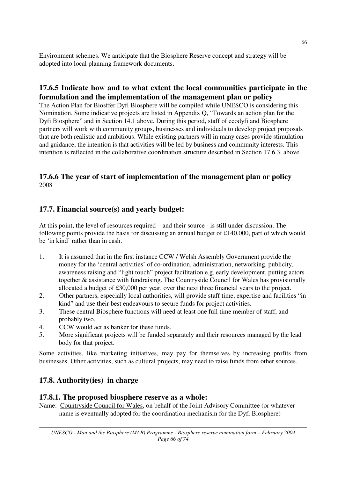Environment schemes. We anticipate that the Biosphere Reserve concept and strategy will be adopted into local planning framework documents.

## **17.6.5 Indicate how and to what extent the local communities participate in the formulation and the implementation of the management plan or policy**

The Action Plan for Biosffer Dyfi Biosphere will be compiled while UNESCO is considering this Nomination. Some indicative projects are listed in Appendix Q, "Towards an action plan for the Dyfi Biosphere" and in Section 14.1 above. During this period, staff of ecodyfi and Biosphere partners will work with community groups, businesses and individuals to develop project proposals that are both realistic and ambitious. While existing partners will in many cases provide stimulation and guidance, the intention is that activities will be led by business and community interests. This intention is reflected in the collaborative coordination structure described in Section 17.6.3. above.

## **17.6.6 The year of start of implementation of the management plan or policy**  2008

## **17.7. Financial source(s) and yearly budget:**

At this point, the level of resources required – and their source - is still under discussion. The following points provide the basis for discussing an annual budget of £140,000, part of which would be 'in kind' rather than in cash.

- 1. It is assumed that in the first instance CCW / Welsh Assembly Government provide the money for the 'central activities' of co-ordination, administration, networking, publicity, awareness raising and "light touch" project facilitation e.g. early development, putting actors together & assistance with fundraising. The Countryside Council for Wales has provisionally allocated a budget of £30,000 per year, over the next three financial years to the project.
- 2. Other partners, especially local authorities, will provide staff time, expertise and facilities "in kind" and use their best endeavours to secure funds for project activities.
- 3. These central Biosphere functions will need at least one full time member of staff, and probably two.
- 4. CCW would act as banker for these funds.
- 5. More significant projects will be funded separately and their resources managed by the lead body for that project.

Some activities, like marketing initiatives, may pay for themselves by increasing profits from businesses. Other activities, such as cultural projects, may need to raise funds from other sources.

## **17.8. Authority(ies) in charge**

### **17.8.1. The proposed biosphere reserve as a whole:**

Name: Countryside Council for Wales, on behalf of the Joint Advisory Committee (or whatever name is eventually adopted for the coordination mechanism for the Dyfi Biosphere)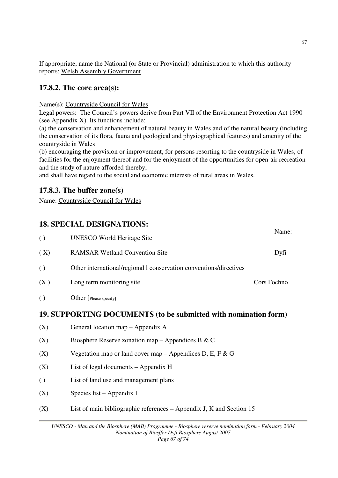If appropriate, name the National (or State or Provincial) administration to which this authority reports: Welsh Assembly Government

## **17.8.2. The core area(s):**

Name(s): Countryside Council for Wales

Legal powers: The Council's powers derive from Part VII of the Environment Protection Act 1990 (see Appendix X). Its functions include:

(a) the conservation and enhancement of natural beauty in Wales and of the natural beauty (including the conservation of its flora, fauna and geological and physiographical features) and amenity of the countryside in Wales

(b) encouraging the provision or improvement, for persons resorting to the countryside in Wales, of facilities for the enjoyment thereof and for the enjoyment of the opportunities for open-air recreation and the study of nature afforded thereby;

and shall have regard to the social and economic interests of rural areas in Wales.

## **17.8.3. The buffer zone(s)**

Name: Countryside Council for Wales

## **18. SPECIAL DESIGNATIONS:**

| $\left( \right)$   | <b>UNESCO World Heritage Site</b>                                  | Name:       |
|--------------------|--------------------------------------------------------------------|-------------|
| (X)                | <b>RAMSAR Wetland Convention Site</b>                              | Dyfi        |
| $\left( \ \right)$ | Other international/regional 1 conservation conventions/directives |             |
| (X)                | Long term monitoring site                                          | Cors Fochno |
| $\left( \right)$   | <b>Other</b> [Please specify]                                      |             |

## **19. SUPPORTING DOCUMENTS (to be submitted with nomination form)**

- (X) General location map Appendix A
- (X) Biosphere Reserve zonation map Appendices B  $&C$
- (X) Vegetation map or land cover map Appendices D, E, F & G
- (X) List of legal documents Appendix H
- ( ) List of land use and management plans
- (X) Species list Appendix I
- (X) List of main bibliographic references Appendix J, K and Section 15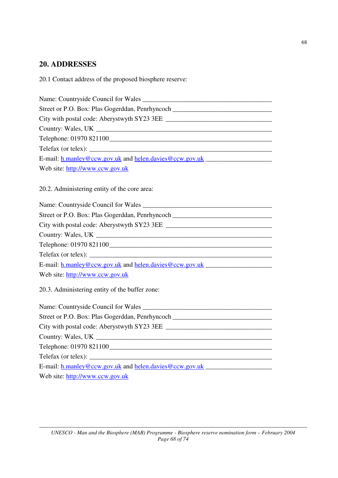## **20. ADDRESSES**

20.1 Contact address of the proposed biosphere reserve:

Name: Countryside Council for Wales Street or P.O. Box: Plas Gogerddan, Penrhyncoch \_\_\_\_\_\_\_\_\_\_\_\_\_\_\_\_\_\_\_\_\_\_\_\_\_\_\_\_\_\_\_\_ City with postal code: Aberystwyth SY23 3EE \_\_\_\_\_\_\_\_\_\_\_\_\_\_\_\_\_\_\_\_\_\_\_\_\_\_\_\_\_\_\_\_ Country: Wales, UK Telephone: 01970 821100\_ Telefax (or telex): E-mail: h.manley@ccw.gov.uk and helen.davies@ccw.gov.uk Web site: http://www.ccw.gov.uk 20.2. Administering entity of the core area: Name: Countryside Council for Wales \_\_\_\_\_\_\_\_\_\_\_\_\_\_\_\_\_\_\_\_\_\_\_\_\_\_\_\_\_\_\_\_\_\_\_\_\_\_\_ Street or P.O. Box: Plas Gogerddan, Penrhyncoch \_\_\_\_\_\_\_\_\_\_\_\_\_\_\_\_\_\_\_\_\_\_\_\_\_\_\_\_\_\_\_\_ City with postal code: Aberystwyth SY23 3EE \_\_\_\_\_\_\_\_\_\_\_\_\_\_\_\_\_\_\_\_\_\_\_\_\_\_\_\_\_\_\_\_ Country: Wales, UK Telephone: 01970 821100\_\_\_\_\_\_\_\_\_\_\_\_\_\_\_\_\_\_\_\_\_\_\_\_\_\_\_\_\_\_\_\_\_\_\_\_\_\_\_\_\_\_\_\_\_\_\_\_\_ Telefax (or telex): E-mail: h.manley@ccw.gov.uk and helen.davies@ccw.gov.uk \_\_\_\_\_\_\_\_\_\_\_\_\_\_\_\_\_\_\_\_\_\_\_\_\_ Web site: http://www.ccw.gov.uk 20.3. Administering entity of the buffer zone: Name: Countryside Council for Wales Street or P.O. Box: Plas Gogerddan, Penrhyncoch \_\_\_\_\_\_\_\_\_\_\_\_\_\_\_\_\_\_\_\_\_\_\_\_\_\_\_\_\_\_\_\_\_ City with postal code: Aberystwyth SY23 3EE \_\_\_\_\_\_\_\_\_\_\_\_\_\_\_\_\_\_\_\_\_\_\_\_\_\_\_\_\_\_\_\_ Country: Wales, UK \_\_\_\_\_\_\_\_\_\_\_\_\_\_\_\_\_\_\_\_\_\_\_\_\_\_\_\_\_\_\_\_\_\_\_\_\_\_\_\_\_\_\_\_\_\_\_\_\_\_\_\_\_ Telephone: 01970 821100 Telefax (or telex): E-mail: h.manley@ccw.gov.uk and helen.davies@ccw.gov.uk \_\_\_\_\_\_\_\_\_\_\_\_\_\_\_\_\_\_\_\_\_\_\_\_ Web site: http://www.ccw.gov.uk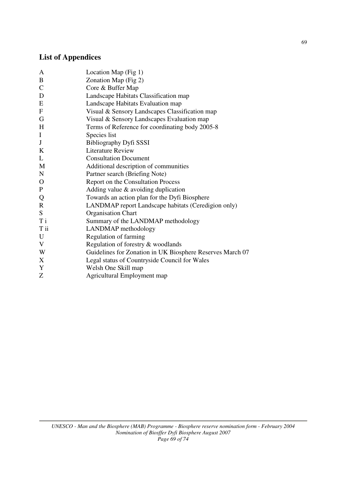# **List of Appendices**

| A              | Location Map (Fig 1)                                      |
|----------------|-----------------------------------------------------------|
| B              | Zonation Map (Fig 2)                                      |
| $\mathbf C$    | Core & Buffer Map                                         |
| D              | Landscape Habitats Classification map                     |
| E              | Landscape Habitats Evaluation map                         |
| $\mathbf{F}$   | Visual & Sensory Landscapes Classification map            |
| G              | Visual & Sensory Landscapes Evaluation map                |
| H              | Terms of Reference for coordinating body 2005-8           |
| $\bf{I}$       | Species list                                              |
| $\mathbf J$    | <b>Bibliography Dyfi SSSI</b>                             |
| K              | <b>Literature Review</b>                                  |
| L              | <b>Consultation Document</b>                              |
| M              | Additional description of communities                     |
| N              | Partner search (Briefing Note)                            |
| $\mathbf{O}$   | Report on the Consultation Process                        |
| $\mathbf P$    | Adding value $&$ avoiding duplication                     |
| Q              | Towards an action plan for the Dyfi Biosphere             |
| $\mathbf R$    | LANDMAP report Landscape habitats (Ceredigion only)       |
| S              | Organisation Chart                                        |
| T <sub>i</sub> | Summary of the LANDMAP methodology                        |
| $\rm T$ ii     | LANDMAP methodology                                       |
| U              | Regulation of farming                                     |
| V              | Regulation of forestry & woodlands                        |
| W              | Guidelines for Zonation in UK Biosphere Reserves March 07 |
| X              | Legal status of Countryside Council for Wales             |
| Y              | Welsh One Skill map                                       |
| Ζ              | Agricultural Employment map                               |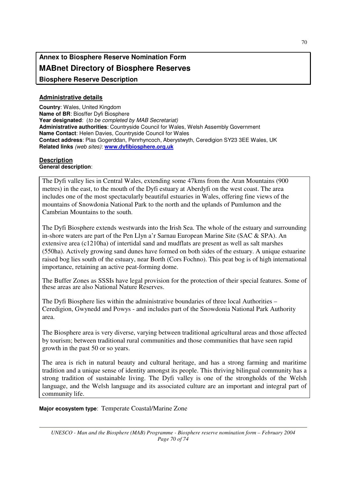# **Annex to Biosphere Reserve Nomination Form MABnet Directory of Biosphere Reserves Biosphere Reserve Description**

#### **Administrative details**

**Country**: Wales, United Kingdom **Name of BR**: Biosffer Dyfi Biosphere Year designated: (to be completed by MAB Secretariat) **Administrative authorities**: Countryside Council for Wales, Welsh Assembly Government **Name Contact**: Helen Davies, Countryside Council for Wales **Contact address**: Plas Gogerddan, Penrhyncoch, Aberystwyth, Ceredigion SY23 3EE Wales, UK **Related links** (web sites): **www.dyfibiosphere.org.uk**

#### **Description**

**General description**:

The Dyfi valley lies in Central Wales, extending some 47kms from the Aran Mountains (900 metres) in the east, to the mouth of the Dyfi estuary at Aberdyfi on the west coast. The area includes one of the most spectacularly beautiful estuaries in Wales, offering fine views of the mountains of Snowdonia National Park to the north and the uplands of Pumlumon and the Cambrian Mountains to the south.

The Dyfi Biosphere extends westwards into the Irish Sea. The whole of the estuary and surrounding in-shore waters are part of the Pen Llyn a'r Sarnau European Marine Site (SAC & SPA). An extensive area (c1210ha) of intertidal sand and mudflats are present as well as salt marshes (550ha). Actively growing sand dunes have formed on both sides of the estuary. A unique estuarine raised bog lies south of the estuary, near Borth (Cors Fochno). This peat bog is of high international importance, retaining an active peat-forming dome.

The Buffer Zones as SSSIs have legal provision for the protection of their special features. Some of these areas are also National Nature Reserves.

The Dyfi Biosphere lies within the administrative boundaries of three local Authorities – Ceredigion, Gwynedd and Powys - and includes part of the Snowdonia National Park Authority area.

The Biosphere area is very diverse, varying between traditional agricultural areas and those affected by tourism; between traditional rural communities and those communities that have seen rapid growth in the past 50 or so years.

The area is rich in natural beauty and cultural heritage, and has a strong farming and maritime tradition and a unique sense of identity amongst its people. This thriving bilingual community has a strong tradition of sustainable living. The Dyfi valley is one of the strongholds of the Welsh language, and the Welsh language and its associated culture are an important and integral part of community life.

**Major ecosystem type**: Temperate Coastal/Marine Zone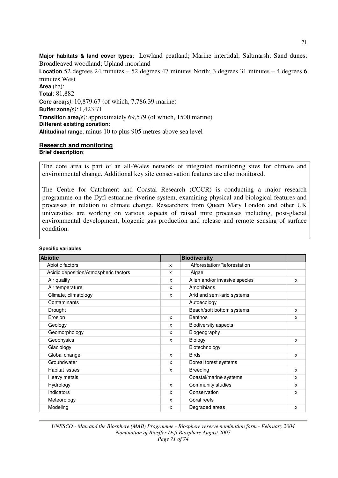**Major habitats & land cover types**: Lowland peatland; Marine intertidal; Saltmarsh; Sand dunes; Broadleaved woodland; Upland moorland **Location** 52 degrees 24 minutes – 52 degrees 47 minutes North; 3 degrees 31 minutes – 4 degrees 6 minutes West **Area** (ha): **Total**: 81,882 **Core area**(s): 10,879.67 (of which, 7,786.39 marine) **Buffer zone**(s): 1,423.71 **Transition area**(s): approximately 69,579 (of which, 1500 marine) **Different existing zonation**: **Altitudinal range**: minus 10 to plus 905 metres above sea level

#### **Research and monitoring Brief description**:

The core area is part of an all-Wales network of integrated monitoring sites for climate and environmental change. Additional key site conservation features are also monitored.

The Centre for Catchment and Coastal Research (CCCR) is conducting a major research programme on the Dyfi estuarine-riverine system, examining physical and biological features and processes in relation to climate change. Researchers from Queen Mary London and other UK universities are working on various aspects of raised mire processes including, post-glacial environmental development, biogenic gas production and release and remote sensing of surface condition.

| <b>Abiotic</b>                        |   | <b>Biodiversity</b>           |   |
|---------------------------------------|---|-------------------------------|---|
| Abiotic factors                       | X | Afforestation/Reforestation   |   |
| Acidic deposition/Atmospheric factors | X | Algae                         |   |
| Air quality                           | X | Alien and/or invasive species | X |
| Air temperature                       | X | Amphibians                    |   |
| Climate, climatology                  | X | Arid and semi-arid systems    |   |
| Contaminants                          |   | Autoecology                   |   |
| Drought                               |   | Beach/soft bottom systems     | X |
| Erosion                               | X | <b>Benthos</b>                | x |
| Geology                               | X | <b>Biodiversity aspects</b>   |   |
| Geomorphology                         | X | Biogeography                  |   |
| Geophysics                            | X | Biology                       | X |
| Glaciology                            |   | Biotechnology                 |   |
| Global change                         | X | <b>Birds</b>                  | X |
| Groundwater                           | X | Boreal forest systems         |   |
| Habitat issues                        | X | <b>Breeding</b>               | X |
| Heavy metals                          |   | Coastal/marine systems        | X |
| Hydrology                             | X | Community studies             | X |
| Indicators                            | x | Conservation                  | x |
| Meteorology                           | x | Coral reefs                   |   |
| Modeling                              | X | Degraded areas                | X |

#### **Specific variables**

*UNESCO - Man and the Biosphere (MAB) Programme - Biosphere reserve nomination form - February 2004 Nomination of Biosffer Dyfi Biosphere August 2007 Page 71 of 74*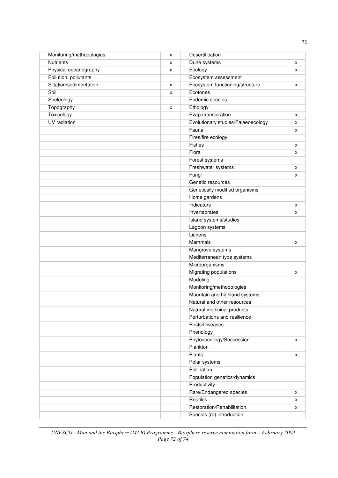| Monitoring/methodologies | x | Desertification                    |   |
|--------------------------|---|------------------------------------|---|
| Nutrients                | x | Dune systems                       | x |
| Physical oceanography    | x | Ecology                            | x |
| Pollution, pollutants    |   | Ecosystem assessment               |   |
| Siltation/sedimentation  | х | Ecosystem functioning/structure    | X |
| Soil                     | x | Ecotones                           |   |
| Speleology               |   | Endemic species                    |   |
| Topography               | x | Ethology                           |   |
| Toxicology               |   | Evapotranspiration                 | X |
| UV radiation             |   | Evolutionary studies/Palaeoecology | х |
|                          |   | Fauna                              | x |
|                          |   | Fires/fire ecology                 |   |
|                          |   | <b>Fishes</b>                      | x |
|                          |   | Flora                              | x |
|                          |   | Forest systems                     |   |
|                          |   | Freshwater systems                 | x |
|                          |   | Fungi                              | x |
|                          |   | Genetic resources                  |   |
|                          |   | Genetically modified organisms     |   |
|                          |   | Home gardens                       |   |
|                          |   | Indicators                         | х |
|                          |   | Invertebrates                      | x |
|                          |   | Island systems/studies             |   |
|                          |   | Lagoon systems                     |   |
|                          |   | Lichens                            |   |
|                          |   | Mammals                            | х |
|                          |   | Mangrove systems                   |   |
|                          |   | Mediterranean type systems         |   |
|                          |   | Microorganisms                     |   |
|                          |   | <b>Migrating populations</b>       | х |
|                          |   | Modeling                           |   |
|                          |   | Monitoring/methodologies           |   |
|                          |   | Mountain and highland systems      |   |
|                          |   | Natural and other resources        |   |
|                          |   | Natural medicinal products         |   |
|                          |   | Perturbations and resilience       |   |
|                          |   | Pests/Diseases                     |   |
|                          |   | Phenology                          |   |
|                          |   | Phytosociology/Succession          | X |
|                          |   | Plankton                           |   |
|                          |   | Plants                             | x |
|                          |   | Polar systems                      |   |
|                          |   | Pollination                        |   |
|                          |   | Population genetics/dynamics       |   |
|                          |   | Productivity                       |   |
|                          |   | Rare/Endangered species            | x |
|                          |   | Reptiles                           | x |
|                          |   | Restoration/Rehabilitation         | x |
|                          |   | Species (re) introduction          |   |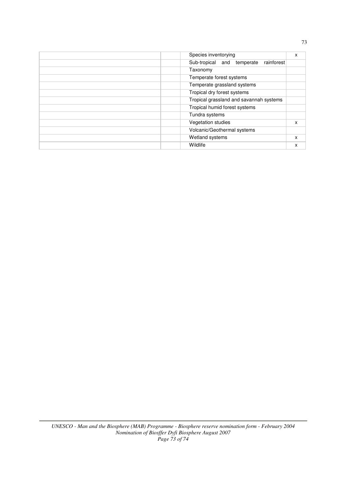| Species inventorying                        | x |
|---------------------------------------------|---|
| Sub-tropical and<br>rainforest<br>temperate |   |
| Taxonomy                                    |   |
| Temperate forest systems                    |   |
| Temperate grassland systems                 |   |
| Tropical dry forest systems                 |   |
| Tropical grassland and savannah systems     |   |
| Tropical humid forest systems               |   |
| Tundra systems                              |   |
| Vegetation studies                          | x |
| Volcanic/Geothermal systems                 |   |
| Wetland systems                             | X |
| Wildlife                                    | X |